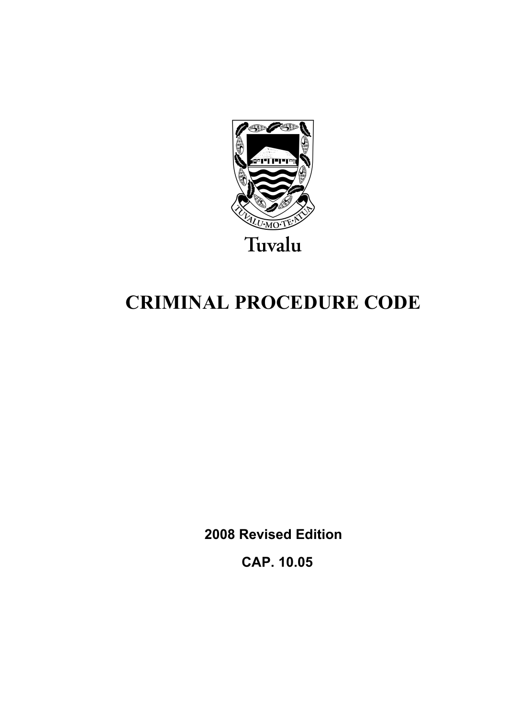

# **CRIMINAL PROCEDURE CODE**

**2008 Revised Edition** 

 **CAP. 10.05**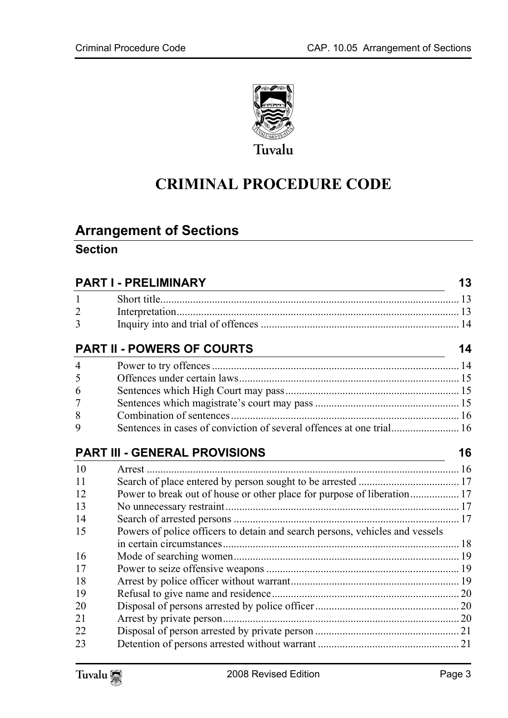

# **CRIMINAL PROCEDURE CODE**

# **Arrange[ment of Sections](#page-12-1)**

#### **Section**

|                | <b>PART I - PRELIMINARY</b>                                                  | 13 |
|----------------|------------------------------------------------------------------------------|----|
| 1              |                                                                              |    |
| $\overline{2}$ |                                                                              |    |
| 3              |                                                                              |    |
|                | <b>PART II - POWERS OF COURTS</b>                                            | 14 |
| $\overline{4}$ |                                                                              |    |
| 5              |                                                                              |    |
| 6              |                                                                              |    |
| 7              |                                                                              |    |
| 8              |                                                                              |    |
| 9              | Sentences in cases of conviction of several offences at one trial 16         |    |
|                | <b>PART III - GENERAL PROVISIONS</b>                                         | 16 |
| 10             |                                                                              |    |
| 11             |                                                                              |    |
| 12             | Power to break out of house or other place for purpose of liberation 17      |    |
| 13             |                                                                              |    |
| 14             |                                                                              |    |
| 15             | Powers of police officers to detain and search persons, vehicles and vessels |    |
|                |                                                                              |    |
| 16             |                                                                              |    |
| 17             |                                                                              |    |
| 18             |                                                                              |    |
| 19             |                                                                              |    |
| 20             |                                                                              |    |
| 21             |                                                                              |    |
| 22             |                                                                              |    |
| 23             |                                                                              |    |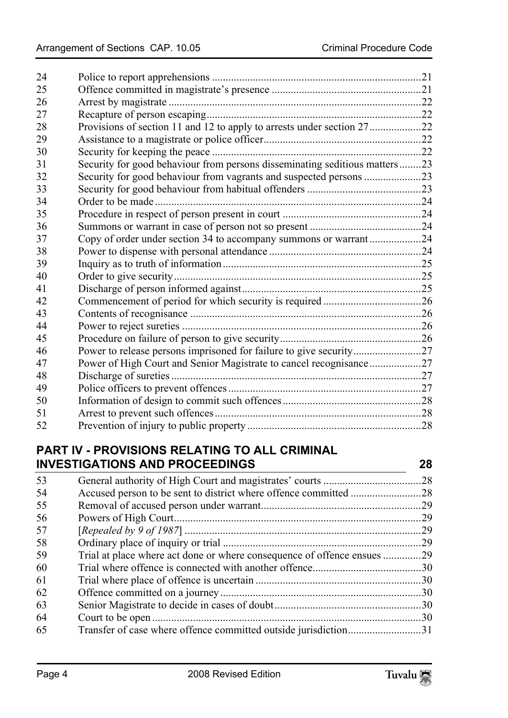| 24 |                                                                            |  |
|----|----------------------------------------------------------------------------|--|
| 25 |                                                                            |  |
| 26 |                                                                            |  |
| 27 |                                                                            |  |
| 28 | Provisions of section 11 and 12 to apply to arrests under section 2722     |  |
| 29 |                                                                            |  |
| 30 |                                                                            |  |
| 31 | Security for good behaviour from persons disseminating seditious matters23 |  |
| 32 | Security for good behaviour from vagrants and suspected persons 23         |  |
| 33 |                                                                            |  |
| 34 |                                                                            |  |
| 35 |                                                                            |  |
| 36 |                                                                            |  |
| 37 | Copy of order under section 34 to accompany summons or warrant24           |  |
| 38 |                                                                            |  |
| 39 |                                                                            |  |
| 40 |                                                                            |  |
| 41 |                                                                            |  |
| 42 |                                                                            |  |
| 43 |                                                                            |  |
| 44 |                                                                            |  |
| 45 |                                                                            |  |
| 46 |                                                                            |  |
| 47 | Power of High Court and Senior Magistrate to cancel recognisance27         |  |
| 48 |                                                                            |  |
| 49 |                                                                            |  |
| 50 |                                                                            |  |
| 51 |                                                                            |  |
| 52 |                                                                            |  |

### **PART IV - [PROVISIONS RELATING TO ALL CRIMINAL](#page-28-1)  INVESTIGA[TIONS AND PROCEEDINGS 28](#page-28-2)**

| 53 |                                                                         |     |
|----|-------------------------------------------------------------------------|-----|
| 54 |                                                                         |     |
| 55 |                                                                         | .29 |
| 56 |                                                                         | .29 |
| 57 |                                                                         | 29  |
| 58 |                                                                         | 29  |
| 59 | Trial at place where act done or where consequence of offence ensues 29 |     |
| 60 |                                                                         |     |
| 61 |                                                                         |     |
| 62 |                                                                         |     |
| 63 |                                                                         |     |
| 64 |                                                                         | .30 |
| 65 | Transfer of case where offence committed outside jurisdiction31         |     |
|    |                                                                         |     |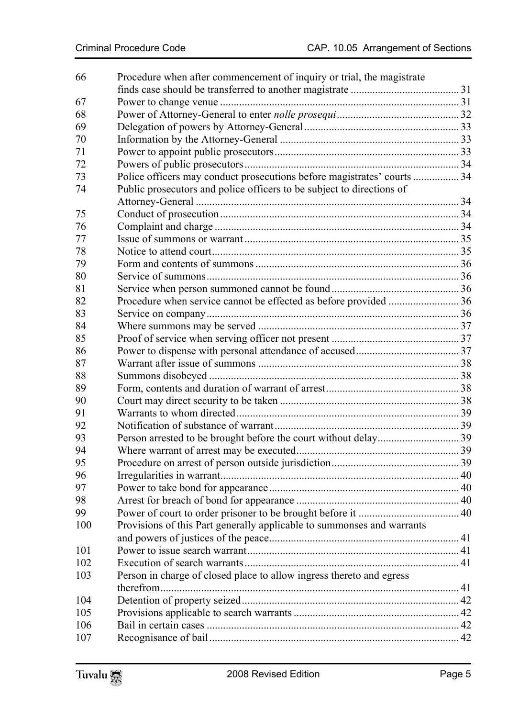| 66  | Procedure when after commencement of inquiry or trial, the magistrate   |  |
|-----|-------------------------------------------------------------------------|--|
|     |                                                                         |  |
| 67  |                                                                         |  |
| 68  |                                                                         |  |
| 69  |                                                                         |  |
| 70  |                                                                         |  |
| 71  |                                                                         |  |
| 72  |                                                                         |  |
| 73  | Police officers may conduct prosecutions before magistrates' courts  34 |  |
| 74  | Public prosecutors and police officers to be subject to directions of   |  |
|     |                                                                         |  |
| 75  |                                                                         |  |
| 76  |                                                                         |  |
| 77  |                                                                         |  |
| 78  |                                                                         |  |
| 79  |                                                                         |  |
| 80  |                                                                         |  |
| 81  |                                                                         |  |
| 82  |                                                                         |  |
| 83  |                                                                         |  |
| 84  |                                                                         |  |
| 85  |                                                                         |  |
| 86  |                                                                         |  |
| 87  |                                                                         |  |
| 88  |                                                                         |  |
| 89  |                                                                         |  |
| 90  |                                                                         |  |
| 91  |                                                                         |  |
| 92  |                                                                         |  |
| 93  |                                                                         |  |
| 94  |                                                                         |  |
| 95  |                                                                         |  |
| 96  |                                                                         |  |
| 97  |                                                                         |  |
| 98  |                                                                         |  |
| 99  |                                                                         |  |
| 100 | Provisions of this Part generally applicable to summonses and warrants  |  |
|     |                                                                         |  |
| 101 |                                                                         |  |
| 102 |                                                                         |  |
| 103 | Person in charge of closed place to allow ingress thereto and egress    |  |
|     |                                                                         |  |
| 104 |                                                                         |  |
| 105 |                                                                         |  |
| 106 |                                                                         |  |
| 107 |                                                                         |  |
|     |                                                                         |  |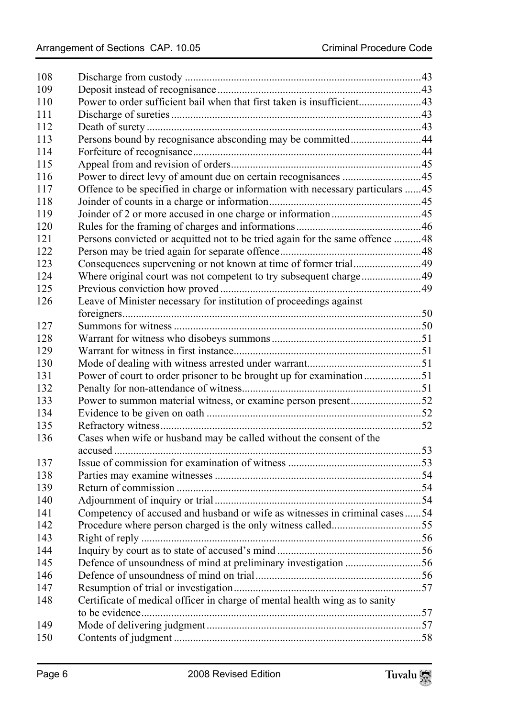| 108 |                                                                                |  |
|-----|--------------------------------------------------------------------------------|--|
| 109 |                                                                                |  |
| 110 | Power to order sufficient bail when that first taken is insufficient43         |  |
| 111 |                                                                                |  |
| 112 |                                                                                |  |
| 113 | Persons bound by recognisance absconding may be committed44                    |  |
| 114 |                                                                                |  |
| 115 |                                                                                |  |
| 116 |                                                                                |  |
| 117 | Offence to be specified in charge or information with necessary particulars 45 |  |
| 118 |                                                                                |  |
| 119 |                                                                                |  |
| 120 |                                                                                |  |
| 121 | Persons convicted or acquitted not to be tried again for the same offence 48   |  |
| 122 |                                                                                |  |
| 123 |                                                                                |  |
| 124 | Where original court was not competent to try subsequent charge49              |  |
| 125 |                                                                                |  |
| 126 | Leave of Minister necessary for institution of proceedings against             |  |
|     |                                                                                |  |
| 127 |                                                                                |  |
| 128 |                                                                                |  |
| 129 |                                                                                |  |
| 130 |                                                                                |  |
| 131 |                                                                                |  |
| 132 |                                                                                |  |
| 133 | Power to summon material witness, or examine person present52                  |  |
| 134 |                                                                                |  |
| 135 |                                                                                |  |
| 136 | Cases when wife or husband may be called without the consent of the            |  |
|     |                                                                                |  |
| 137 |                                                                                |  |
| 138 |                                                                                |  |
| 139 |                                                                                |  |
| 140 |                                                                                |  |
| 141 | Competency of accused and husband or wife as witnesses in criminal cases54     |  |
| 142 |                                                                                |  |
| 143 |                                                                                |  |
| 144 |                                                                                |  |
| 145 | Defence of unsoundness of mind at preliminary investigation 56                 |  |
| 146 |                                                                                |  |
| 147 |                                                                                |  |
| 148 | Certificate of medical officer in charge of mental health wing as to sanity    |  |
|     |                                                                                |  |
| 149 |                                                                                |  |
| 150 |                                                                                |  |
|     |                                                                                |  |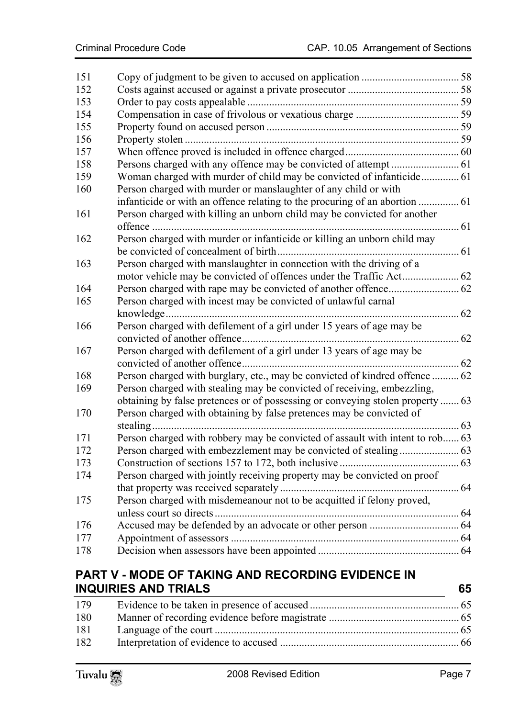| 151 |                                                                                |  |
|-----|--------------------------------------------------------------------------------|--|
| 152 |                                                                                |  |
| 153 |                                                                                |  |
| 154 |                                                                                |  |
| 155 |                                                                                |  |
| 156 |                                                                                |  |
| 157 |                                                                                |  |
| 158 |                                                                                |  |
| 159 |                                                                                |  |
| 160 | Person charged with murder or manslaughter of any child or with                |  |
|     | infanticide or with an offence relating to the procuring of an abortion  61    |  |
| 161 | Person charged with killing an unborn child may be convicted for another       |  |
|     |                                                                                |  |
| 162 | Person charged with murder or infanticide or killing an unborn child may       |  |
|     |                                                                                |  |
| 163 | Person charged with manslaughter in connection with the driving of a           |  |
|     |                                                                                |  |
| 164 |                                                                                |  |
| 165 | Person charged with incest may be convicted of unlawful carnal                 |  |
|     |                                                                                |  |
| 166 | Person charged with defilement of a girl under 15 years of age may be          |  |
|     |                                                                                |  |
| 167 | Person charged with defilement of a girl under 13 years of age may be          |  |
|     |                                                                                |  |
| 168 | Person charged with burglary, etc., may be convicted of kindred offence  62    |  |
| 169 | Person charged with stealing may be convicted of receiving, embezzling,        |  |
|     | obtaining by false pretences or of possessing or conveying stolen property  63 |  |
| 170 | Person charged with obtaining by false pretences may be convicted of           |  |
|     |                                                                                |  |
| 171 | Person charged with robbery may be convicted of assault with intent to rob 63  |  |
| 172 |                                                                                |  |
| 173 |                                                                                |  |
| 174 | Person charged with jointly receiving property may be convicted on proof       |  |
|     |                                                                                |  |
| 175 | Person charged with misdemeanour not to be acquitted if felony proved,         |  |
|     |                                                                                |  |
| 176 |                                                                                |  |
| 177 |                                                                                |  |
| 178 |                                                                                |  |
|     |                                                                                |  |

## **PART V - M[ODE OF TAKING AND RECORDING EVIDENCE IN](#page-65-0)  INQUIRIES AND TRIALS 65**

| 179 |  |
|-----|--|
| 180 |  |
| 181 |  |
| 182 |  |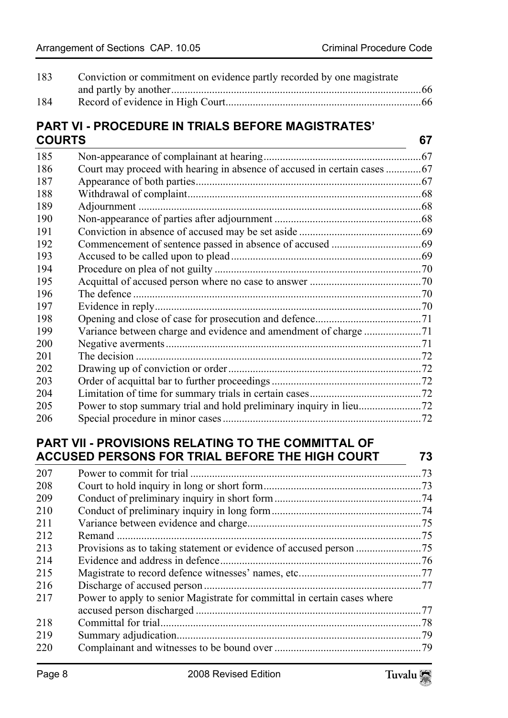| 183 | Conviction or commitment on evidence partly recorded by one magistrate |  |
|-----|------------------------------------------------------------------------|--|
|     |                                                                        |  |
| 184 |                                                                        |  |

#### **PART VI - [PROCEDURE IN TRIALS BEFORE MAGISTRATES'](#page-67-0)  COURTS [67](#page-67-1)**

| 185 |                                                                          |  |
|-----|--------------------------------------------------------------------------|--|
| 186 | Court may proceed with hearing in absence of accused in certain cases 67 |  |
| 187 |                                                                          |  |
| 188 |                                                                          |  |
| 189 |                                                                          |  |
| 190 |                                                                          |  |
| 191 |                                                                          |  |
| 192 |                                                                          |  |
| 193 |                                                                          |  |
| 194 |                                                                          |  |
| 195 |                                                                          |  |
| 196 |                                                                          |  |
| 197 |                                                                          |  |
| 198 |                                                                          |  |
| 199 |                                                                          |  |
| 200 |                                                                          |  |
| 201 |                                                                          |  |
| 202 |                                                                          |  |
| 203 |                                                                          |  |
| 204 |                                                                          |  |
| 205 |                                                                          |  |
| 206 |                                                                          |  |
|     |                                                                          |  |

# **PART VII - [PROVISIONS RELATING TO THE COMMITTAL OF](#page-73-1)  ACCUSED [PERSONS FOR TRIAL BEFORE THE HIGH COURT 73](#page-74-0)**

| 207 |                                                                          |  |
|-----|--------------------------------------------------------------------------|--|
| 208 |                                                                          |  |
| 209 |                                                                          |  |
| 210 |                                                                          |  |
| 211 |                                                                          |  |
| 212 |                                                                          |  |
| 213 |                                                                          |  |
| 214 |                                                                          |  |
| 215 |                                                                          |  |
| 216 |                                                                          |  |
| 217 | Power to apply to senior Magistrate for committal in certain cases where |  |
|     |                                                                          |  |
| 218 |                                                                          |  |
| 219 |                                                                          |  |
| 220 |                                                                          |  |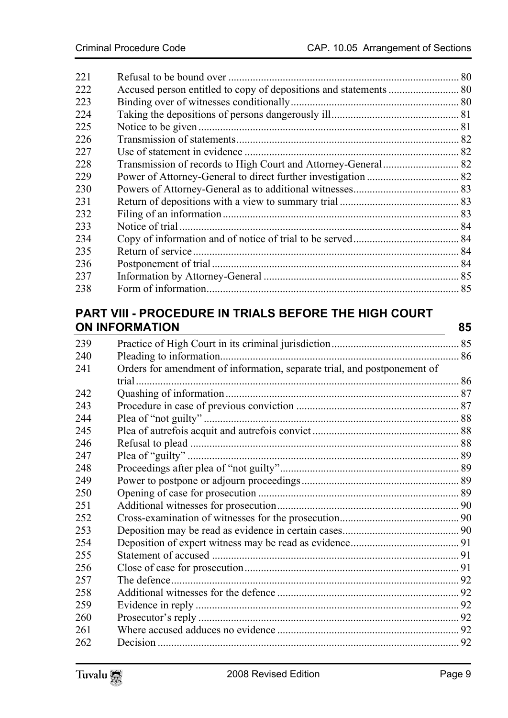| 221 |  |
|-----|--|
| 222 |  |
| 223 |  |
| 224 |  |
| 225 |  |
| 226 |  |
| 227 |  |
| 228 |  |
| 229 |  |
| 230 |  |
| 231 |  |
| 232 |  |
| 233 |  |
| 234 |  |
| 235 |  |
| 236 |  |
| 237 |  |
| 238 |  |
|     |  |

#### **PART VIII - PROCE[DURE IN TRIALS BEFORE THE HIGH COURT](#page-85-1)  ON INFOR[MATION 85](#page-86-0)**

 Pract[ice of High Court in its criminal jurisdiction............................................... 85](#page-86-1) Plea[ding to information........................................................................................ 86](#page-87-0) Orde[rs for amendment of information, separate trial, and postponement of](#page-87-1)  trial.[...................................................................................................................... 86](#page-87-2) Quas[hing of information...................................................................................... 87](#page-88-0) Proc[edure in case of previous conviction ............................................................ 87](#page-88-1) Plea [of "not guilty" .............................................................................................. 88](#page-88-2) Plea [of autrefois acquit and autrefois convict ...................................................... 88](#page-88-3) Refu[sal to plead ................................................................................................... 88](#page-89-0) Plea [of "guilty" .................................................................................................... 89](#page-89-1) Proc[eedings after plea of "not guilty".................................................................. 89](#page-89-2) Pow[er to postpone or adjourn proceedings.......................................................... 89](#page-90-0) Ope[ning of case for prosecution .......................................................................... 89](#page-90-1) Addi[tional witnesses for prosecution................................................................... 90](#page-90-2) Cros[s-examination of witnesses for the prosecution............................................ 90](#page-91-0) Dep[osition may be read as evidence in certain cases........................................... 90](#page-91-1) Dep[osition of expert witness may be read as evidence........................................ 91](#page-91-2) State[ment of accused ........................................................................................... 91](#page-91-3) Clos[e of case for prosecution............................................................................... 91](#page-91-4) The [defence.......................................................................................................... 92](#page-91-5) Additional witnesses for the defence ................................................................... 92 Evidence in reply ................................................................................................. 92 Prosecutor's reply ................................................................................................ 92 Where accused adduces no evidence ................................................................... 92 Decision ............................................................................................................... 92

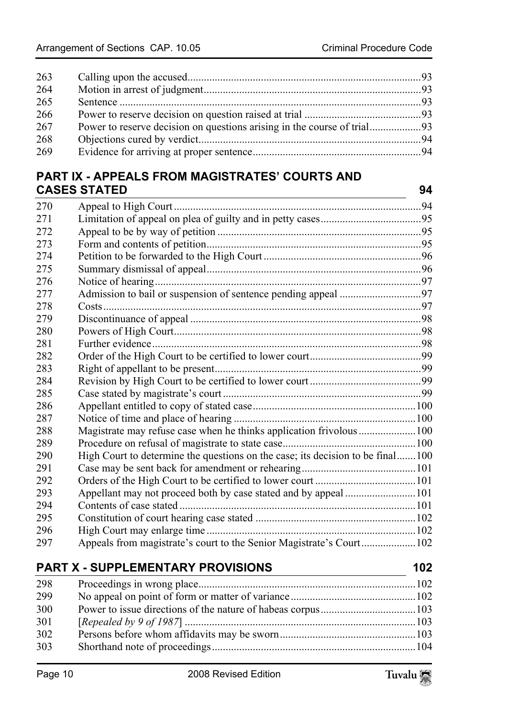| 263 |  |
|-----|--|
| 264 |  |
| 265 |  |
| 266 |  |
| 267 |  |
| 268 |  |
| 269 |  |
|     |  |

## **PART IX - [APPEALS FROM MAGISTRATES' COURTS AND](#page-94-2)  CASES ST[ATED 94](#page-95-0)**

| 270 |                                                                                |  |
|-----|--------------------------------------------------------------------------------|--|
| 271 |                                                                                |  |
| 272 |                                                                                |  |
| 273 |                                                                                |  |
| 274 |                                                                                |  |
| 275 |                                                                                |  |
| 276 |                                                                                |  |
| 277 |                                                                                |  |
| 278 |                                                                                |  |
| 279 |                                                                                |  |
| 280 |                                                                                |  |
| 281 |                                                                                |  |
| 282 |                                                                                |  |
| 283 |                                                                                |  |
| 284 |                                                                                |  |
| 285 |                                                                                |  |
| 286 |                                                                                |  |
| 287 |                                                                                |  |
| 288 | Magistrate may refuse case when he thinks application frivolous  100           |  |
| 289 |                                                                                |  |
| 290 | High Court to determine the questions on the case; its decision to be final100 |  |
| 291 |                                                                                |  |
| 292 |                                                                                |  |
| 293 |                                                                                |  |
| 294 |                                                                                |  |
| 295 |                                                                                |  |
| 296 |                                                                                |  |
| 297 | Appeals from magistrate's court to the Senior Magistrate's Court102            |  |

# **PART X - SUPPLEMENTARY PROVISIONS** 102

 Proc[eedings in wrong place................................................................................102](#page-103-0) No appeal on point of form or matter of variance..............................................102 Power to issue directions of the nature of habeas corpus...................................103 [*Repealed by 9 of 1987*] .....................................................................................103 Persons before whom affidavits may be sworn..................................................103 Shorthand note of proceedings...........................................................................104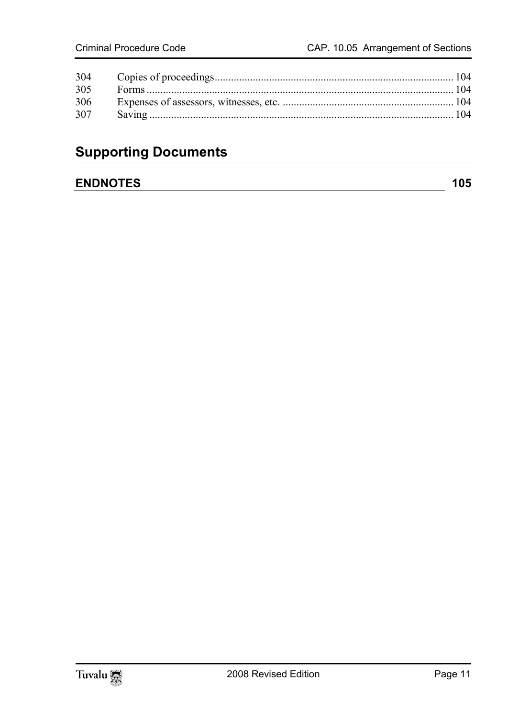| 305 |  |
|-----|--|
| 306 |  |
| 307 |  |
|     |  |

# **Supporting Documents**

### **ENDNOTES** 105

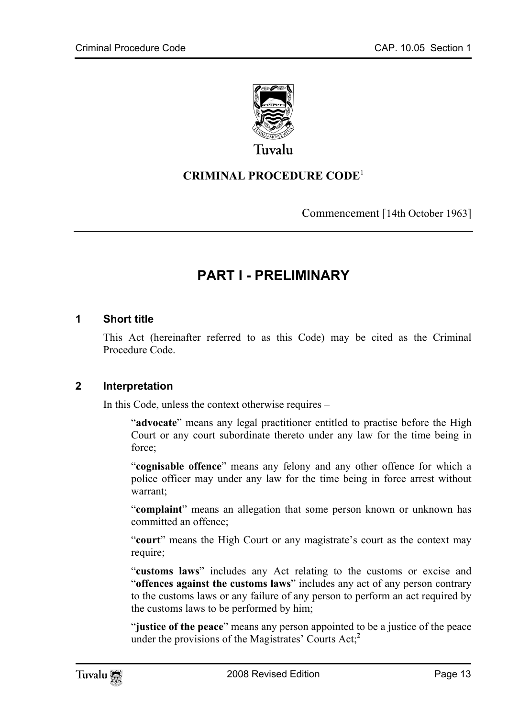

Tuvalu

#### **CRIMINAL PROCEDURE CODE**<sup>1</sup>

<span id="page-12-0"></span>Commencement [14th October 1963]

# <span id="page-12-1"></span>**PART I - PRELIMINARY**

#### **1 Short title**

This Act (hereinafter referred to as this Code) may be cited as the Criminal Procedure Code.

#### **2 Interpretation**

In this Code, unless the context otherwise requires –

"**advocate**" means any legal practitioner entitled to practise before the High Court or any court subordinate thereto under any law for the time being in force;

"**cognisable offence**" means any felony and any other offence for which a police officer may under any law for the time being in force arrest without warrant;

"**complaint**" means an allegation that some person known or unknown has committed an offence;

"**court**" means the High Court or any magistrate's court as the context may require;

"**customs laws**" includes any Act relating to the customs or excise and "**offences against the customs laws**" includes any act of any per[son](#page-104-1) contrary to the customs laws or any failure of any person to perform an act required by the customs laws to be performed by him;

"**justice of the peace**" means any person appointed to be a justice of the peace under the provisions of the Magistrates' Courts Act;**<sup>2</sup>**

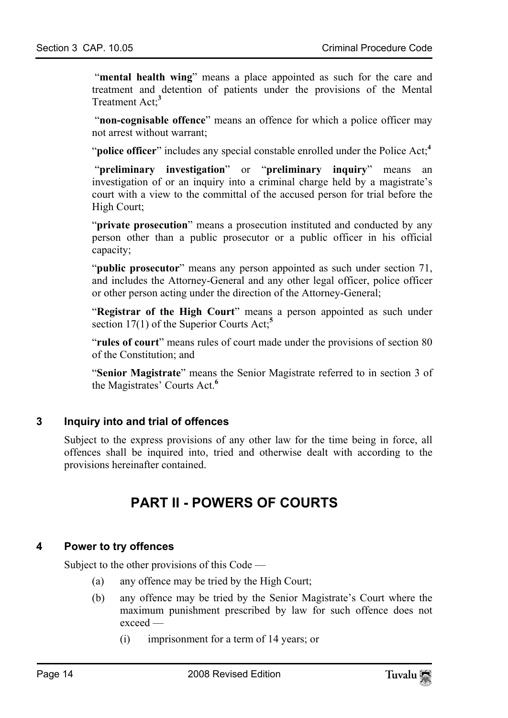"**mental health wing**" means a place appointed as such for the care and treatment and detention of patients under the provisions of the Mental Treatment Act;**<sup>3</sup>**

 "**non-cognisable offence**" means an offence for which a police officer may not arrest without warrant;

"**police officer**" includes any special constable enrolled under the Police Act;**<sup>4</sup>**

 "**preliminary investigation**" or "**preliminary inquiry**" means an investigation of or an inquiry into a criminal charge held by a magistrate's court with a view to the committal of the accused person for trial before the High Court;

"**private prosecution**" means a prosecution instituted and conducted by any person other than a public prosecutor or a public officer in his official capacity;

"**public prosecutor**" means any person appointed as [su](#page-104-3)ch under section 71, and includes the Attorney-General and any other legal officer, police officer or other person acting under the direction of the Attorney-General;

"**Registrar of the High Court**" means a person appointed as such under section 17(1) of the Superior Courts Act;**<sup>5</sup>**

"**rules of court**" means rules of court made under the provisions of section 80 of the Constitution; and

"**Senior Magistrate**" means the Senior Magistrate referred to in section 3 of the Magistrates' Courts Act.**<sup>6</sup>**

#### **3 Inquiry into and trial of offences**

Subject to the express provisions of any other law for the time being in force, all offences shall be inquired into, tried and otherwise dealt with according to the provisions hereinafter contained.

# <span id="page-13-1"></span><span id="page-13-0"></span>**PART II - POWERS OF COURTS**

#### **4 Power to try offences**

Subject to the other provisions of this Code —

- (a) any offence may be tried by the High Court;
- (b) any offence may be tried by the Senior Magistrate's Court where the maximum punishment prescribed by law for such offence does not exceed —
	- (i) imprisonment for a term of 14 years; or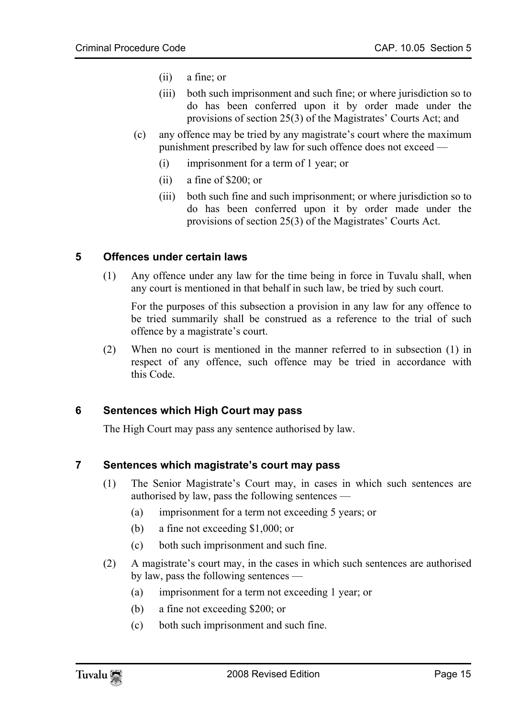- (ii) a fine; or
- (iii) both such imprisonment and such fine; or where jurisdiction so to do has been conferred upon it by order made under the provisions of section 25(3) of the Magistrates' Courts Act; and
- <span id="page-14-0"></span> (c) any offence may be tried by any magistrate's court where the maximum punishment prescribed by law for such offence does not exceed —
	- (i) imprisonment for a term of 1 year; or
	- (ii) a fine of \$200; or
	- (iii) both such fine and such imprisonment; or where jurisdiction so to do has been conferred upon it by order made under the provisions of section 25(3) of the Magistrates' Courts Act.

#### **5 Offences under certain laws**

(1) Any offence under any law for the time being in force in Tuvalu shall, when any court is mentioned in that behalf in such law, be tried by such court.

 For the purposes of this subsection a provision in any law for any offence to be tried summarily shall be construed as a reference to the trial of such offence by a magistrate's court.

<span id="page-14-1"></span>(2) When no court is mentioned in the manner referred to in subsection (1) in respect of any offence, such offence may be tried in accordance with this Code.

#### **6 Sentences which High Court may pass**

<span id="page-14-2"></span>The High Court may pass any sentence authorised by law.

#### **7 Sentences which magistrate's court may pass**

- (1) The Senior Magistrate's Court may, in cases in which such sentences are authorised by law, pass the following sentences —
	- (a) imprisonment for a term not exceeding 5 years; or
	- (b) a fine not exceeding \$1,000; or
	- (c) both such imprisonment and such fine.
- (2) A magistrate's court may, in the cases in which such sentences are authorised by law, pass the following sentences —
	- (a) imprisonment for a term not exceeding 1 year; or
	- (b) a fine not exceeding \$200; or
	- (c) both such imprisonment and such fine.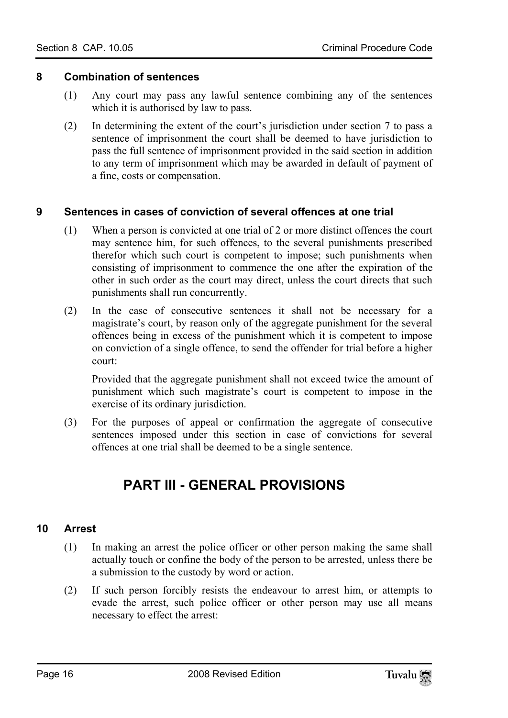#### **8 Combination of sentences**

- <span id="page-15-0"></span>(1) Any court may pass any lawful sentence combining any of the sentences which it is authorised by law to pass.
- <span id="page-15-1"></span>(2) In determining the extent of the court's jurisdiction under section 7 to pass a sentence of imprisonment the court shall be deemed to have jurisdiction to pass the full sentence of imprisonment provided in the said section in addition to any term of imprisonment which may be awarded in default of payment of a fine, costs or compensation.

#### **9 Sentences in cases of conviction of several offences at one trial**

- (1) When a person is convicted at one trial of 2 or more distinct offences the court may sentence him, for such offences, to the several punishments prescribed therefor which such court is competent to impose; such punishments when consisting of imprisonment to commence the one after the expiration of the other in such order as the court may direct, unless the court directs that such punishments shall run concurrently.
- (2) In the case of consecutive sentences it shall not be necessary for a magistrate's court, by reason only of the aggregate punishment for the several offences being in excess of the punishment which it is competent to impose on conviction of a single offence, to send the offender for trial before a higher court:

Provided that the aggregate punishment shall not exceed twice the amount of punishment which such magistrate's court is competent to impose in the exercise of its ordinary jurisdiction.

(3) For the purposes of appeal or confirmation the aggregate of consecutive sentences imposed under this section in case of convictions for several offences at one trial shall be deemed to be a single sentence.

# <span id="page-15-3"></span><span id="page-15-2"></span>**PART III - GENERAL PROVISIONS**

#### **10 Arrest**

- (1) In making an arrest the police officer or other person making the same shall actually touch or confine the body of the person to be arrested, unless there be a submission to the custody by word or action.
- (2) If such person forcibly resists the endeavour to arrest him, or attempts to evade the arrest, such police officer or other person may use all means necessary to effect the arrest: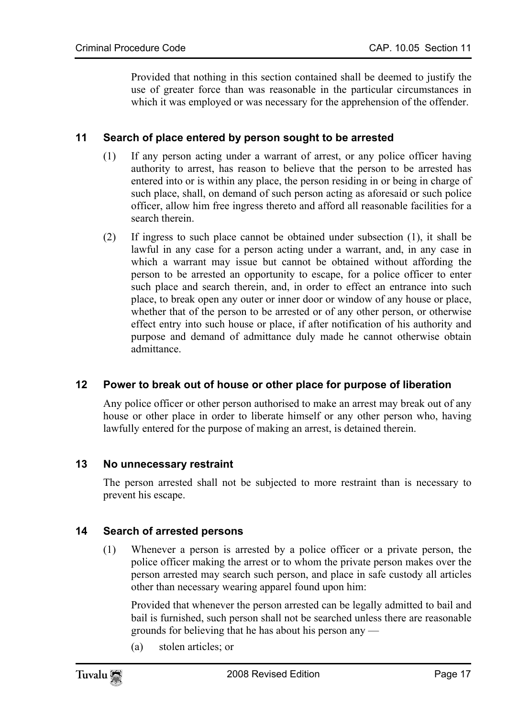<span id="page-16-0"></span>Provided that nothing in this section contained shall be deemed to justify the use of greater force than was reasonable in the particular circumstances in which it was employed or was necessary for the apprehension of the offender.

#### **11 Search of place entered by person sought to be arrested**

- (1) If any person acting under a warrant of arrest, or any police officer having authority to arrest, has reason to believe that the person to be arrested has entered into or is within any place, the person residing in or being in charge of such place, shall, on demand of such person acting as aforesaid or such police officer, allow him free ingress thereto and afford all reasonable facilities for a search therein.
- (2) If ingress to such place cannot be obtained under subsection (1), it shall be lawful in any case for a person acting under a warrant, and, in any case in which a warrant may issue but cannot be obtained without affording the person to be arrested an opportunity to escape, for a police officer to enter such place and search therein, and, in order to effect an entrance into such place, to break open any outer or inner door or window of any house or place, whether that of the person to be arrested or of any other person, or otherwise effect entry into such house or place, if after notification of his authority and purpose and demand of admittance duly made he cannot otherwise obtain admittance.

#### **12 Power to break out of house or other place for purpose of liberation**

<span id="page-16-2"></span><span id="page-16-1"></span>Any police officer or other person authorised to make an arrest may break out of any house or other place in order to liberate himself or any other person who, having lawfully entered for the purpose of making an arrest, is detained therein.

#### **13 No unnecessary restraint**

<span id="page-16-3"></span>The person arrested shall not be subjected to more restraint than is necessary to prevent his escape.

#### **14 Search of arrested persons**

(1) Whenever a person is arrested by a police officer or a private person, the police officer making the arrest or to whom the private person makes over the person arrested may search such person, and place in safe custody all articles other than necessary wearing apparel found upon him:

Provided that whenever the person arrested can be legally admitted to bail and bail is furnished, such person shall not be searched unless there are reasonable grounds for believing that he has about his person any —

(a) stolen articles; or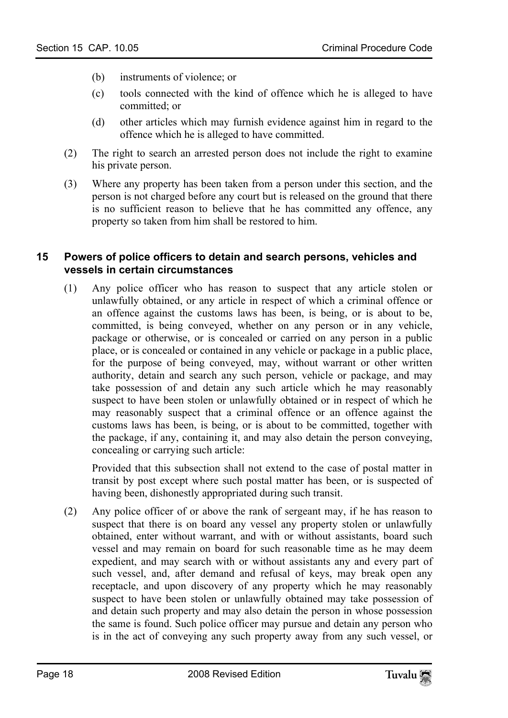- (b) instruments of violence; or
- (c) tools connected with the kind of offence which he is alleged to have committed; or
- (d) other articles which may furnish evidence against him in regard to the offence which he is alleged to have committed.
- (2) The right to search an arrested person does not include the right to examine his private person.
- <span id="page-17-0"></span>(3) Where any property has been taken from a person under this section, and the person is not charged before any court but is released on the ground that there is no sufficient reason to believe that he has committed any offence, any property so taken from him shall be restored to him.

#### **15 Powers of police officers to detain and search persons, vehicles and vessels in certain circumstances**

(1) Any police officer who has reason to suspect that any article stolen or unlawfully obtained, or any article in respect of which a criminal offence or an offence against the customs laws has been, is being, or is about to be, committed, is being conveyed, whether on any person or in any vehicle, package or otherwise, or is concealed or carried on any person in a public place, or is concealed or contained in any vehicle or package in a public place, for the purpose of being conveyed, may, without warrant or other written authority, detain and search any such person, vehicle or package, and may take possession of and detain any such article which he may reasonably suspect to have been stolen or unlawfully obtained or in respect of which he may reasonably suspect that a criminal offence or an offence against the customs laws has been, is being, or is about to be committed, together with the package, if any, containing it, and may also detain the person conveying, concealing or carrying such article:

Provided that this subsection shall not extend to the case of postal matter in transit by post except where such postal matter has been, or is suspected of having been, dishonestly appropriated during such transit.

(2) Any police officer of or above the rank of sergeant may, if he has reason to suspect that there is on board any vessel any property stolen or unlawfully obtained, enter without warrant, and with or without assistants, board such vessel and may remain on board for such reasonable time as he may deem expedient, and may search with or without assistants any and every part of such vessel, and, after demand and refusal of keys, may break open any receptacle, and upon discovery of any property which he may reasonably suspect to have been stolen or unlawfully obtained may take possession of and detain such property and may also detain the person in whose possession the same is found. Such police officer may pursue and detain any person who is in the act of conveying any such property away from any such vessel, or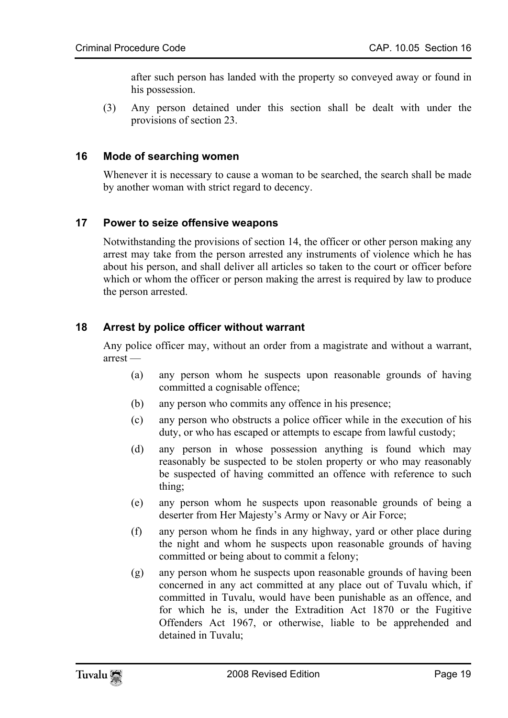<span id="page-18-0"></span>after such person has landed with the property so conveyed away or found in his possession.

(3) Any person detained under this section shall be dealt with under the provisions of section 23.

#### **16 Mode of searching women**

<span id="page-18-1"></span>Whenever it is necessary to cause a woman to be searched, the search shall be made by another woman with strict regard to decency.

#### **17 Power to seize offensive weapons**

<span id="page-18-2"></span>Notwithstanding the provisions of section 14, the officer or other person making any arrest may take from the person arrested any instruments of violence which he has about his person, and shall deliver all articles so taken to the court or officer before which or whom the officer or person making the arrest is required by law to produce the person arrested.

#### **18 Arrest by police officer without warrant**

Any police officer may, without an order from a magistrate and without a warrant, arrest —

- (a) any person whom he suspects upon reasonable grounds of having committed a cognisable offence;
- (b) any person who commits any offence in his presence;
- (c) any person who obstructs a police officer while in the execution of his duty, or who has escaped or attempts to escape from lawful custody;
- (d) any person in whose possession anything is found which may reasonably be suspected to be stolen property or who may reasonably be suspected of having committed an offence with reference to such thing;
- (e) any person whom he suspects upon reasonable grounds of being a deserter from Her Majesty's Army or Navy or Air Force;
- (f) any person whom he finds in any highway, yard or other place during the night and whom he suspects upon reasonable grounds of having committed or being about to commit a felony;
- (g) any person whom he suspects upon reasonable grounds of having been concerned in any act committed at any place out of Tuvalu which, if committed in Tuvalu, would have been punishable as an offence, and for which he is, under the Extradition Act 1870 or the Fugitive Offenders Act 1967, or otherwise, liable to be apprehended and detained in Tuvalu;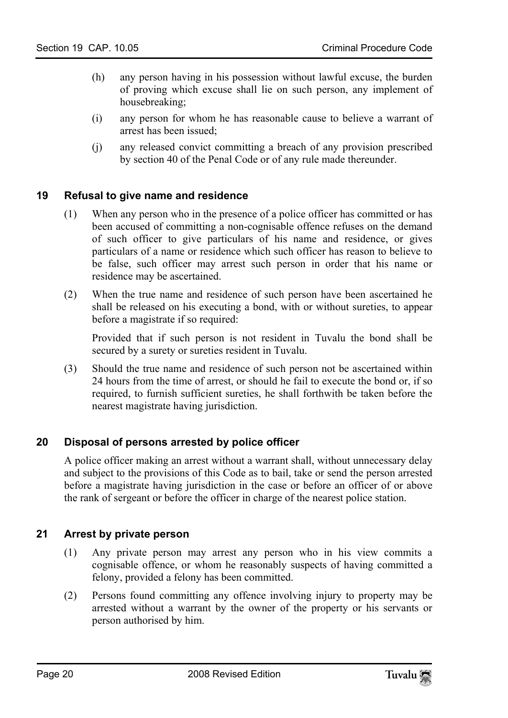- (h) any person having in his possession without lawful excuse, the burden of proving which excuse shall lie on such person, any implement of housebreaking;
- <span id="page-19-0"></span>(i) any person for whom he has reasonable cause to believe a warrant of arrest has been issued;
- (j) any released convict committing a breach of any provision prescribed by section 40 of the Penal Code or of any rule made thereunder.

#### **19 Refusal to give name and residence**

- (1) When any person who in the presence of a police officer has committed or has been accused of committing a non-cognisable offence refuses on the demand of such officer to give particulars of his name and residence, or gives particulars of a name or residence which such officer has reason to believe to be false, such officer may arrest such person in order that his name or residence may be ascertained.
- (2) When the true name and residence of such person have been ascertained he shall be released on his executing a bond, with or without sureties, to appear before a magistrate if so required:

Provided that if such person is not resident in Tuvalu the bond shall be secured by a surety or sureties resident in Tuvalu.

<span id="page-19-1"></span>(3) Should the true name and residence of such person not be ascertained within 24 hours from the time of arrest, or should he fail to execute the bond or, if so required, to furnish sufficient sureties, he shall forthwith be taken before the nearest magistrate having jurisdiction.

#### **20 Disposal of persons arrested by police officer**

<span id="page-19-2"></span>A police officer making an arrest without a warrant shall, without unnecessary delay and subject to the provisions of this Code as to bail, take or send the person arrested before a magistrate having jurisdiction in the case or before an officer of or above the rank of sergeant or before the officer in charge of the nearest police station.

#### **21 Arrest by private person**

- (1) Any private person may arrest any person who in his view commits a cognisable offence, or whom he reasonably suspects of having committed a felony, provided a felony has been committed.
- (2) Persons found committing any offence involving injury to property may be arrested without a warrant by the owner of the property or his servants or person authorised by him.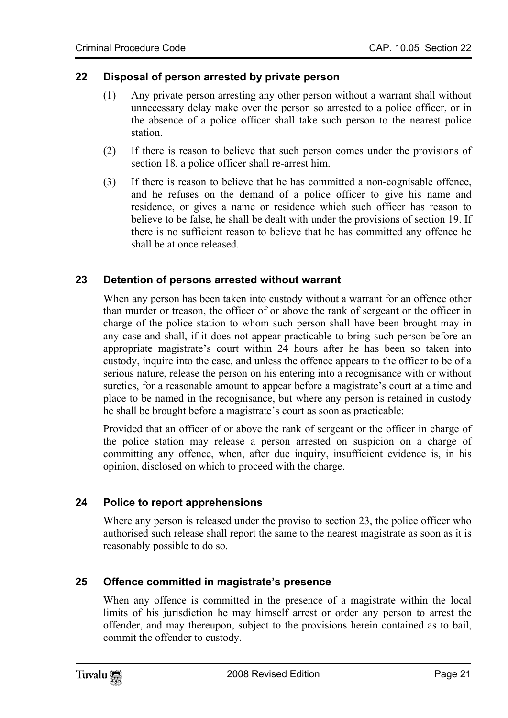#### **22 Disposal of person arrested by private person**

- <span id="page-20-0"></span>(1) Any private person arresting any other person without a warrant shall without unnecessary delay make over the person so arrested to a police officer, or in the absence of a police officer shall take such person to the nearest police station.
- (2) If there is reason to believe that such person comes under the provisions of section 18, a police officer shall re-arrest him.
- <span id="page-20-1"></span>(3) If there is reason to believe that he has committed a non-cognisable offence, and he refuses on the demand of a police officer to give his name and residence, or gives a name or residence which such officer has reason to believe to be false, he shall be dealt with under the provisions of section 19. If there is no sufficient reason to believe that he has committed any offence he shall be at once released.

#### **23 Detention of persons arrested without warrant**

When any person has been taken into custody without a warrant for an offence other than murder or treason, the officer of or above the rank of sergeant or the officer in charge of the police station to whom such person shall have been brought may in any case and shall, if it does not appear practicable to bring such person before an appropriate magistrate's court within 24 hours after he has been so taken into custody, inquire into the case, and unless the offence appears to the officer to be of a serious nature, release the person on his entering into a recognisance with or without sureties, for a reasonable amount to appear before a magistrate's court at a time and place to be named in the recognisance, but where any person is retained in custody he shall be brought before a magistrate's court as soon as practicable:

Provided that an officer of or above the rank of sergeant or the officer in charge of the police station may release a person arrested on suspicion on a charge of committing any offence, when, after due inquiry, insufficient evidence is, in his opinion, disclosed on which to proceed with the charge.

#### **24 Police to report apprehensions**

Where any person is released under the proviso to section 23, the police officer who authorised such release shall report the same to the nearest magistrate as soon as it is reasonably possible to do so.

#### **25 Offence committed in magistrate's presence**

When any offence is committed in the presence of a magistrate within the local limits of his jurisdiction he may himself arrest or order any person to arrest the offender, and may thereupon, subject to the provisions herein contained as to bail, commit the offender to custody.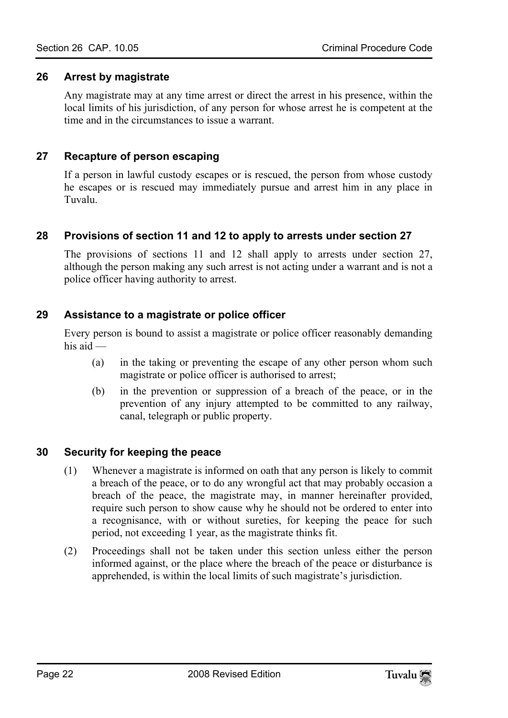#### **26 Arrest by magistrate**

<span id="page-21-1"></span><span id="page-21-0"></span>Any magistrate may at any time arrest or direct the arrest in his presence, within the local limits of his jurisdiction, of any person for whose arrest he is competent at the time and in the circumstances to issue a warrant.

#### **27 Recapture of person escaping**

If a person in lawful custody escapes or is rescued, the person from whose custody he escapes or is rescued may immediately pursue and arrest him in any place in Tuvalu.

#### **28 Provisions of section 11 and 12 to apply to arrests under section 27**

<span id="page-21-2"></span>The provisions of sections 11 and 12 shall apply to arrests under section 27, although the person making any such arrest is not acting under a warrant and is not a police officer having authority to arrest.

#### **29 Assistance to a magistrate or police officer**

Every person is bound to assist a magistrate or police officer reasonably demanding his aid —

- (a) in the taking or preventing the escape of any other person whom such magistrate or police officer is authorised to arrest;
- <span id="page-21-3"></span>(b) in the prevention or suppression of a breach of the peace, or in the prevention of any injury attempted to be committed to any railway, canal, telegraph or public property.

#### **30 Security for keeping the peace**

- (1) Whenever a magistrate is informed on oath that any person is likely to commit a breach of the peace, or to do any wrongful act that may probably occasion a breach of the peace, the magistrate may, in manner hereinafter provided, require such person to show cause why he should not be ordered to enter into a recognisance, with or without sureties, for keeping the peace for such period, not exceeding 1 year, as the magistrate thinks fit.
- (2) Proceedings shall not be taken under this section unless either the person informed against, or the place where the breach of the peace or disturbance is apprehended, is within the local limits of such magistrate's jurisdiction.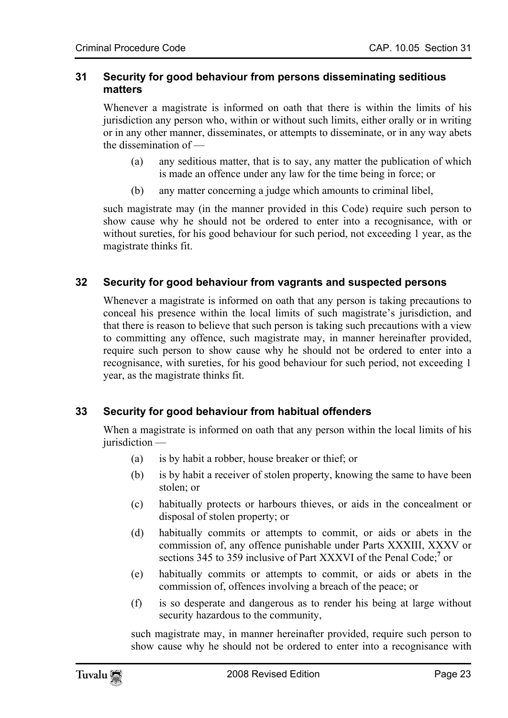#### <span id="page-22-0"></span>**31 Security for good behaviour from persons disseminating seditious matters**

Whenever a magistrate is informed on oath that there is within the limits of his jurisdiction any person who, within or without such limits, either orally or in writing or in any other manner, disseminates, or attempts to disseminate, or in any way abets the dissemination of —

- (a) any seditious matter, that is to say, any matter the publication of which is made an offence under any law for the time being in force; or
- <span id="page-22-1"></span>(b) any matter concerning a judge which amounts to criminal libel,

such magistrate may (in the manner provided in this Code) require such person to show cause why he should not be ordered to enter into a recognisance, with or without sureties, for his good behaviour for such period, not exceeding 1 year, as the magistrate thinks fit.

#### **32 Security for good behaviour from vagrants and suspected persons**

<span id="page-22-2"></span>Whenever a magistrate is informed on oath that any person is taking precautions to conceal his presence within the local limits of such magistrate's jurisdiction, and that there is reason to believe that such person is taking such precautions with a view to committing any offence, such magistrate may, in manner hereinafter provided, require such person to show cause why he should not be ordered to enter into a recognisance, with sureties, for his good behaviour for such period, not exceeding 1 year, as the magistrate thinks fit.

#### **33 Security for good behaviour from habitual offenders**

When a magistrate is informed on oath that any person within the local limits of his jurisdiction —

- (a) is by habit a robber, house breaker or thief; or
- (b) is by habit a receiver of stolen property, knowing the same to have been stolen; or
- (c) habitually protects or harbours thieves, or aids in the concealment or disposal of stolen property; or
- (d) habitually commits or attempts to commit, or aids or abets in the commission of, any offence punishable under Parts XXXIII, XXXV or sections 345 to 359 inclusive of Part XXXVI of the Penal Code;<sup>7</sup> or
- (e) habitually commits or attempts to commit, or aids or abets in the commission of, offences involving a breach of the peace; or
- (f) is so desperate and dangerous as to render his being at large without security hazardous to the community,

such magistrate may, in manner hereinafter provided, require such person to show cause why he should not be ordered to enter into a recognisance with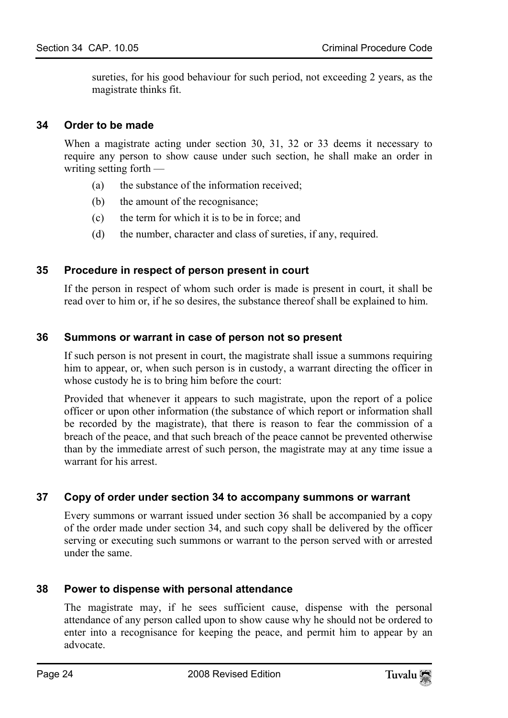<span id="page-23-0"></span>sureties, for his good behaviour for such period, not exceeding 2 years, as the magistrate thinks fit.

#### **34 Order to be made**

When a magistrate acting under section 30, 31, 32 or 33 deems it necessary to require any person to show cause under such section, he shall make an order in writing setting forth —

- (a) the substance of the information received;
- <span id="page-23-1"></span>(b) the amount of the recognisance;
- (c) the term for which it is to be in force; and
- (d) the number, character and class of sureties, if any, required.

#### **35 Procedure in respect of person present in court**

<span id="page-23-2"></span>If the person in respect of whom such order is made is present in court, it shall be read over to him or, if he so desires, the substance thereof shall be explained to him.

#### **36 Summons or warrant in case of person not so present**

If such person is not present in court, the magistrate shall issue a summons requiring him to appear, or, when such person is in custody, a warrant directing the officer in whose custody he is to bring him before the court:

<span id="page-23-3"></span>Provided that whenever it appears to such magistrate, upon the report of a police officer or upon other information (the substance of which report or information shall be recorded by the magistrate), that there is reason to fear the commission of a breach of the peace, and that such breach of the peace cannot be prevented otherwise than by the immediate arrest of such person, the magistrate may at any time issue a warrant for his arrest.

#### **37 Copy of order under section 34 to accompany summons or warrant**

<span id="page-23-4"></span>Every summons or warrant issued under section 36 shall be accompanied by a copy of the order made under section 34, and such copy shall be delivered by the officer serving or executing such summons or warrant to the person served with or arrested under the same.

#### **38 Power to dispense with personal attendance**

The magistrate may, if he sees sufficient cause, dispense with the personal attendance of any person called upon to show cause why he should not be ordered to enter into a recognisance for keeping the peace, and permit him to appear by an advocate.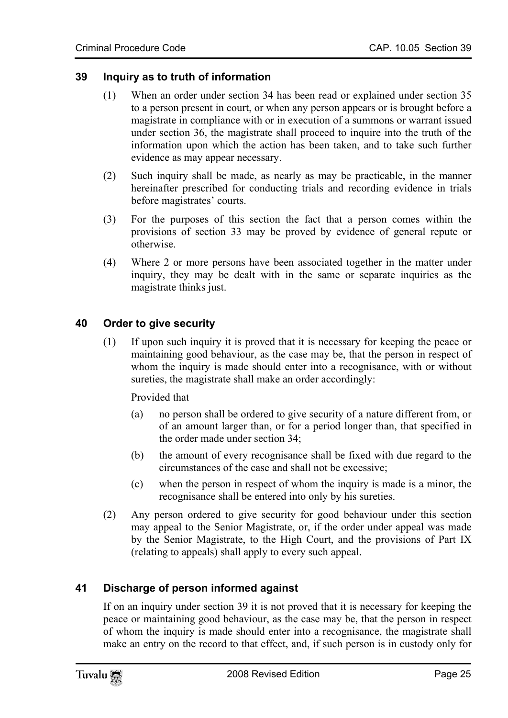#### **39 Inquiry as to truth of information**

- <span id="page-24-0"></span>(1) When an order under section 34 has been read or explained under section 35 to a person present in court, or when any person appears or is brought before a magistrate in compliance with or in execution of a summons or warrant issued under section 36, the magistrate shall proceed to inquire into the truth of the information upon which the action has been taken, and to take such further evidence as may appear necessary.
- (2) Such inquiry shall be made, as nearly as may be practicable, in the manner hereinafter prescribed for conducting trials and recording evidence in trials before magistrates' courts.
- (3) For the purposes of this section the fact that a person comes within the provisions of section 33 may be proved by evidence of general repute or otherwise.
- <span id="page-24-1"></span>(4) Where 2 or more persons have been associated together in the matter under inquiry, they may be dealt with in the same or separate inquiries as the magistrate thinks just.

#### **40 Order to give security**

(1) If upon such inquiry it is proved that it is necessary for keeping the peace or maintaining good behaviour, as the case may be, that the person in respect of whom the inquiry is made should enter into a recognisance, with or without sureties, the magistrate shall make an order accordingly:

Provided that —

- (a) no person shall be ordered to give security of a nature different from, or of an amount larger than, or for a period longer than, that specified in the order made under section 34;
- (b) the amount of every recognisance shall be fixed with due regard to the circumstances of the case and shall not be excessive;
- (c) when the person in respect of whom the inquiry is made is a minor, the recognisance shall be entered into only by his sureties.
- <span id="page-24-2"></span>(2) Any person ordered to give security for good behaviour under this section may appeal to the Senior Magistrate, or, if the order under appeal was made by the Senior Magistrate, to the High Court, and the provisions of Part IX (relating to appeals) shall apply to every such appeal.

#### **41 Discharge of person informed against**

If on an inquiry under section 39 it is not proved that it is necessary for keeping the peace or maintaining good behaviour, as the case may be, that the person in respect of whom the inquiry is made should enter into a recognisance, the magistrate shall make an entry on the record to that effect, and, if such person is in custody only for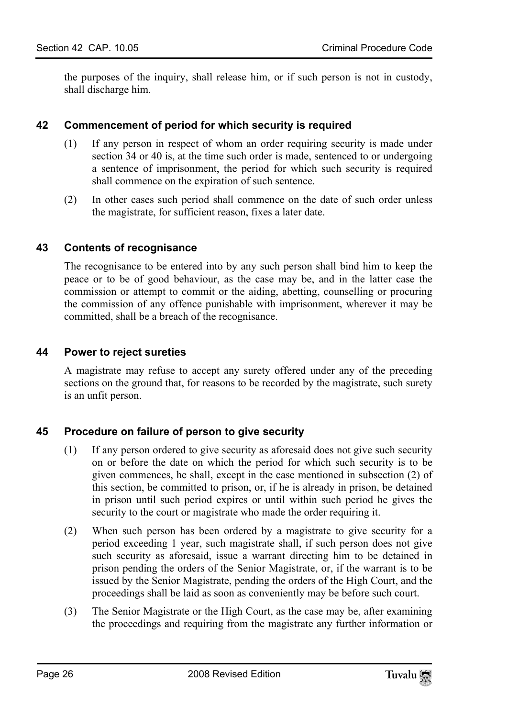<span id="page-25-0"></span>the purposes of the inquiry, shall release him, or if such person is not in custody, shall discharge him.

#### **42 Commencement of period for which security is required**

- (1) If any person in respect of whom an order requiring security is made under section 34 or 40 is, at the time such order is made, sentenced to or undergoing a sentence of imprisonment, the period for which such security is required shall commence on the expiration of such sentence.
- <span id="page-25-1"></span>(2) In other cases such period shall commence on the date of such order unless the magistrate, for sufficient reason, fixes a later date.

#### **43 Contents of recognisance**

<span id="page-25-2"></span>The recognisance to be entered into by any such person shall bind him to keep the peace or to be of good behaviour, as the case may be, and in the latter case the commission or attempt to commit or the aiding, abetting, counselling or procuring the commission of any offence punishable with imprisonment, wherever it may be committed, shall be a breach of the recognisance.

#### **44 Power to reject sureties**

<span id="page-25-3"></span>A magistrate may refuse to accept any surety offered under any of the preceding sections on the ground that, for reasons to be recorded by the magistrate, such surety is an unfit person.

#### **45 Procedure on failure of person to give security**

- (1) If any person ordered to give security as aforesaid does not give such security on or before the date on which the period for which such security is to be given commences, he shall, except in the case mentioned in subsection (2) of this section, be committed to prison, or, if he is already in prison, be detained in prison until such period expires or until within such period he gives the security to the court or magistrate who made the order requiring it.
- (2) When such person has been ordered by a magistrate to give security for a period exceeding 1 year, such magistrate shall, if such person does not give such security as aforesaid, issue a warrant directing him to be detained in prison pending the orders of the Senior Magistrate, or, if the warrant is to be issued by the Senior Magistrate, pending the orders of the High Court, and the proceedings shall be laid as soon as conveniently may be before such court.
- (3) The Senior Magistrate or the High Court, as the case may be, after examining the proceedings and requiring from the magistrate any further information or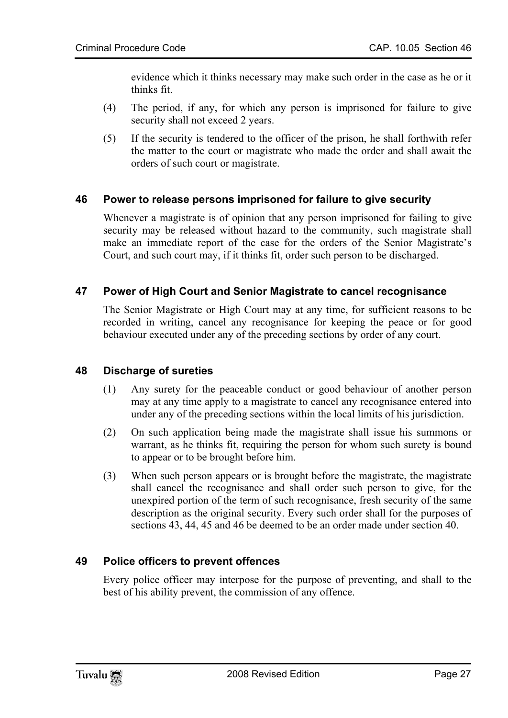evidence which it thinks necessary may make such order in the case as he or it thinks fit.

- (4) The period, if any, for which any person is imprisoned for failure to give security shall not exceed 2 years.
- <span id="page-26-0"></span>(5) If the security is tendered to the officer of the prison, he shall forthwith refer the matter to the court or magistrate who made the order and shall await the orders of such court or magistrate.

#### **46 Power to release persons imprisoned for failure to give security**

<span id="page-26-1"></span>Whenever a magistrate is of opinion that any person imprisoned for failing to give security may be released without hazard to the community, such magistrate shall make an immediate report of the case for the orders of the Senior Magistrate's Court, and such court may, if it thinks fit, order such person to be discharged.

#### **47 Power of High Court and Senior Magistrate to cancel recognisance**

<span id="page-26-2"></span>The Senior Magistrate or High Court may at any time, for sufficient reasons to be recorded in writing, cancel any recognisance for keeping the peace or for good behaviour executed under any of the preceding sections by order of any court.

#### **48 Discharge of sureties**

- (1) Any surety for the peaceable conduct or good behaviour of another person may at any time apply to a magistrate to cancel any recognisance entered into under any of the preceding sections within the local limits of his jurisdiction.
- (2) On such application being made the magistrate shall issue his summons or warrant, as he thinks fit, requiring the person for whom such surety is bound to appear or to be brought before him.
- <span id="page-26-3"></span>(3) When such person appears or is brought before the magistrate, the magistrate shall cancel the recognisance and shall order such person to give, for the unexpired portion of the term of such recognisance, fresh security of the same description as the original security. Every such order shall for the purposes of sections 43, 44, 45 and 46 be deemed to be an order made under section 40.

#### **49 Police officers to prevent offences**

Every police officer may interpose for the purpose of preventing, and shall to the best of his ability prevent, the commission of any offence.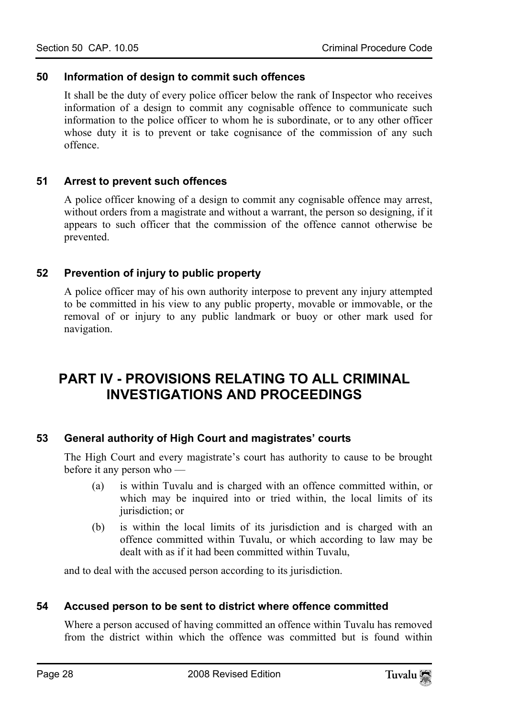#### <span id="page-27-0"></span>**50 Information of design to commit such offences**

<span id="page-27-1"></span>It shall be the duty of every police officer below the rank of Inspector who receives information of a design to commit any cognisable offence to communicate such information to the police officer to whom he is subordinate, or to any other officer whose duty it is to prevent or take cognisance of the commission of any such offence.

#### **51 Arrest to prevent such offences**

<span id="page-27-2"></span>A police officer knowing of a design to commit any cognisable offence may arrest, without orders from a magistrate and without a warrant, the person so designing, if it appears to such officer that the commission of the offence cannot otherwise be prevented.

#### **52 Prevention of injury to public property**

<span id="page-27-3"></span>A police officer may of his own authority interpose to prevent any injury attempted to be committed in his view to any public property, movable or immovable, or the removal of or injury to any public landmark or buoy or other mark used for navigation.

# <span id="page-27-4"></span>**PART IV - PROVISIONS RELATING TO ALL CRIMINAL INVESTIGATIONS AND PROCEEDINGS**

#### **53 General authority of High Court and magistrates' courts**

The High Court and every magistrate's court has authority to cause to be brought before it any person who —

- (a) is within Tuvalu and is charged with an offence committed within, or which may be inquired into or tried within, the local limits of its jurisdiction; or
- <span id="page-27-5"></span>(b) is within the local limits of its jurisdiction and is charged with an offence committed within Tuvalu, or which according to law may be dealt with as if it had been committed within Tuvalu,

and to deal with the accused person according to its jurisdiction.

#### **54 Accused person to be sent to district where offence committed**

Where a person accused of having committed an offence within Tuvalu has removed from the district within which the offence was committed but is found within

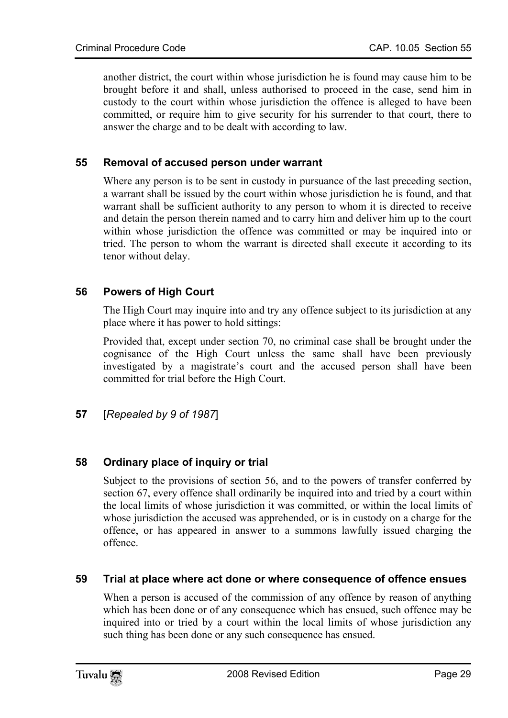<span id="page-28-0"></span>another district, the court within whose jurisdiction he is found may cause him to be brought before it and shall, unless authorised to proceed in the case, send him in custody to the court within whose jurisdiction the offence is alleged to have been committed, or require him to give security for his surrender to that court, there to answer the charge and to be dealt with according to law.

#### **55 Removal of accused person under warrant**

<span id="page-28-1"></span>Where any person is to be sent in custody in pursuance of the last preceding section, a warrant shall be issued by the court within whose jurisdiction he is found, and that warrant shall be sufficient authority to any person to whom it is directed to receive and detain the person therein named and to carry him and deliver him up to the court within whose jurisdiction the offence was committed or may be inquired into or tried. The person to whom the warrant is directed shall execute it according to its tenor without delay.

#### **56 Powers of High Court**

The High Court may inquire into and try any offence subject to its jurisdiction at any place where it has power to hold sittings:

<span id="page-28-2"></span>Provided that, except under section 70, no criminal case shall be brought under the cognisance of the High Court unless the same shall have been previously investigated by a magistrate's court and the accused person shall have been committed for trial before the High Court.

<span id="page-28-3"></span>**57** [*Repealed by 9 of 1987*]

#### **58 Ordinary place of inquiry or trial**

<span id="page-28-4"></span>Subject to the provisions of section 56, and to the powers of transfer conferred by section 67, every offence shall ordinarily be inquired into and tried by a court within the local limits of whose jurisdiction it was committed, or within the local limits of whose jurisdiction the accused was apprehended, or is in custody on a charge for the offence, or has appeared in answer to a summons lawfully issued charging the offence.

#### **59 Trial at place where act done or where consequence of offence ensues**

When a person is accused of the commission of any offence by reason of anything which has been done or of any consequence which has ensued, such offence may be inquired into or tried by a court within the local limits of whose jurisdiction any such thing has been done or any such consequence has ensued.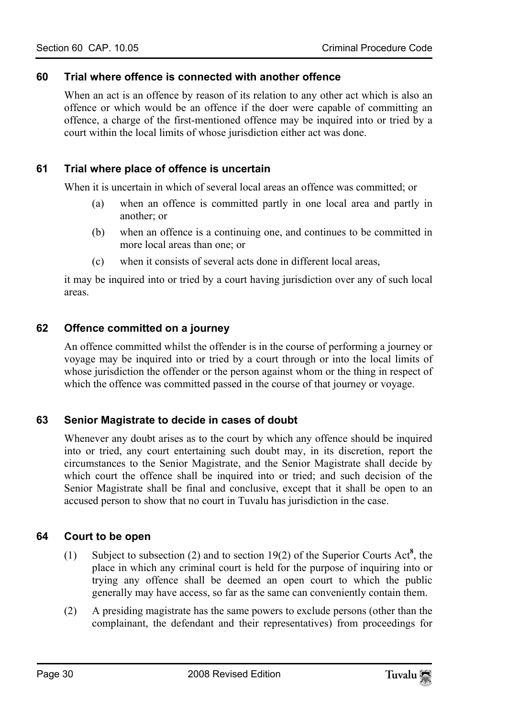#### **60 Trial where offence is connected with another offence**

<span id="page-29-1"></span><span id="page-29-0"></span>When an act is an offence by reason of its relation to any other act which is also an offence or which would be an offence if the doer were capable of committing an offence, a charge of the first-mentioned offence may be inquired into or tried by a court within the local limits of whose jurisdiction either act was done.

#### **61 Trial where place of offence is uncertain**

When it is uncertain in which of several local areas an offence was committed; or

- (a) when an offence is committed partly in one local area and partly in another; or
- (b) when an offence is a continuing one, and continues to be committed in more local areas than one; or
- <span id="page-29-2"></span>(c) when it consists of several acts done in different local areas,

it may be inquired into or tried by a court having jurisdiction over any of such local areas.

#### **62 Offence committed on a journey**

<span id="page-29-3"></span>An offence committed whilst the offender is in the course of performing a journey or voyage may be inquired into or tried by a court through or into the local limits of whose jurisdiction the offender or the person against whom or the thing in respect of which the offence was committed passed in the course of that journey or voyage.

#### **63 Senior Magistrate to decide in cases of doubt**

<span id="page-29-4"></span>Whenever any doubt arises as to the court by which any offence should be inquired into or tried, any court entertaining such doubt may, in its discretion, report the circumstances to the Senior Magistrate, and the Senior Magistrate shall decide by which court the offence shall be inquired into or tried; and such decision of the Senior Magistrate shall be final and conclusive, except that it shall be open to an accused person to show that no court in Tuvalu has jurisdiction in the case.

#### **64 Court to be open**

- (1) Subject to subsection (2) and to section 19(2) of the Superior Courts Act**<sup>8</sup>** , the place in which any criminal court is held for the purpose of inquiring into or trying any offence shall be deemed an open court to which the public generally may have access, so far as the same can conveniently contain them.
- (2) A presiding magistrate has the same powers to exclude persons (other than the complainant, the defendant and their representatives) from proceedings for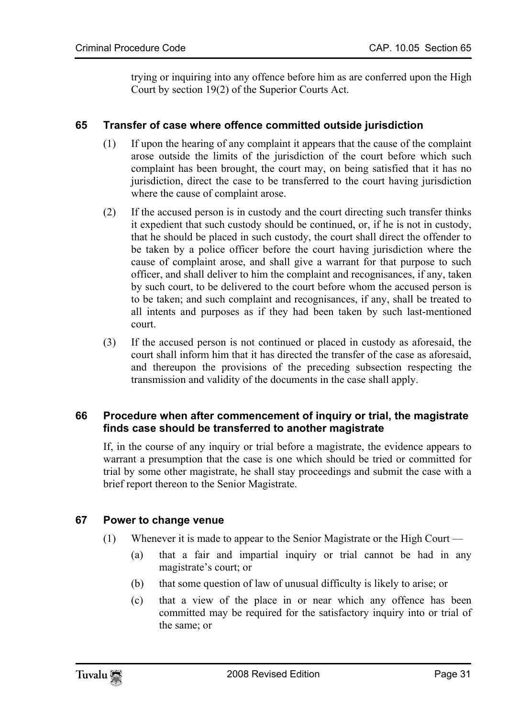<span id="page-30-0"></span>trying or inquiring into any offence before him as are conferred upon the High Court by section 19(2) of the Superior Courts Act.

#### **65 Transfer of case where offence committed outside jurisdiction**

- (1) If upon the hearing of any complaint it appears that the cause of the complaint arose outside the limits of the jurisdiction of the court before which such complaint has been brought, the court may, on being satisfied that it has no jurisdiction, direct the case to be transferred to the court having jurisdiction where the cause of complaint arose.
- (2) If the accused person is in custody and the court directing such transfer thinks it expedient that such custody should be continued, or, if he is not in custody, that he should be placed in such custody, the court shall direct the offender to be taken by a police officer before the court having jurisdiction where the cause of complaint arose, and shall give a warrant for that purpose to such officer, and shall deliver to him the complaint and recognisances, if any, taken by such court, to be delivered to the court before whom the accused person is to be taken; and such complaint and recognisances, if any, shall be treated to all intents and purposes as if they had been taken by such last-mentioned court.
- (3) If the accused person is not continued or placed in custody as aforesaid, the court shall inform him that it has directed the transfer of the case as aforesaid, and thereupon the provisions of the preceding subsection respecting the transmission and validity of the documents in the case shall apply.

#### **66 Procedure when after commencement of inquiry or trial, the magistrate finds case should be transferred to another magistrate**

<span id="page-30-1"></span>If, in the course of any inquiry or trial before a magistrate, the evidence appears to warrant a presumption that the case is one which should be tried or committed for trial by some other magistrate, he shall stay proceedings and submit the case with a brief report thereon to the Senior Magistrate.

#### **67 Power to change venue**

- (1) Whenever it is made to appear to the Senior Magistrate or the High Court
	- (a) that a fair and impartial inquiry or trial cannot be had in any magistrate's court; or
	- (b) that some question of law of unusual difficulty is likely to arise; or
	- (c) that a view of the place in or near which any offence has been committed may be required for the satisfactory inquiry into or trial of the same; or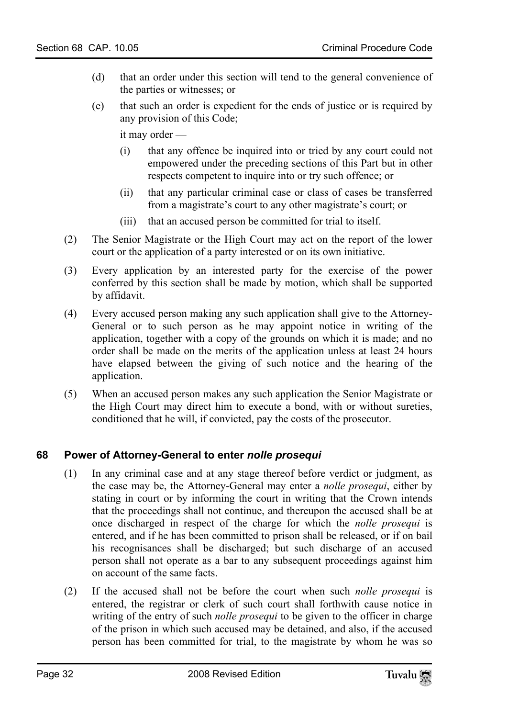- (d) that an order under this section will tend to the general convenience of the parties or witnesses; or
- (e) that such an order is expedient for the ends of justice or is required by any provision of this Code;

it may order —

- (i) that any offence be inquired into or tried by any court could not empowered under the preceding sections of this Part but in other respects competent to inquire into or try such offence; or
- (ii) that any particular criminal case or class of cases be transferred from a magistrate's court to any other magistrate's court; or
- (iii) that an accused person be committed for trial to itself.
- (2) The Senior Magistrate or the High Court may act on the report of the lower court or the application of a party interested or on its own initiative.
- (3) Every application by an interested party for the exercise of the power conferred by this section shall be made by motion, which shall be supported by affidavit.
- (4) Every accused person making any such application shall give to the Attorney-General or to such person as he may appoint notice in writing of the application, together with a copy of the grounds on which it is made; and no order shall be made on the merits of the application unless at least 24 hours have elapsed between the giving of such notice and the hearing of the application.
- <span id="page-31-0"></span>(5) When an accused person makes any such application the Senior Magistrate or the High Court may direct him to execute a bond, with or without sureties, conditioned that he will, if convicted, pay the costs of the prosecutor.

#### **68 Power of Attorney-General to enter** *nolle prosequi*

- (1) In any criminal case and at any stage thereof before verdict or judgment, as the case may be, the Attorney-General may enter a *nolle prosequi*, either by stating in court or by informing the court in writing that the Crown intends that the proceedings shall not continue, and thereupon the accused shall be at once discharged in respect of the charge for which the *nolle prosequi* is entered, and if he has been committed to prison shall be released, or if on bail his recognisances shall be discharged; but such discharge of an accused person shall not operate as a bar to any subsequent proceedings against him on account of the same facts.
- (2) If the accused shall not be before the court when such *nolle prosequi* is entered, the registrar or clerk of such court shall forthwith cause notice in writing of the entry of such *nolle prosequi* to be given to the officer in charge of the prison in which such accused may be detained, and also, if the accused person has been committed for trial, to the magistrate by whom he was so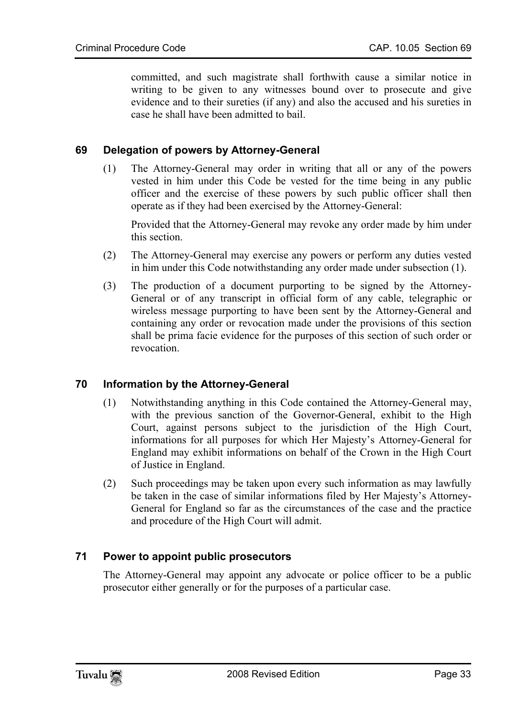committed, and such magistrate shall forthwith cause a similar notice in writing to be given to any witnesses bound over to prosecute and give evidence and to their sureties (if any) and also the accused and his sureties in case he shall have been admitted to bail.

#### **69 Delegation of powers by Attorney-General**

(1) The Attorney-General may order in writing that all or any of the powers vested in him under this Code be vested for the time being in any public officer and the exercise of these powers by such public officer shall then operate as if they had been exercised by the Attorney-General:

Provided that the Attorney-General may revoke any order made by him under this section.

- (2) The Attorney-General may exercise any powers or perform any duties vested in him under this Code notwithstanding any order made under subsection (1).
- <span id="page-32-0"></span>(3) The production of a document purporting to be signed by the Attorney-General or of any transcript in official form of any cable, telegraphic or wireless message purporting to have been sent by the Attorney-General and containing any order or revocation made under the provisions of this section shall be prima facie evidence for the purposes of this section of such order or revocation.

#### **70 Information by the Attorney-General**

- (1) Notwithstanding anything in this Code contained the Attorney-General may, with the previous sanction of the Governor-General, exhibit to the High Court, against persons subject to the jurisdiction of the High Court, informations for all purposes for which Her Majesty's Attorney-General for England may exhibit informations on behalf of the Crown in the High Court of Justice in England.
- <span id="page-32-1"></span>(2) Such proceedings may be taken upon every such information as may lawfully be taken in the case of similar informations filed by Her Majesty's Attorney-General for England so far as the circumstances of the case and the practice and procedure of the High Court will admit.

#### **71 Power to appoint public prosecutors**

The Attorney-General may appoint any advocate or police officer to be a public prosecutor either generally or for the purposes of a particular case.

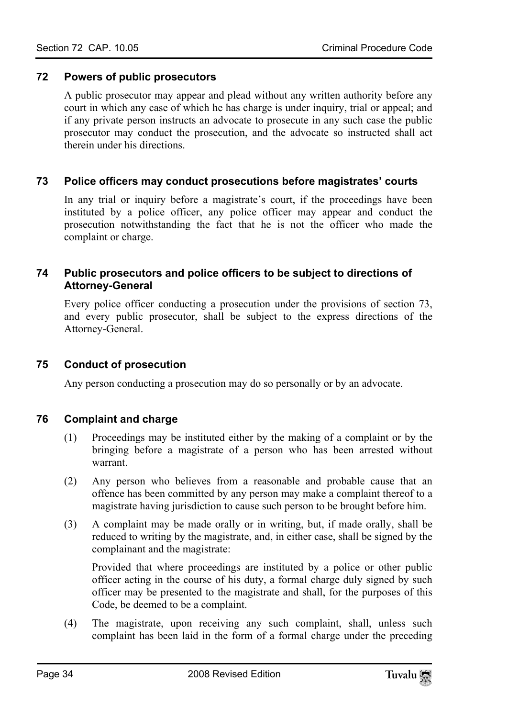#### **72 Powers of public prosecutors**

<span id="page-33-1"></span><span id="page-33-0"></span>A public prosecutor may appear and plead without any written authority before any court in which any case of which he has charge is under inquiry, trial or appeal; and if any private person instructs an advocate to prosecute in any such case the public prosecutor may conduct the prosecution, and the advocate so instructed shall act therein under his directions.

#### **73 Police officers may conduct prosecutions before magistrates' courts**

<span id="page-33-2"></span>In any trial or inquiry before a magistrate's court, if the proceedings have been instituted by a police officer, any police officer may appear and conduct the prosecution notwithstanding the fact that he is not the officer who made the complaint or charge.

#### **74 Public prosecutors and police officers to be subject to directions of Attorney-General**

<span id="page-33-3"></span>Every police officer conducting a prosecution under the provisions of section 73, and every public prosecutor, shall be subject to the express directions of the Attorney-General.

#### **75 Conduct of prosecution**

<span id="page-33-4"></span>Any person conducting a prosecution may do so personally or by an advocate.

#### **76 Complaint and charge**

- (1) Proceedings may be instituted either by the making of a complaint or by the bringing before a magistrate of a person who has been arrested without warrant.
- (2) Any person who believes from a reasonable and probable cause that an offence has been committed by any person may make a complaint thereof to a magistrate having jurisdiction to cause such person to be brought before him.
- (3) A complaint may be made orally or in writing, but, if made orally, shall be reduced to writing by the magistrate, and, in either case, shall be signed by the complainant and the magistrate:

Provided that where proceedings are instituted by a police or other public officer acting in the course of his duty, a formal charge duly signed by such officer may be presented to the magistrate and shall, for the purposes of this Code, be deemed to be a complaint.

(4) The magistrate, upon receiving any such complaint, shall, unless such complaint has been laid in the form of a formal charge under the preceding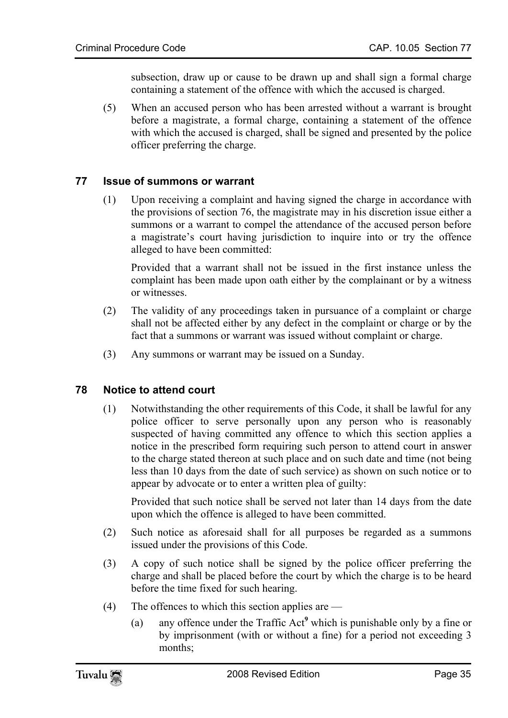subsection, draw up or cause to be drawn up and shall sign a formal charge containing a statement of the offence with which the accused is charged.

<span id="page-34-0"></span>(5) When an accused person who has been arrested without a warrant is brought before a magistrate, a formal charge, containing a statement of the offence with which the accused is charged, shall be signed and presented by the police officer preferring the charge.

#### **77 Issue of summons or warrant**

(1) Upon receiving a complaint and having signed the charge in accordance with the provisions of section 76, the magistrate may in his discretion issue either a summons or a warrant to compel the attendance of the accused person before a magistrate's court having jurisdiction to inquire into or try the offence alleged to have been committed:

Provided that a warrant shall not be issued in the first instance unless the complaint has been made upon oath either by the complainant or by a witness or witnesses.

- <span id="page-34-1"></span>(2) The validity of any proceedings taken in pursuance of a complaint or charge shall not be affected either by any defect in the complaint or charge or by the fact that a summons or warrant was issued without complaint or charge.
- (3) Any summons or warrant may be issued on a Sunday.

#### **78 Notice to attend court**

(1) Notwithstanding the other requirements of this Code, it shall be lawful for any police officer to serve personally upon any person who is reasonably suspected of having committed any offence to which this section applies a notice in the prescribed form requiring such person to attend court in answer to the charge stated thereon at such place and on such date and time (not being less than 10 days from the date of such service) as shown on such notice or to appear by advocate or to enter a written plea of guilty:

Provided that such notice shall be served not later than 14 days from the date upon which the offence is alleged to have been committed.

- (2) Such notice as aforesaid shall for all purposes be regarded as a summons issued under the provisions of this Code.
- (3) A copy of such notice shall be signed by the polic[e](#page-104-4) officer preferring the charge and shall be placed before the court by which the charge is to be heard before the time fixed for such hearing.
- (4) The offences to which this section applies are
	- (a) any offence under the Traffic Act**<sup>9</sup>** which is punishable only by a fine or by imprisonment (with or without a fine) for a period not exceeding 3 months;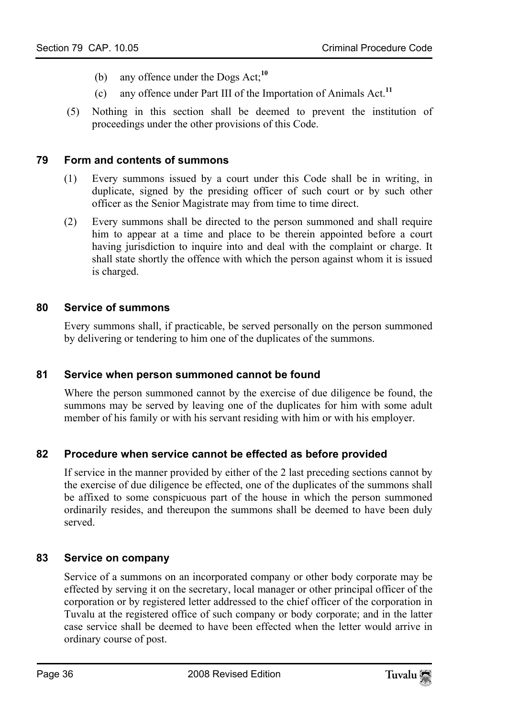- (b) any offence under the Dogs Act;**<sup>10</sup>**
- <span id="page-35-0"></span>(c) any offence under Part III of the Importation of Animals Act.**<sup>11</sup>**
- (5) Nothing in this section shall be deemed to prevent the institution of proceedings under the other provisions of this Code.

#### **79 Form and contents of summons**

- (1) Every summons issued by a court under this Code shall be in writing, in duplicate, signed by the presiding officer of such court or by such other officer as the Senior Magistrate may from time to time direct.
- <span id="page-35-1"></span>(2) Every summons shall be directed to the person summoned and shall require him to appear at a time and place to be therein appointed before a court having jurisdiction to inquire into and deal with the complaint or charge. It shall state shortly the offence with which the person against whom it is issued is charged.

#### **80 Service of summons**

<span id="page-35-2"></span>Every summons shall, if practicable, be served personally on the person summoned by delivering or tendering to him one of the duplicates of the summons.

#### **81 Service when person summoned cannot be found**

<span id="page-35-3"></span>Where the person summoned cannot by the exercise of due diligence be found, the summons may be served by leaving one of the duplicates for him with some adult member of his family or with his servant residing with him or with his employer.

#### **82 Procedure when service cannot be effected as before provided**

<span id="page-35-4"></span>If service in the manner provided by either of the 2 last preceding sections cannot by the exercise of due diligence be effected, one of the duplicates of the summons shall be affixed to some conspicuous part of the house in which the person summoned ordinarily resides, and thereupon the summons shall be deemed to have been duly served.

#### **83 Service on company**

Service of a summons on an incorporated company or other body corporate may be effected by serving it on the secretary, local manager or other principal officer of the corporation or by registered letter addressed to the chief officer of the corporation in Tuvalu at the registered office of such company or body corporate; and in the latter case service shall be deemed to have been effected when the letter would arrive in ordinary course of post.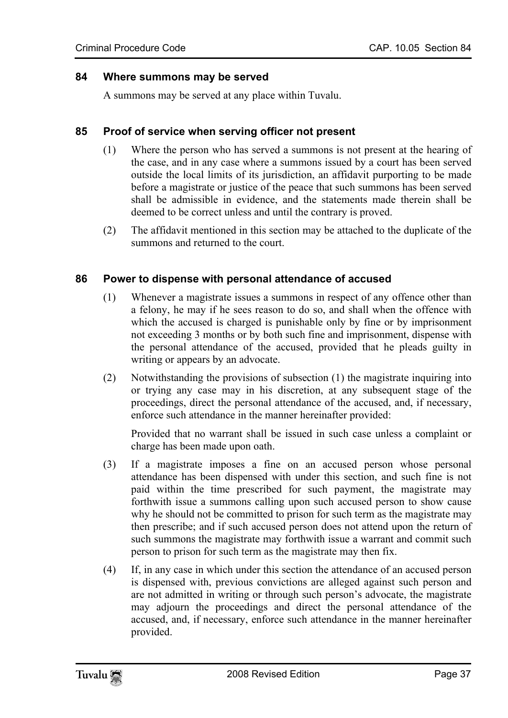#### **84 Where summons may be served**

A summons may be served at any place within Tuvalu.

#### **85 Proof of service when serving officer not present**

- (1) Where the person who has served a summons is not present at the hearing of the case, and in any case where a summons issued by a court has been served outside the local limits of its jurisdiction, an affidavit purporting to be made before a magistrate or justice of the peace that such summons has been served shall be admissible in evidence, and the statements made therein shall be deemed to be correct unless and until the contrary is proved.
- (2) The affidavit mentioned in this section may be attached to the duplicate of the summons and returned to the court.

#### **86 Power to dispense with personal attendance of accused**

- (1) Whenever a magistrate issues a summons in respect of any offence other than a felony, he may if he sees reason to do so, and shall when the offence with which the accused is charged is punishable only by fine or by imprisonment not exceeding 3 months or by both such fine and imprisonment, dispense with the personal attendance of the accused, provided that he pleads guilty in writing or appears by an advocate.
- (2) Notwithstanding the provisions of subsection (1) the magistrate inquiring into or trying any case may in his discretion, at any subsequent stage of the proceedings, direct the personal attendance of the accused, and, if necessary, enforce such attendance in the manner hereinafter provided:

Provided that no warrant shall be issued in such case unless a complaint or charge has been made upon oath.

- (3) If a magistrate imposes a fine on an accused person whose personal attendance has been dispensed with under this section, and such fine is not paid within the time prescribed for such payment, the magistrate may forthwith issue a summons calling upon such accused person to show cause why he should not be committed to prison for such term as the magistrate may then prescribe; and if such accused person does not attend upon the return of such summons the magistrate may forthwith issue a warrant and commit such person to prison for such term as the magistrate may then fix.
- (4) If, in any case in which under this section the attendance of an accused person is dispensed with, previous convictions are alleged against such person and are not admitted in writing or through such person's advocate, the magistrate may adjourn the proceedings and direct the personal attendance of the accused, and, if necessary, enforce such attendance in the manner hereinafter provided.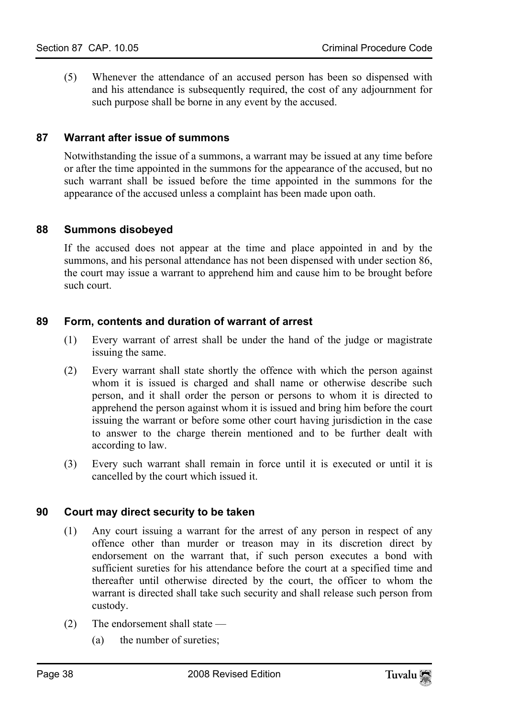(5) Whenever the attendance of an accused person has been so dispensed with and his attendance is subsequently required, the cost of any adjournment for such purpose shall be borne in any event by the accused.

## **87 Warrant after issue of summons**

Notwithstanding the issue of a summons, a warrant may be issued at any time before or after the time appointed in the summons for the appearance of the accused, but no such warrant shall be issued before the time appointed in the summons for the appearance of the accused unless a complaint has been made upon oath.

## **88 Summons disobeyed**

If the accused does not appear at the time and place appointed in and by the summons, and his personal attendance has not been dispensed with under section 86, the court may issue a warrant to apprehend him and cause him to be brought before such court.

## **89 Form, contents and duration of warrant of arrest**

- (1) Every warrant of arrest shall be under the hand of the judge or magistrate issuing the same.
- (2) Every warrant shall state shortly the offence with which the person against whom it is issued is charged and shall name or otherwise describe such person, and it shall order the person or persons to whom it is directed to apprehend the person against whom it is issued and bring him before the court issuing the warrant or before some other court having jurisdiction in the case to answer to the charge therein mentioned and to be further dealt with according to law.
- (3) Every such warrant shall remain in force until it is executed or until it is cancelled by the court which issued it.

## **90 Court may direct security to be taken**

- (1) Any court issuing a warrant for the arrest of any person in respect of any offence other than murder or treason may in its discretion direct by endorsement on the warrant that, if such person executes a bond with sufficient sureties for his attendance before the court at a specified time and thereafter until otherwise directed by the court, the officer to whom the warrant is directed shall take such security and shall release such person from custody.
- (2) The endorsement shall state
	- (a) the number of sureties;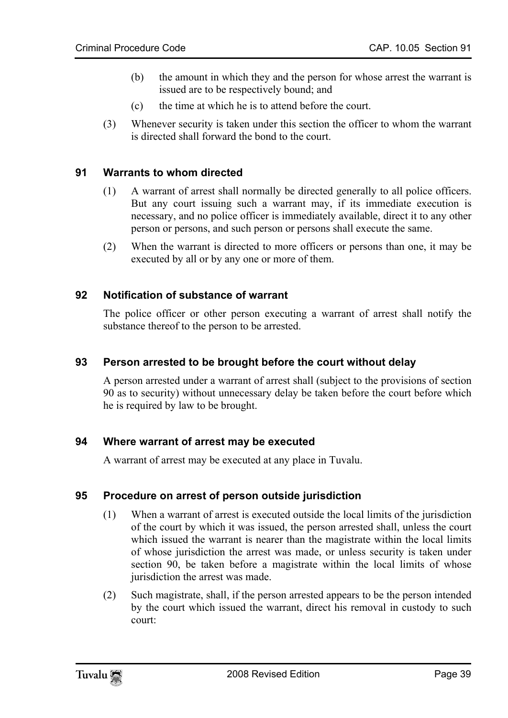- (b) the amount in which they and the person for whose arrest the warrant is issued are to be respectively bound; and
- (c) the time at which he is to attend before the court.
- (3) Whenever security is taken under this section the officer to whom the warrant is directed shall forward the bond to the court.

## **91 Warrants to whom directed**

- (1) A warrant of arrest shall normally be directed generally to all police officers. But any court issuing such a warrant may, if its immediate execution is necessary, and no police officer is immediately available, direct it to any other person or persons, and such person or persons shall execute the same.
- (2) When the warrant is directed to more officers or persons than one, it may be executed by all or by any one or more of them.

## **92 Notification of substance of warrant**

The police officer or other person executing a warrant of arrest shall notify the substance thereof to the person to be arrested.

## **93 Person arrested to be brought before the court without delay**

A person arrested under a warrant of arrest shall (subject to the provisions of section 90 as to security) without unnecessary delay be taken before the court before which he is required by law to be brought.

## **94 Where warrant of arrest may be executed**

A warrant of arrest may be executed at any place in Tuvalu.

## **95 Procedure on arrest of person outside jurisdiction**

- (1) When a warrant of arrest is executed outside the local limits of the jurisdiction of the court by which it was issued, the person arrested shall, unless the court which issued the warrant is nearer than the magistrate within the local limits of whose jurisdiction the arrest was made, or unless security is taken under section 90, be taken before a magistrate within the local limits of whose jurisdiction the arrest was made.
- (2) Such magistrate, shall, if the person arrested appears to be the person intended by the court which issued the warrant, direct his removal in custody to such court: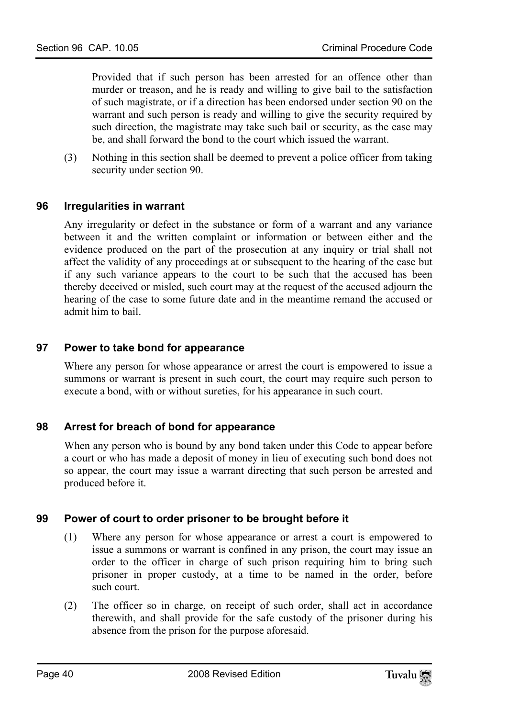Provided that if such person has been arrested for an offence other than murder or treason, and he is ready and willing to give bail to the satisfaction of such magistrate, or if a direction has been endorsed under section 90 on the warrant and such person is ready and willing to give the security required by such direction, the magistrate may take such bail or security, as the case may be, and shall forward the bond to the court which issued the warrant.

(3) Nothing in this section shall be deemed to prevent a police officer from taking security under section 90.

## **96 Irregularities in warrant**

Any irregularity or defect in the substance or form of a warrant and any variance between it and the written complaint or information or between either and the evidence produced on the part of the prosecution at any inquiry or trial shall not affect the validity of any proceedings at or subsequent to the hearing of the case but if any such variance appears to the court to be such that the accused has been thereby deceived or misled, such court may at the request of the accused adjourn the hearing of the case to some future date and in the meantime remand the accused or admit him to bail.

## **97 Power to take bond for appearance**

Where any person for whose appearance or arrest the court is empowered to issue a summons or warrant is present in such court, the court may require such person to execute a bond, with or without sureties, for his appearance in such court.

# **98 Arrest for breach of bond for appearance**

When any person who is bound by any bond taken under this Code to appear before a court or who has made a deposit of money in lieu of executing such bond does not so appear, the court may issue a warrant directing that such person be arrested and produced before it.

# **99 Power of court to order prisoner to be brought before it**

- (1) Where any person for whose appearance or arrest a court is empowered to issue a summons or warrant is confined in any prison, the court may issue an order to the officer in charge of such prison requiring him to bring such prisoner in proper custody, at a time to be named in the order, before such court.
- (2) The officer so in charge, on receipt of such order, shall act in accordance therewith, and shall provide for the safe custody of the prisoner during his absence from the prison for the purpose aforesaid.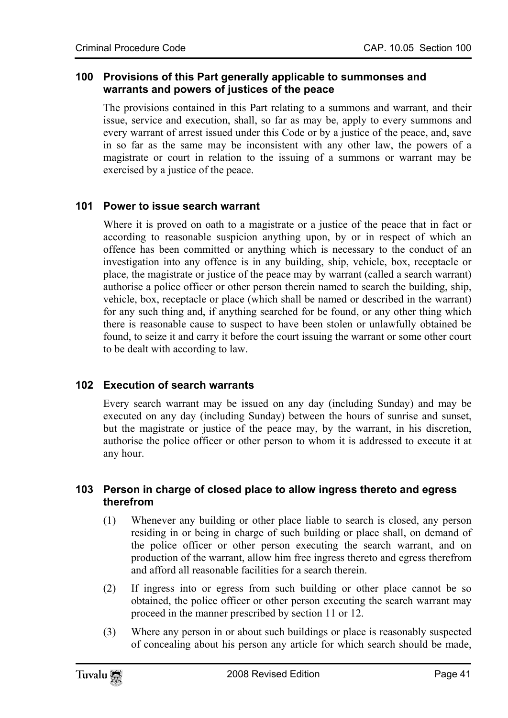## **100 Provisions of this Part generally applicable to summonses and warrants and powers of justices of the peace**

The provisions contained in this Part relating to a summons and warrant, and their issue, service and execution, shall, so far as may be, apply to every summons and every warrant of arrest issued under this Code or by a justice of the peace, and, save in so far as the same may be inconsistent with any other law, the powers of a magistrate or court in relation to the issuing of a summons or warrant may be exercised by a justice of the peace.

## **101 Power to issue search warrant**

Where it is proved on oath to a magistrate or a justice of the peace that in fact or according to reasonable suspicion anything upon, by or in respect of which an offence has been committed or anything which is necessary to the conduct of an investigation into any offence is in any building, ship, vehicle, box, receptacle or place, the magistrate or justice of the peace may by warrant (called a search warrant) authorise a police officer or other person therein named to search the building, ship, vehicle, box, receptacle or place (which shall be named or described in the warrant) for any such thing and, if anything searched for be found, or any other thing which there is reasonable cause to suspect to have been stolen or unlawfully obtained be found, to seize it and carry it before the court issuing the warrant or some other court to be dealt with according to law.

# **102 Execution of search warrants**

Every search warrant may be issued on any day (including Sunday) and may be executed on any day (including Sunday) between the hours of sunrise and sunset, but the magistrate or justice of the peace may, by the warrant, in his discretion, authorise the police officer or other person to whom it is addressed to execute it at any hour.

## **103 Person in charge of closed place to allow ingress thereto and egress therefrom**

- (1) Whenever any building or other place liable to search is closed, any person residing in or being in charge of such building or place shall, on demand of the police officer or other person executing the search warrant, and on production of the warrant, allow him free ingress thereto and egress therefrom and afford all reasonable facilities for a search therein.
- (2) If ingress into or egress from such building or other place cannot be so obtained, the police officer or other person executing the search warrant may proceed in the manner prescribed by section 11 or 12.
- (3) Where any person in or about such buildings or place is reasonably suspected of concealing about his person any article for which search should be made,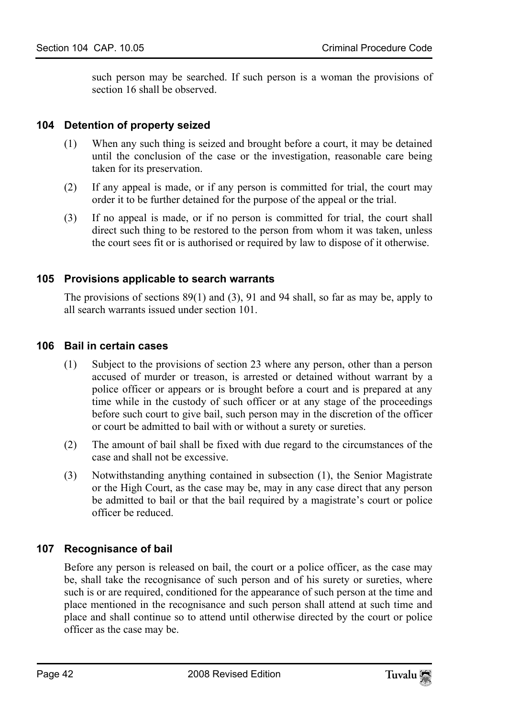such person may be searched. If such person is a woman the provisions of section 16 shall be observed.

## **104 Detention of property seized**

- (1) When any such thing is seized and brought before a court, it may be detained until the conclusion of the case or the investigation, reasonable care being taken for its preservation.
- (2) If any appeal is made, or if any person is committed for trial, the court may order it to be further detained for the purpose of the appeal or the trial.
- (3) If no appeal is made, or if no person is committed for trial, the court shall direct such thing to be restored to the person from whom it was taken, unless the court sees fit or is authorised or required by law to dispose of it otherwise.

## **105 Provisions applicable to search warrants**

The provisions of sections 89(1) and (3), 91 and 94 shall, so far as may be, apply to all search warrants issued under section 101.

## **106 Bail in certain cases**

- (1) Subject to the provisions of section 23 where any person, other than a person accused of murder or treason, is arrested or detained without warrant by a police officer or appears or is brought before a court and is prepared at any time while in the custody of such officer or at any stage of the proceedings before such court to give bail, such person may in the discretion of the officer or court be admitted to bail with or without a surety or sureties.
- (2) The amount of bail shall be fixed with due regard to the circumstances of the case and shall not be excessive.
- (3) Notwithstanding anything contained in subsection (1), the Senior Magistrate or the High Court, as the case may be, may in any case direct that any person be admitted to bail or that the bail required by a magistrate's court or police officer be reduced.

# **107 Recognisance of bail**

Before any person is released on bail, the court or a police officer, as the case may be, shall take the recognisance of such person and of his surety or sureties, where such is or are required, conditioned for the appearance of such person at the time and place mentioned in the recognisance and such person shall attend at such time and place and shall continue so to attend until otherwise directed by the court or police officer as the case may be.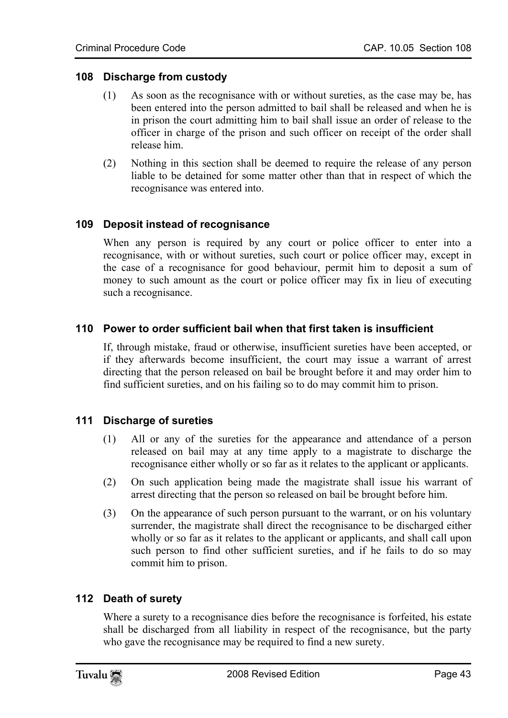## **108 Discharge from custody**

- (1) As soon as the recognisance with or without sureties, as the case may be, has been entered into the person admitted to bail shall be released and when he is in prison the court admitting him to bail shall issue an order of release to the officer in charge of the prison and such officer on receipt of the order shall release him.
- (2) Nothing in this section shall be deemed to require the release of any person liable to be detained for some matter other than that in respect of which the recognisance was entered into.

## **109 Deposit instead of recognisance**

When any person is required by any court or police officer to enter into a recognisance, with or without sureties, such court or police officer may, except in the case of a recognisance for good behaviour, permit him to deposit a sum of money to such amount as the court or police officer may fix in lieu of executing such a recognisance.

## **110 Power to order sufficient bail when that first taken is insufficient**

If, through mistake, fraud or otherwise, insufficient sureties have been accepted, or if they afterwards become insufficient, the court may issue a warrant of arrest directing that the person released on bail be brought before it and may order him to find sufficient sureties, and on his failing so to do may commit him to prison.

## **111 Discharge of sureties**

- (1) All or any of the sureties for the appearance and attendance of a person released on bail may at any time apply to a magistrate to discharge the recognisance either wholly or so far as it relates to the applicant or applicants.
- (2) On such application being made the magistrate shall issue his warrant of arrest directing that the person so released on bail be brought before him.
- (3) On the appearance of such person pursuant to the warrant, or on his voluntary surrender, the magistrate shall direct the recognisance to be discharged either wholly or so far as it relates to the applicant or applicants, and shall call upon such person to find other sufficient sureties, and if he fails to do so may commit him to prison.

## **112 Death of surety**

Where a surety to a recognisance dies before the recognisance is forfeited, his estate shall be discharged from all liability in respect of the recognisance, but the party who gave the recognisance may be required to find a new surety.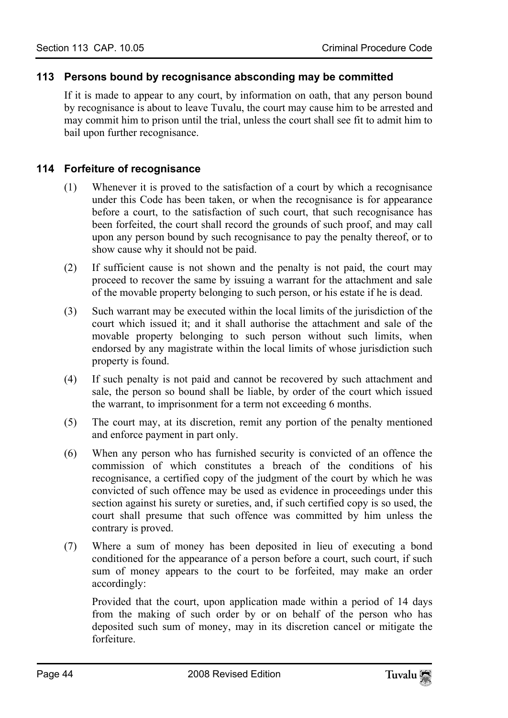## **113 Persons bound by recognisance absconding may be committed**

If it is made to appear to any court, by information on oath, that any person bound by recognisance is about to leave Tuvalu, the court may cause him to be arrested and may commit him to prison until the trial, unless the court shall see fit to admit him to bail upon further recognisance.

## **114 Forfeiture of recognisance**

- (1) Whenever it is proved to the satisfaction of a court by which a recognisance under this Code has been taken, or when the recognisance is for appearance before a court, to the satisfaction of such court, that such recognisance has been forfeited, the court shall record the grounds of such proof, and may call upon any person bound by such recognisance to pay the penalty thereof, or to show cause why it should not be paid.
- (2) If sufficient cause is not shown and the penalty is not paid, the court may proceed to recover the same by issuing a warrant for the attachment and sale of the movable property belonging to such person, or his estate if he is dead.
- (3) Such warrant may be executed within the local limits of the jurisdiction of the court which issued it; and it shall authorise the attachment and sale of the movable property belonging to such person without such limits, when endorsed by any magistrate within the local limits of whose jurisdiction such property is found.
- (4) If such penalty is not paid and cannot be recovered by such attachment and sale, the person so bound shall be liable, by order of the court which issued the warrant, to imprisonment for a term not exceeding 6 months.
- (5) The court may, at its discretion, remit any portion of the penalty mentioned and enforce payment in part only.
- (6) When any person who has furnished security is convicted of an offence the commission of which constitutes a breach of the conditions of his recognisance, a certified copy of the judgment of the court by which he was convicted of such offence may be used as evidence in proceedings under this section against his surety or sureties, and, if such certified copy is so used, the court shall presume that such offence was committed by him unless the contrary is proved.
- (7) Where a sum of money has been deposited in lieu of executing a bond conditioned for the appearance of a person before a court, such court, if such sum of money appears to the court to be forfeited, may make an order accordingly:

Provided that the court, upon application made within a period of 14 days from the making of such order by or on behalf of the person who has deposited such sum of money, may in its discretion cancel or mitigate the forfeiture.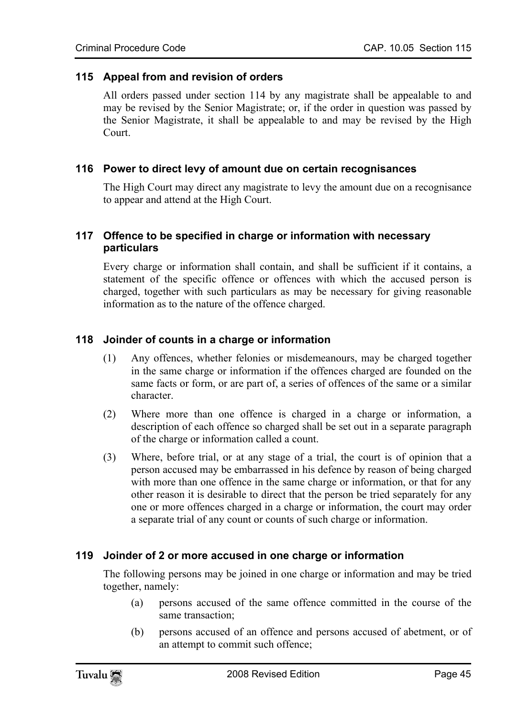#### **115 Appeal from and revision of orders**

All orders passed under section 114 by any magistrate shall be appealable to and may be revised by the Senior Magistrate; or, if the order in question was passed by the Senior Magistrate, it shall be appealable to and may be revised by the High Court.

#### **116 Power to direct levy of amount due on certain recognisances**

The High Court may direct any magistrate to levy the amount due on a recognisance to appear and attend at the High Court.

## **117 Offence to be specified in charge or information with necessary particulars**

Every charge or information shall contain, and shall be sufficient if it contains, a statement of the specific offence or offences with which the accused person is charged, together with such particulars as may be necessary for giving reasonable information as to the nature of the offence charged.

## **118 Joinder of counts in a charge or information**

- (1) Any offences, whether felonies or misdemeanours, may be charged together in the same charge or information if the offences charged are founded on the same facts or form, or are part of, a series of offences of the same or a similar character.
- (2) Where more than one offence is charged in a charge or information, a description of each offence so charged shall be set out in a separate paragraph of the charge or information called a count.
- (3) Where, before trial, or at any stage of a trial, the court is of opinion that a person accused may be embarrassed in his defence by reason of being charged with more than one offence in the same charge or information, or that for any other reason it is desirable to direct that the person be tried separately for any one or more offences charged in a charge or information, the court may order a separate trial of any count or counts of such charge or information.

## **119 Joinder of 2 or more accused in one charge or information**

The following persons may be joined in one charge or information and may be tried together, namely:

- (a) persons accused of the same offence committed in the course of the same transaction;
- (b) persons accused of an offence and persons accused of abetment, or of an attempt to commit such offence;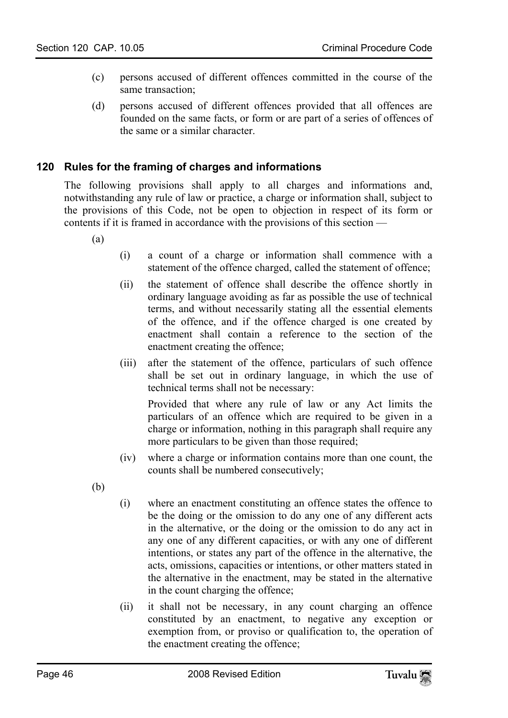- (c) persons accused of different offences committed in the course of the same transaction;
- (d) persons accused of different offences provided that all offences are founded on the same facts, or form or are part of a series of offences of the same or a similar character.

# **120 Rules for the framing of charges and informations**

The following provisions shall apply to all charges and informations and, notwithstanding any rule of law or practice, a charge or information shall, subject to the provisions of this Code, not be open to objection in respect of its form or contents if it is framed in accordance with the provisions of this section —

(a)

- (i) a count of a charge or information shall commence with a statement of the offence charged, called the statement of offence;
- (ii) the statement of offence shall describe the offence shortly in ordinary language avoiding as far as possible the use of technical terms, and without necessarily stating all the essential elements of the offence, and if the offence charged is one created by enactment shall contain a reference to the section of the enactment creating the offence;
- (iii) after the statement of the offence, particulars of such offence shall be set out in ordinary language, in which the use of technical terms shall not be necessary:

Provided that where any rule of law or any Act limits the particulars of an offence which are required to be given in a charge or information, nothing in this paragraph shall require any more particulars to be given than those required;

- (iv) where a charge or information contains more than one count, the counts shall be numbered consecutively;
- (b)
- (i) where an enactment constituting an offence states the offence to be the doing or the omission to do any one of any different acts in the alternative, or the doing or the omission to do any act in any one of any different capacities, or with any one of different intentions, or states any part of the offence in the alternative, the acts, omissions, capacities or intentions, or other matters stated in the alternative in the enactment, may be stated in the alternative in the count charging the offence;
- (ii) it shall not be necessary, in any count charging an offence constituted by an enactment, to negative any exception or exemption from, or proviso or qualification to, the operation of the enactment creating the offence;

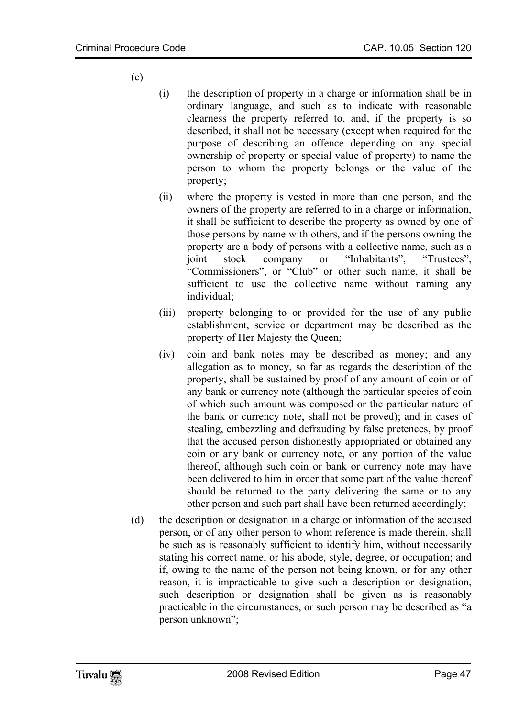- (c)
- (i) the description of property in a charge or information shall be in ordinary language, and such as to indicate with reasonable clearness the property referred to, and, if the property is so described, it shall not be necessary (except when required for the purpose of describing an offence depending on any special ownership of property or special value of property) to name the person to whom the property belongs or the value of the property;
- (ii) where the property is vested in more than one person, and the owners of the property are referred to in a charge or information, it shall be sufficient to describe the property as owned by one of those persons by name with others, and if the persons owning the property are a body of persons with a collective name, such as a joint stock company or "Inhabitants", "Trustees", "Commissioners", or "Club" or other such name, it shall be sufficient to use the collective name without naming any individual;
- (iii) property belonging to or provided for the use of any public establishment, service or department may be described as the property of Her Majesty the Queen;
- (iv) coin and bank notes may be described as money; and any allegation as to money, so far as regards the description of the property, shall be sustained by proof of any amount of coin or of any bank or currency note (although the particular species of coin of which such amount was composed or the particular nature of the bank or currency note, shall not be proved); and in cases of stealing, embezzling and defrauding by false pretences, by proof that the accused person dishonestly appropriated or obtained any coin or any bank or currency note, or any portion of the value thereof, although such coin or bank or currency note may have been delivered to him in order that some part of the value thereof should be returned to the party delivering the same or to any other person and such part shall have been returned accordingly;
- (d) the description or designation in a charge or information of the accused person, or of any other person to whom reference is made therein, shall be such as is reasonably sufficient to identify him, without necessarily stating his correct name, or his abode, style, degree, or occupation; and if, owing to the name of the person not being known, or for any other reason, it is impracticable to give such a description or designation, such description or designation shall be given as is reasonably practicable in the circumstances, or such person may be described as "a person unknown";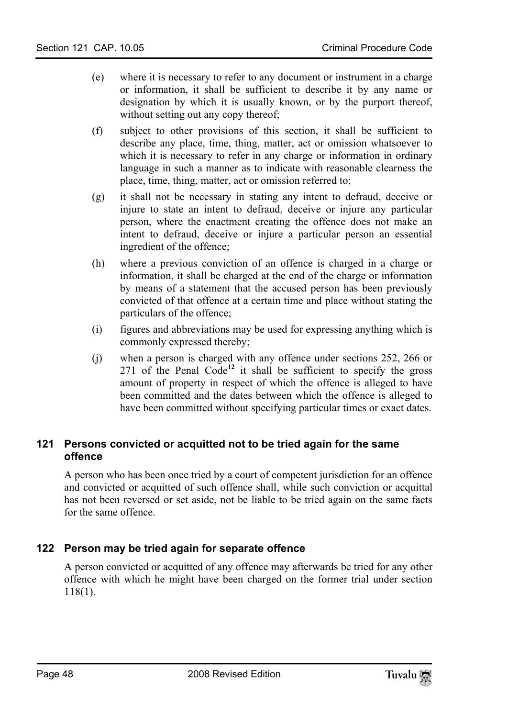- (e) where it is necessary to refer to any document or instrument in a charge or information, it shall be sufficient to describe it by any name or designation by which it is usually known, or by the purport thereof, without setting out any copy thereof;
- (f) subject to other provisions of this section, it shall be sufficient to describe any place, time, thing, matter, act or omission whatsoever to which it is necessary to refer in any charge or information in ordinary language in such a manner as to indicate with reasonable clearness the place, time, thing, matter, act or omission referred to;
- (g) it shall not be necessary in stating any intent to defraud, deceive or injure to state an intent to defraud, deceive or injure any particular person, where the enactment creating the offence does not make an intent to defraud, deceive or injure a particular person an essential ingredient of the offence;
- (h) where a previous conviction of an offence is charged in a charge or information, it shall be charged at the end of the charge or information by means of a statement that the accused person has been previously convicted of that offence at a certain time and place without stating the particulars of the offence;
- (i) figures and abbreviations may be used for expressing anything which is commonly expressed thereby;
- (j) when a person is charged with any offence under sections 252, 266 or 271 of the Penal Code**<sup>12</sup>** it shall be sufficient to specify the gross amount of property in respect of which the offence is alleged to have been committed and the dates between which the offence is alleged to have been committed without specifying particular times or exact dates.

# **121 Persons convicted or acquitted not to be tried again for the same offence**

A person who has been once tried by a court of competent jurisdiction for an offence and convicted or acquitted of such offence shall, while such conviction or acquittal has not been reversed or set aside, not be liable to be tried again on the same facts for the same offence.

# **122 Person may be tried again for separate offence**

A person convicted or acquitted of any offence may afterwards be tried for any other offence with which he might have been charged on the former trial under section 118(1).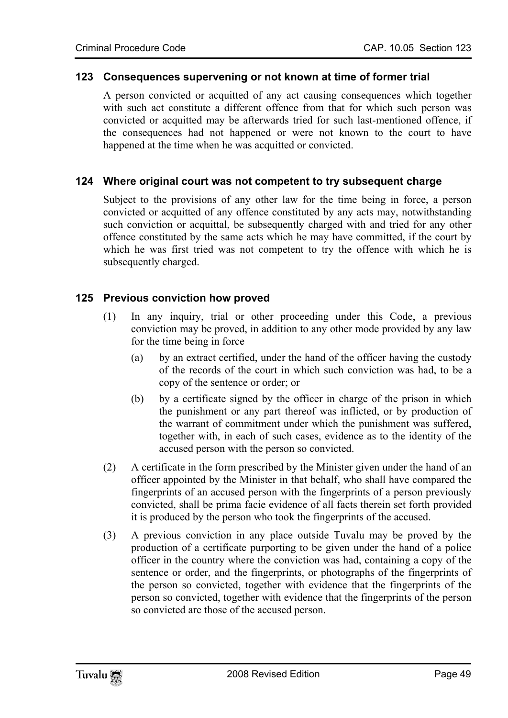#### **123 Consequences supervening or not known at time of former trial**

A person convicted or acquitted of any act causing consequences which together with such act constitute a different offence from that for which such person was convicted or acquitted may be afterwards tried for such last-mentioned offence, if the consequences had not happened or were not known to the court to have happened at the time when he was acquitted or convicted.

#### **124 Where original court was not competent to try subsequent charge**

Subject to the provisions of any other law for the time being in force, a person convicted or acquitted of any offence constituted by any acts may, notwithstanding such conviction or acquittal, be subsequently charged with and tried for any other offence constituted by the same acts which he may have committed, if the court by which he was first tried was not competent to try the offence with which he is subsequently charged.

#### **125 Previous conviction how proved**

- (1) In any inquiry, trial or other proceeding under this Code, a previous conviction may be proved, in addition to any other mode provided by any law for the time being in force —
	- (a) by an extract certified, under the hand of the officer having the custody of the records of the court in which such conviction was had, to be a copy of the sentence or order; or
	- (b) by a certificate signed by the officer in charge of the prison in which the punishment or any part thereof was inflicted, or by production of the warrant of commitment under which the punishment was suffered, together with, in each of such cases, evidence as to the identity of the accused person with the person so convicted.
- (2) A certificate in the form prescribed by the Minister given under the hand of an officer appointed by the Minister in that behalf, who shall have compared the fingerprints of an accused person with the fingerprints of a person previously convicted, shall be prima facie evidence of all facts therein set forth provided it is produced by the person who took the fingerprints of the accused.
- (3) A previous conviction in any place outside Tuvalu may be proved by the production of a certificate purporting to be given under the hand of a police officer in the country where the conviction was had, containing a copy of the sentence or order, and the fingerprints, or photographs of the fingerprints of the person so convicted, together with evidence that the fingerprints of the person so convicted, together with evidence that the fingerprints of the person so convicted are those of the accused person.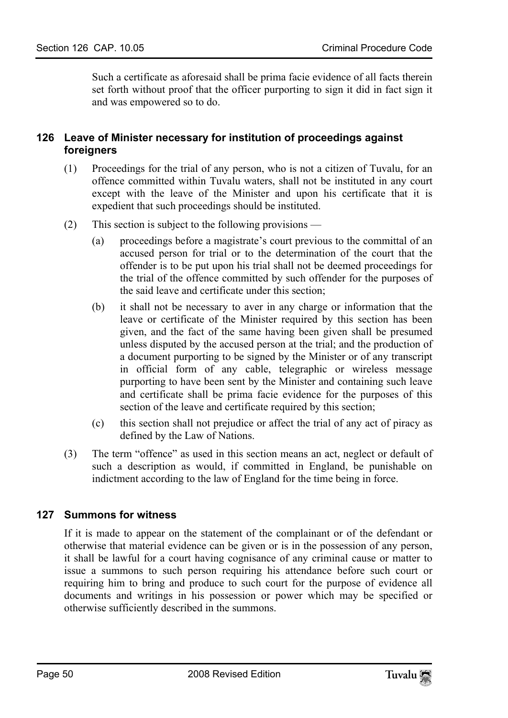Such a certificate as aforesaid shall be prima facie evidence of all facts therein set forth without proof that the officer purporting to sign it did in fact sign it and was empowered so to do.

## **126 Leave of Minister necessary for institution of proceedings against foreigners**

- (1) Proceedings for the trial of any person, who is not a citizen of Tuvalu, for an offence committed within Tuvalu waters, shall not be instituted in any court except with the leave of the Minister and upon his certificate that it is expedient that such proceedings should be instituted.
- (2) This section is subject to the following provisions
	- (a) proceedings before a magistrate's court previous to the committal of an accused person for trial or to the determination of the court that the offender is to be put upon his trial shall not be deemed proceedings for the trial of the offence committed by such offender for the purposes of the said leave and certificate under this section;
	- (b) it shall not be necessary to aver in any charge or information that the leave or certificate of the Minister required by this section has been given, and the fact of the same having been given shall be presumed unless disputed by the accused person at the trial; and the production of a document purporting to be signed by the Minister or of any transcript in official form of any cable, telegraphic or wireless message purporting to have been sent by the Minister and containing such leave and certificate shall be prima facie evidence for the purposes of this section of the leave and certificate required by this section;
	- (c) this section shall not prejudice or affect the trial of any act of piracy as defined by the Law of Nations.
- (3) The term "offence" as used in this section means an act, neglect or default of such a description as would, if committed in England, be punishable on indictment according to the law of England for the time being in force.

## **127 Summons for witness**

If it is made to appear on the statement of the complainant or of the defendant or otherwise that material evidence can be given or is in the possession of any person, it shall be lawful for a court having cognisance of any criminal cause or matter to issue a summons to such person requiring his attendance before such court or requiring him to bring and produce to such court for the purpose of evidence all documents and writings in his possession or power which may be specified or otherwise sufficiently described in the summons.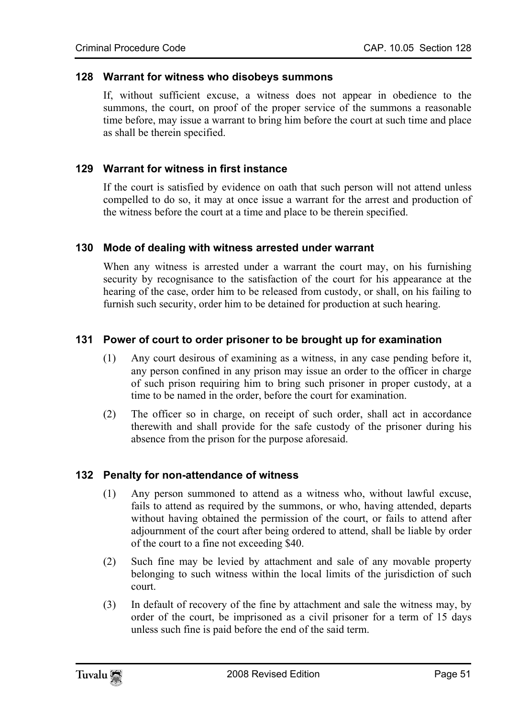#### **128 Warrant for witness who disobeys summons**

If, without sufficient excuse, a witness does not appear in obedience to the summons, the court, on proof of the proper service of the summons a reasonable time before, may issue a warrant to bring him before the court at such time and place as shall be therein specified.

#### **129 Warrant for witness in first instance**

If the court is satisfied by evidence on oath that such person will not attend unless compelled to do so, it may at once issue a warrant for the arrest and production of the witness before the court at a time and place to be therein specified.

#### **130 Mode of dealing with witness arrested under warrant**

When any witness is arrested under a warrant the court may, on his furnishing security by recognisance to the satisfaction of the court for his appearance at the hearing of the case, order him to be released from custody, or shall, on his failing to furnish such security, order him to be detained for production at such hearing.

## **131 Power of court to order prisoner to be brought up for examination**

- (1) Any court desirous of examining as a witness, in any case pending before it, any person confined in any prison may issue an order to the officer in charge of such prison requiring him to bring such prisoner in proper custody, at a time to be named in the order, before the court for examination.
- (2) The officer so in charge, on receipt of such order, shall act in accordance therewith and shall provide for the safe custody of the prisoner during his absence from the prison for the purpose aforesaid.

#### **132 Penalty for non-attendance of witness**

- (1) Any person summoned to attend as a witness who, without lawful excuse, fails to attend as required by the summons, or who, having attended, departs without having obtained the permission of the court, or fails to attend after adjournment of the court after being ordered to attend, shall be liable by order of the court to a fine not exceeding \$40.
- (2) Such fine may be levied by attachment and sale of any movable property belonging to such witness within the local limits of the jurisdiction of such court.
- (3) In default of recovery of the fine by attachment and sale the witness may, by order of the court, be imprisoned as a civil prisoner for a term of 15 days unless such fine is paid before the end of the said term.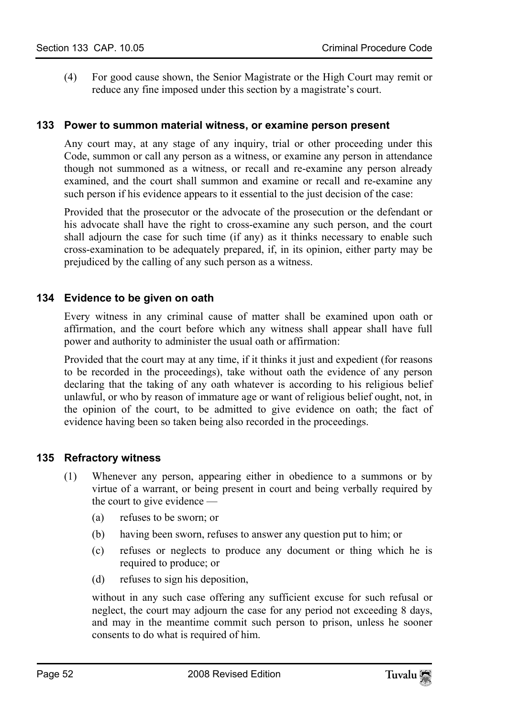(4) For good cause shown, the Senior Magistrate or the High Court may remit or reduce any fine imposed under this section by a magistrate's court.

## **133 Power to summon material witness, or examine person present**

Any court may, at any stage of any inquiry, trial or other proceeding under this Code, summon or call any person as a witness, or examine any person in attendance though not summoned as a witness, or recall and re-examine any person already examined, and the court shall summon and examine or recall and re-examine any such person if his evidence appears to it essential to the just decision of the case:

Provided that the prosecutor or the advocate of the prosecution or the defendant or his advocate shall have the right to cross-examine any such person, and the court shall adjourn the case for such time (if any) as it thinks necessary to enable such cross-examination to be adequately prepared, if, in its opinion, either party may be prejudiced by the calling of any such person as a witness.

## **134 Evidence to be given on oath**

Every witness in any criminal cause of matter shall be examined upon oath or affirmation, and the court before which any witness shall appear shall have full power and authority to administer the usual oath or affirmation:

Provided that the court may at any time, if it thinks it just and expedient (for reasons to be recorded in the proceedings), take without oath the evidence of any person declaring that the taking of any oath whatever is according to his religious belief unlawful, or who by reason of immature age or want of religious belief ought, not, in the opinion of the court, to be admitted to give evidence on oath; the fact of evidence having been so taken being also recorded in the proceedings.

## **135 Refractory witness**

- (1) Whenever any person, appearing either in obedience to a summons or by virtue of a warrant, or being present in court and being verbally required by the court to give evidence —
	- (a) refuses to be sworn; or
	- (b) having been sworn, refuses to answer any question put to him; or
	- (c) refuses or neglects to produce any document or thing which he is required to produce; or
	- (d) refuses to sign his deposition,

without in any such case offering any sufficient excuse for such refusal or neglect, the court may adjourn the case for any period not exceeding 8 days, and may in the meantime commit such person to prison, unless he sooner consents to do what is required of him.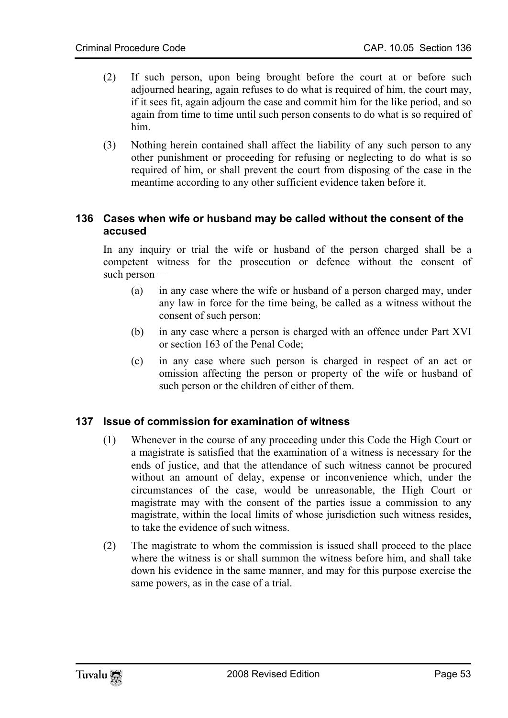- (2) If such person, upon being brought before the court at or before such adjourned hearing, again refuses to do what is required of him, the court may, if it sees fit, again adjourn the case and commit him for the like period, and so again from time to time until such person consents to do what is so required of him.
- (3) Nothing herein contained shall affect the liability of any such person to any other punishment or proceeding for refusing or neglecting to do what is so required of him, or shall prevent the court from disposing of the case in the meantime according to any other sufficient evidence taken before it.

## **136 Cases when wife or husband may be called without the consent of the accused**

In any inquiry or trial the wife or husband of the person charged shall be a competent witness for the prosecution or defence without the consent of such person —

- (a) in any case where the wife or husband of a person charged may, under any law in force for the time being, be called as a witness without the consent of such person;
- (b) in any case where a person is charged with an offence under Part XVI or section 163 of the Penal Code;
- (c) in any case where such person is charged in respect of an act or omission affecting the person or property of the wife or husband of such person or the children of either of them.

## **137 Issue of commission for examination of witness**

- (1) Whenever in the course of any proceeding under this Code the High Court or a magistrate is satisfied that the examination of a witness is necessary for the ends of justice, and that the attendance of such witness cannot be procured without an amount of delay, expense or inconvenience which, under the circumstances of the case, would be unreasonable, the High Court or magistrate may with the consent of the parties issue a commission to any magistrate, within the local limits of whose jurisdiction such witness resides, to take the evidence of such witness.
- (2) The magistrate to whom the commission is issued shall proceed to the place where the witness is or shall summon the witness before him, and shall take down his evidence in the same manner, and may for this purpose exercise the same powers, as in the case of a trial.

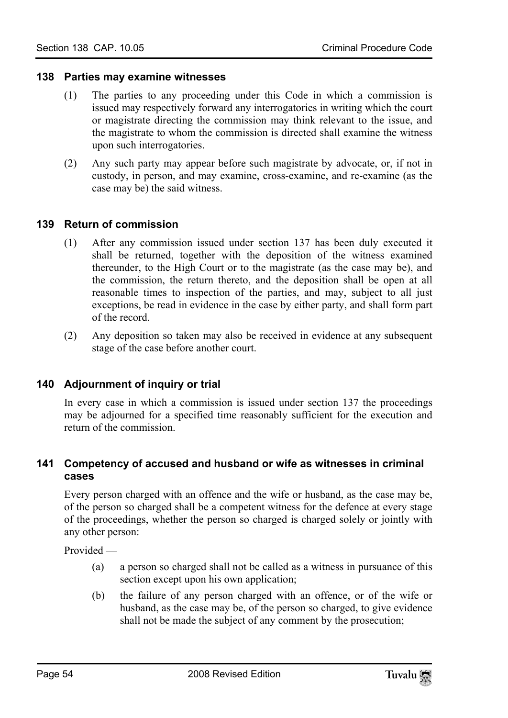#### **138 Parties may examine witnesses**

- (1) The parties to any proceeding under this Code in which a commission is issued may respectively forward any interrogatories in writing which the court or magistrate directing the commission may think relevant to the issue, and the magistrate to whom the commission is directed shall examine the witness upon such interrogatories.
- (2) Any such party may appear before such magistrate by advocate, or, if not in custody, in person, and may examine, cross-examine, and re-examine (as the case may be) the said witness.

## **139 Return of commission**

- (1) After any commission issued under section 137 has been duly executed it shall be returned, together with the deposition of the witness examined thereunder, to the High Court or to the magistrate (as the case may be), and the commission, the return thereto, and the deposition shall be open at all reasonable times to inspection of the parties, and may, subject to all just exceptions, be read in evidence in the case by either party, and shall form part of the record.
- (2) Any deposition so taken may also be received in evidence at any subsequent stage of the case before another court.

## **140 Adjournment of inquiry or trial**

In every case in which a commission is issued under section 137 the proceedings may be adjourned for a specified time reasonably sufficient for the execution and return of the commission.

## **141 Competency of accused and husband or wife as witnesses in criminal cases**

Every person charged with an offence and the wife or husband, as the case may be, of the person so charged shall be a competent witness for the defence at every stage of the proceedings, whether the person so charged is charged solely or jointly with any other person:

Provided —

- (a) a person so charged shall not be called as a witness in pursuance of this section except upon his own application;
- (b) the failure of any person charged with an offence, or of the wife or husband, as the case may be, of the person so charged, to give evidence shall not be made the subject of any comment by the prosecution;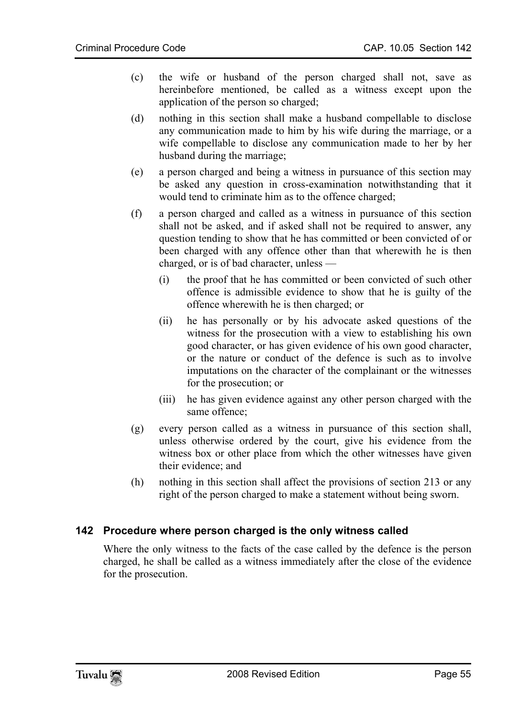- (c) the wife or husband of the person charged shall not, save as hereinbefore mentioned, be called as a witness except upon the application of the person so charged;
- (d) nothing in this section shall make a husband compellable to disclose any communication made to him by his wife during the marriage, or a wife compellable to disclose any communication made to her by her husband during the marriage;
- (e) a person charged and being a witness in pursuance of this section may be asked any question in cross-examination notwithstanding that it would tend to criminate him as to the offence charged;
- (f) a person charged and called as a witness in pursuance of this section shall not be asked, and if asked shall not be required to answer, any question tending to show that he has committed or been convicted of or been charged with any offence other than that wherewith he is then charged, or is of bad character, unless —
	- (i) the proof that he has committed or been convicted of such other offence is admissible evidence to show that he is guilty of the offence wherewith he is then charged; or
	- (ii) he has personally or by his advocate asked questions of the witness for the prosecution with a view to establishing his own good character, or has given evidence of his own good character, or the nature or conduct of the defence is such as to involve imputations on the character of the complainant or the witnesses for the prosecution; or
	- (iii) he has given evidence against any other person charged with the same offence;
- (g) every person called as a witness in pursuance of this section shall, unless otherwise ordered by the court, give his evidence from the witness box or other place from which the other witnesses have given their evidence; and
- (h) nothing in this section shall affect the provisions of section 213 or any right of the person charged to make a statement without being sworn.

## **142 Procedure where person charged is the only witness called**

Where the only witness to the facts of the case called by the defence is the person charged, he shall be called as a witness immediately after the close of the evidence for the prosecution.

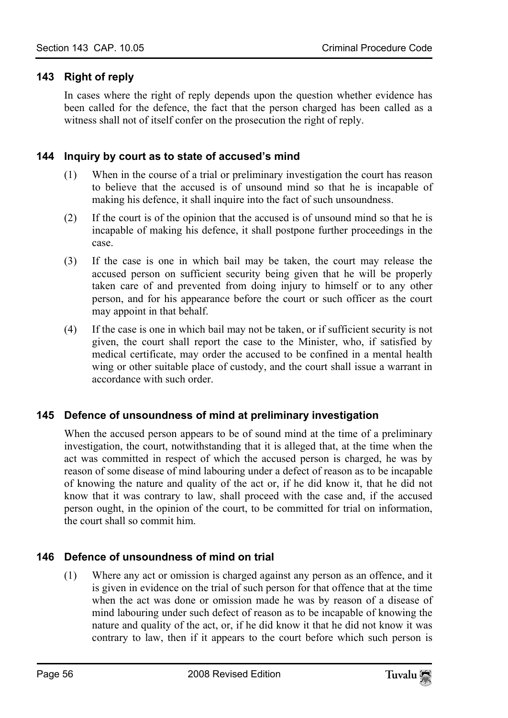## **143 Right of reply**

In cases where the right of reply depends upon the question whether evidence has been called for the defence, the fact that the person charged has been called as a witness shall not of itself confer on the prosecution the right of reply.

## **144 Inquiry by court as to state of accused's mind**

- (1) When in the course of a trial or preliminary investigation the court has reason to believe that the accused is of unsound mind so that he is incapable of making his defence, it shall inquire into the fact of such unsoundness.
- (2) If the court is of the opinion that the accused is of unsound mind so that he is incapable of making his defence, it shall postpone further proceedings in the case.
- (3) If the case is one in which bail may be taken, the court may release the accused person on sufficient security being given that he will be properly taken care of and prevented from doing injury to himself or to any other person, and for his appearance before the court or such officer as the court may appoint in that behalf.
- (4) If the case is one in which bail may not be taken, or if sufficient security is not given, the court shall report the case to the Minister, who, if satisfied by medical certificate, may order the accused to be confined in a mental health wing or other suitable place of custody, and the court shall issue a warrant in accordance with such order.

## **145 Defence of unsoundness of mind at preliminary investigation**

When the accused person appears to be of sound mind at the time of a preliminary investigation, the court, notwithstanding that it is alleged that, at the time when the act was committed in respect of which the accused person is charged, he was by reason of some disease of mind labouring under a defect of reason as to be incapable of knowing the nature and quality of the act or, if he did know it, that he did not know that it was contrary to law, shall proceed with the case and, if the accused person ought, in the opinion of the court, to be committed for trial on information, the court shall so commit him.

# **146 Defence of unsoundness of mind on trial**

(1) Where any act or omission is charged against any person as an offence, and it is given in evidence on the trial of such person for that offence that at the time when the act was done or omission made he was by reason of a disease of mind labouring under such defect of reason as to be incapable of knowing the nature and quality of the act, or, if he did know it that he did not know it was contrary to law, then if it appears to the court before which such person is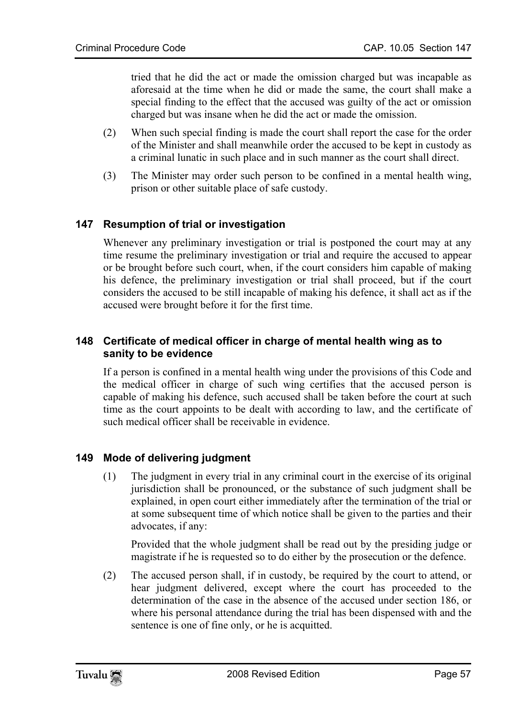tried that he did the act or made the omission charged but was incapable as aforesaid at the time when he did or made the same, the court shall make a special finding to the effect that the accused was guilty of the act or omission charged but was insane when he did the act or made the omission.

- (2) When such special finding is made the court shall report the case for the order of the Minister and shall meanwhile order the accused to be kept in custody as a criminal lunatic in such place and in such manner as the court shall direct.
- (3) The Minister may order such person to be confined in a mental health wing, prison or other suitable place of safe custody.

# **147 Resumption of trial or investigation**

Whenever any preliminary investigation or trial is postponed the court may at any time resume the preliminary investigation or trial and require the accused to appear or be brought before such court, when, if the court considers him capable of making his defence, the preliminary investigation or trial shall proceed, but if the court considers the accused to be still incapable of making his defence, it shall act as if the accused were brought before it for the first time.

## **148 Certificate of medical officer in charge of mental health wing as to sanity to be evidence**

If a person is confined in a mental health wing under the provisions of this Code and the medical officer in charge of such wing certifies that the accused person is capable of making his defence, such accused shall be taken before the court at such time as the court appoints to be dealt with according to law, and the certificate of such medical officer shall be receivable in evidence.

# **149 Mode of delivering judgment**

(1) The judgment in every trial in any criminal court in the exercise of its original jurisdiction shall be pronounced, or the substance of such judgment shall be explained, in open court either immediately after the termination of the trial or at some subsequent time of which notice shall be given to the parties and their advocates, if any:

Provided that the whole judgment shall be read out by the presiding judge or magistrate if he is requested so to do either by the prosecution or the defence.

(2) The accused person shall, if in custody, be required by the court to attend, or hear judgment delivered, except where the court has proceeded to the determination of the case in the absence of the accused under section 186, or where his personal attendance during the trial has been dispensed with and the sentence is one of fine only, or he is acquitted.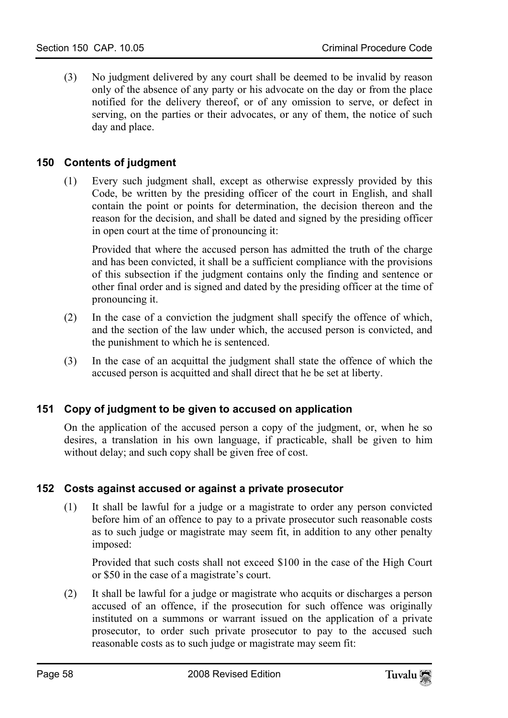(3) No judgment delivered by any court shall be deemed to be invalid by reason only of the absence of any party or his advocate on the day or from the place notified for the delivery thereof, or of any omission to serve, or defect in serving, on the parties or their advocates, or any of them, the notice of such day and place.

## **150 Contents of judgment**

(1) Every such judgment shall, except as otherwise expressly provided by this Code, be written by the presiding officer of the court in English, and shall contain the point or points for determination, the decision thereon and the reason for the decision, and shall be dated and signed by the presiding officer in open court at the time of pronouncing it:

Provided that where the accused person has admitted the truth of the charge and has been convicted, it shall be a sufficient compliance with the provisions of this subsection if the judgment contains only the finding and sentence or other final order and is signed and dated by the presiding officer at the time of pronouncing it.

- (2) In the case of a conviction the judgment shall specify the offence of which, and the section of the law under which, the accused person is convicted, and the punishment to which he is sentenced.
- (3) In the case of an acquittal the judgment shall state the offence of which the accused person is acquitted and shall direct that he be set at liberty.

# **151 Copy of judgment to be given to accused on application**

On the application of the accused person a copy of the judgment, or, when he so desires, a translation in his own language, if practicable, shall be given to him without delay; and such copy shall be given free of cost.

## **152 Costs against accused or against a private prosecutor**

(1) It shall be lawful for a judge or a magistrate to order any person convicted before him of an offence to pay to a private prosecutor such reasonable costs as to such judge or magistrate may seem fit, in addition to any other penalty imposed:

Provided that such costs shall not exceed \$100 in the case of the High Court or \$50 in the case of a magistrate's court.

(2) It shall be lawful for a judge or magistrate who acquits or discharges a person accused of an offence, if the prosecution for such offence was originally instituted on a summons or warrant issued on the application of a private prosecutor, to order such private prosecutor to pay to the accused such reasonable costs as to such judge or magistrate may seem fit: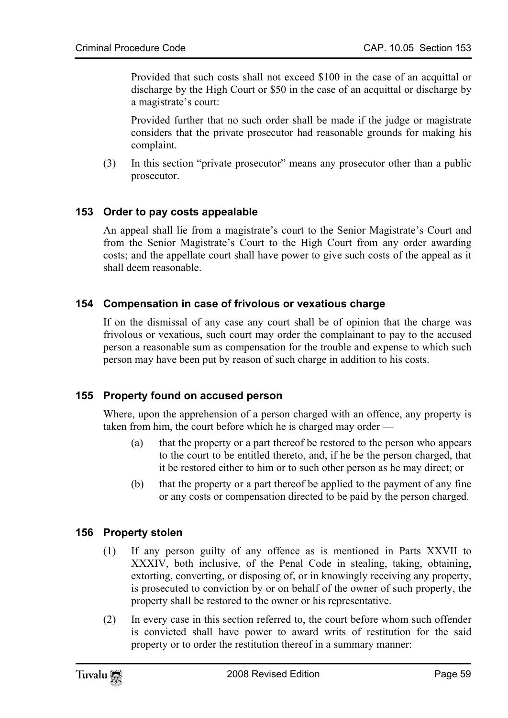Provided that such costs shall not exceed \$100 in the case of an acquittal or discharge by the High Court or \$50 in the case of an acquittal or discharge by a magistrate's court:

Provided further that no such order shall be made if the judge or magistrate considers that the private prosecutor had reasonable grounds for making his complaint.

(3) In this section "private prosecutor" means any prosecutor other than a public prosecutor.

## **153 Order to pay costs appealable**

An appeal shall lie from a magistrate's court to the Senior Magistrate's Court and from the Senior Magistrate's Court to the High Court from any order awarding costs; and the appellate court shall have power to give such costs of the appeal as it shall deem reasonable.

## **154 Compensation in case of frivolous or vexatious charge**

If on the dismissal of any case any court shall be of opinion that the charge was frivolous or vexatious, such court may order the complainant to pay to the accused person a reasonable sum as compensation for the trouble and expense to which such person may have been put by reason of such charge in addition to his costs.

## **155 Property found on accused person**

Where, upon the apprehension of a person charged with an offence, any property is taken from him, the court before which he is charged may order —

- (a) that the property or a part thereof be restored to the person who appears to the court to be entitled thereto, and, if he be the person charged, that it be restored either to him or to such other person as he may direct; or
- (b) that the property or a part thereof be applied to the payment of any fine or any costs or compensation directed to be paid by the person charged.

#### **156 Property stolen**

- (1) If any person guilty of any offence as is mentioned in Parts XXVII to XXXIV, both inclusive, of the Penal Code in stealing, taking, obtaining, extorting, converting, or disposing of, or in knowingly receiving any property, is prosecuted to conviction by or on behalf of the owner of such property, the property shall be restored to the owner or his representative.
- (2) In every case in this section referred to, the court before whom such offender is convicted shall have power to award writs of restitution for the said property or to order the restitution thereof in a summary manner: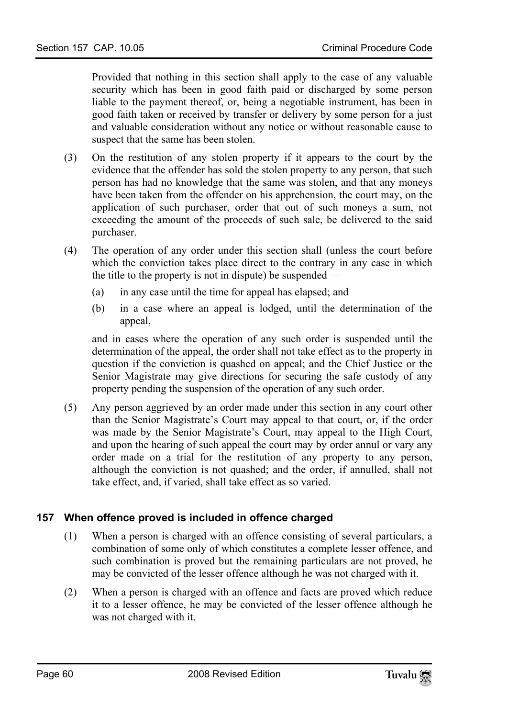Provided that nothing in this section shall apply to the case of any valuable security which has been in good faith paid or discharged by some person liable to the payment thereof, or, being a negotiable instrument, has been in good faith taken or received by transfer or delivery by some person for a just and valuable consideration without any notice or without reasonable cause to suspect that the same has been stolen.

- (3) On the restitution of any stolen property if it appears to the court by the evidence that the offender has sold the stolen property to any person, that such person has had no knowledge that the same was stolen, and that any moneys have been taken from the offender on his apprehension, the court may, on the application of such purchaser, order that out of such moneys a sum, not exceeding the amount of the proceeds of such sale, be delivered to the said purchaser.
- (4) The operation of any order under this section shall (unless the court before which the conviction takes place direct to the contrary in any case in which the title to the property is not in dispute) be suspended —
	- (a) in any case until the time for appeal has elapsed; and
	- (b) in a case where an appeal is lodged, until the determination of the appeal,

and in cases where the operation of any such order is suspended until the determination of the appeal, the order shall not take effect as to the property in question if the conviction is quashed on appeal; and the Chief Justice or the Senior Magistrate may give directions for securing the safe custody of any property pending the suspension of the operation of any such order.

(5) Any person aggrieved by an order made under this section in any court other than the Senior Magistrate's Court may appeal to that court, or, if the order was made by the Senior Magistrate's Court, may appeal to the High Court, and upon the hearing of such appeal the court may by order annul or vary any order made on a trial for the restitution of any property to any person, although the conviction is not quashed; and the order, if annulled, shall not take effect, and, if varied, shall take effect as so varied.

# **157 When offence proved is included in offence charged**

- (1) When a person is charged with an offence consisting of several particulars, a combination of some only of which constitutes a complete lesser offence, and such combination is proved but the remaining particulars are not proved, he may be convicted of the lesser offence although he was not charged with it.
- (2) When a person is charged with an offence and facts are proved which reduce it to a lesser offence, he may be convicted of the lesser offence although he was not charged with it.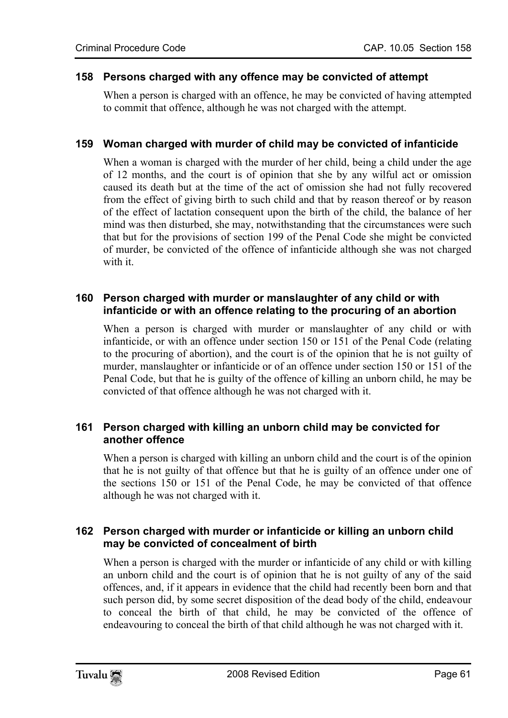#### **158 Persons charged with any offence may be convicted of attempt**

When a person is charged with an offence, he may be convicted of having attempted to commit that offence, although he was not charged with the attempt.

## **159 Woman charged with murder of child may be convicted of infanticide**

When a woman is charged with the murder of her child, being a child under the age of 12 months, and the court is of opinion that she by any wilful act or omission caused its death but at the time of the act of omission she had not fully recovered from the effect of giving birth to such child and that by reason thereof or by reason of the effect of lactation consequent upon the birth of the child, the balance of her mind was then disturbed, she may, notwithstanding that the circumstances were such that but for the provisions of section 199 of the Penal Code she might be convicted of murder, be convicted of the offence of infanticide although she was not charged with it.

## **160 Person charged with murder or manslaughter of any child or with infanticide or with an offence relating to the procuring of an abortion**

When a person is charged with murder or manslaughter of any child or with infanticide, or with an offence under section 150 or 151 of the Penal Code (relating to the procuring of abortion), and the court is of the opinion that he is not guilty of murder, manslaughter or infanticide or of an offence under section 150 or 151 of the Penal Code, but that he is guilty of the offence of killing an unborn child, he may be convicted of that offence although he was not charged with it.

## **161 Person charged with killing an unborn child may be convicted for another offence**

When a person is charged with killing an unborn child and the court is of the opinion that he is not guilty of that offence but that he is guilty of an offence under one of the sections 150 or 151 of the Penal Code, he may be convicted of that offence although he was not charged with it.

## **162 Person charged with murder or infanticide or killing an unborn child may be convicted of concealment of birth**

When a person is charged with the murder or infanticide of any child or with killing an unborn child and the court is of opinion that he is not guilty of any of the said offences, and, if it appears in evidence that the child had recently been born and that such person did, by some secret disposition of the dead body of the child, endeavour to conceal the birth of that child, he may be convicted of the offence of endeavouring to conceal the birth of that child although he was not charged with it.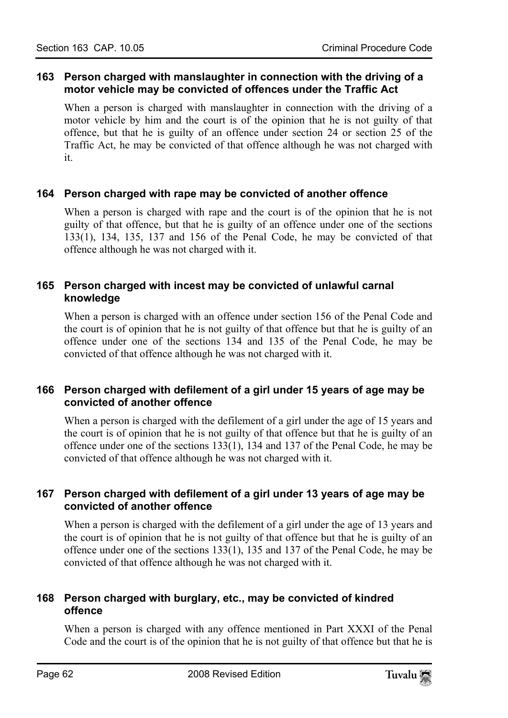## **163 Person charged with manslaughter in connection with the driving of a motor vehicle may be convicted of offences under the Traffic Act**

When a person is charged with manslaughter in connection with the driving of a motor vehicle by him and the court is of the opinion that he is not guilty of that offence, but that he is guilty of an offence under section 24 or section 25 of the Traffic Act, he may be convicted of that offence although he was not charged with it.

## **164 Person charged with rape may be convicted of another offence**

When a person is charged with rape and the court is of the opinion that he is not guilty of that offence, but that he is guilty of an offence under one of the sections 133(1), 134, 135, 137 and 156 of the Penal Code, he may be convicted of that offence although he was not charged with it.

## **165 Person charged with incest may be convicted of unlawful carnal knowledge**

When a person is charged with an offence under section 156 of the Penal Code and the court is of opinion that he is not guilty of that offence but that he is guilty of an offence under one of the sections 134 and 135 of the Penal Code, he may be convicted of that offence although he was not charged with it.

# **166 Person charged with defilement of a girl under 15 years of age may be convicted of another offence**

When a person is charged with the defilement of a girl under the age of 15 years and the court is of opinion that he is not guilty of that offence but that he is guilty of an offence under one of the sections 133(1), 134 and 137 of the Penal Code, he may be convicted of that offence although he was not charged with it.

## **167 Person charged with defilement of a girl under 13 years of age may be convicted of another offence**

When a person is charged with the defilement of a girl under the age of 13 years and the court is of opinion that he is not guilty of that offence but that he is guilty of an offence under one of the sections 133(1), 135 and 137 of the Penal Code, he may be convicted of that offence although he was not charged with it.

## **168 Person charged with burglary, etc., may be convicted of kindred offence**

When a person is charged with any offence mentioned in Part XXXI of the Penal Code and the court is of the opinion that he is not guilty of that offence but that he is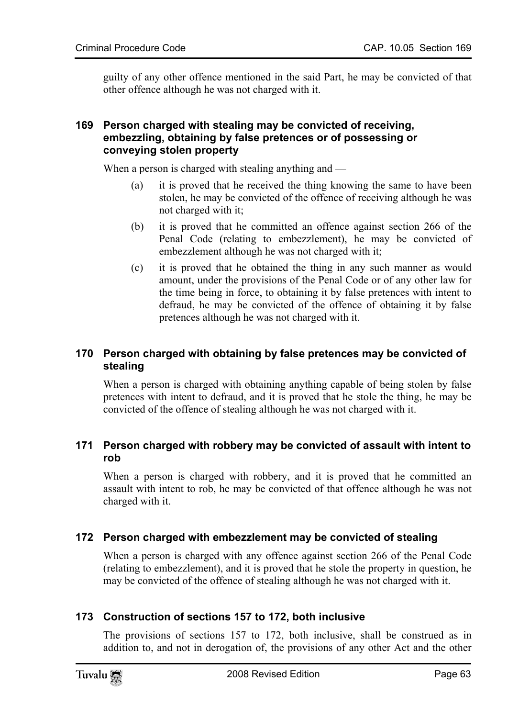guilty of any other offence mentioned in the said Part, he may be convicted of that other offence although he was not charged with it.

## **169 Person charged with stealing may be convicted of receiving, embezzling, obtaining by false pretences or of possessing or conveying stolen property**

When a person is charged with stealing anything and —

- (a) it is proved that he received the thing knowing the same to have been stolen, he may be convicted of the offence of receiving although he was not charged with it;
- (b) it is proved that he committed an offence against section 266 of the Penal Code (relating to embezzlement), he may be convicted of embezzlement although he was not charged with it;
- (c) it is proved that he obtained the thing in any such manner as would amount, under the provisions of the Penal Code or of any other law for the time being in force, to obtaining it by false pretences with intent to defraud, he may be convicted of the offence of obtaining it by false pretences although he was not charged with it.

# **170 Person charged with obtaining by false pretences may be convicted of stealing**

When a person is charged with obtaining anything capable of being stolen by false pretences with intent to defraud, and it is proved that he stole the thing, he may be convicted of the offence of stealing although he was not charged with it.

## **171 Person charged with robbery may be convicted of assault with intent to rob**

When a person is charged with robbery, and it is proved that he committed an assault with intent to rob, he may be convicted of that offence although he was not charged with it.

# **172 Person charged with embezzlement may be convicted of stealing**

When a person is charged with any offence against section 266 of the Penal Code (relating to embezzlement), and it is proved that he stole the property in question, he may be convicted of the offence of stealing although he was not charged with it.

# **173 Construction of sections 157 to 172, both inclusive**

The provisions of sections 157 to 172, both inclusive, shall be construed as in addition to, and not in derogation of, the provisions of any other Act and the other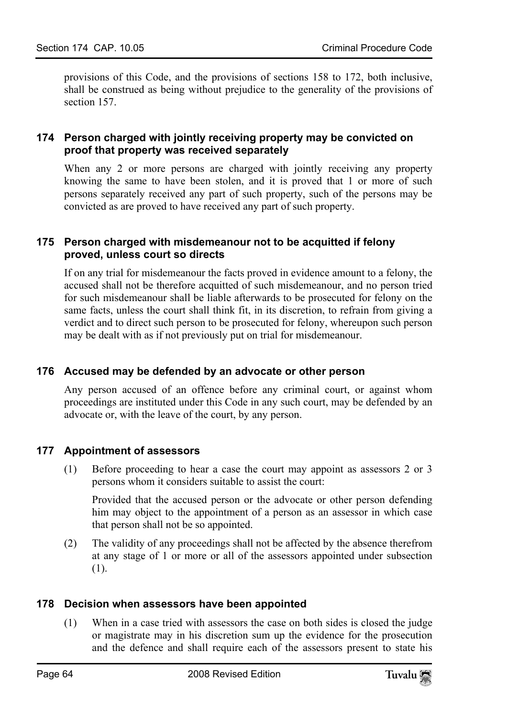provisions of this Code, and the provisions of sections 158 to 172, both inclusive, shall be construed as being without prejudice to the generality of the provisions of section 157.

## **174 Person charged with jointly receiving property may be convicted on proof that property was received separately**

When any 2 or more persons are charged with jointly receiving any property knowing the same to have been stolen, and it is proved that 1 or more of such persons separately received any part of such property, such of the persons may be convicted as are proved to have received any part of such property.

## **175 Person charged with misdemeanour not to be acquitted if felony proved, unless court so directs**

If on any trial for misdemeanour the facts proved in evidence amount to a felony, the accused shall not be therefore acquitted of such misdemeanour, and no person tried for such misdemeanour shall be liable afterwards to be prosecuted for felony on the same facts, unless the court shall think fit, in its discretion, to refrain from giving a verdict and to direct such person to be prosecuted for felony, whereupon such person may be dealt with as if not previously put on trial for misdemeanour.

# **176 Accused may be defended by an advocate or other person**

Any person accused of an offence before any criminal court, or against whom proceedings are instituted under this Code in any such court, may be defended by an advocate or, with the leave of the court, by any person.

## **177 Appointment of assessors**

(1) Before proceeding to hear a case the court may appoint as assessors 2 or 3 persons whom it considers suitable to assist the court:

Provided that the accused person or the advocate or other person defending him may object to the appointment of a person as an assessor in which case that person shall not be so appointed.

(2) The validity of any proceedings shall not be affected by the absence therefrom at any stage of 1 or more or all of the assessors appointed under subsection (1).

## **178 Decision when assessors have been appointed**

(1) When in a case tried with assessors the case on both sides is closed the judge or magistrate may in his discretion sum up the evidence for the prosecution and the defence and shall require each of the assessors present to state his

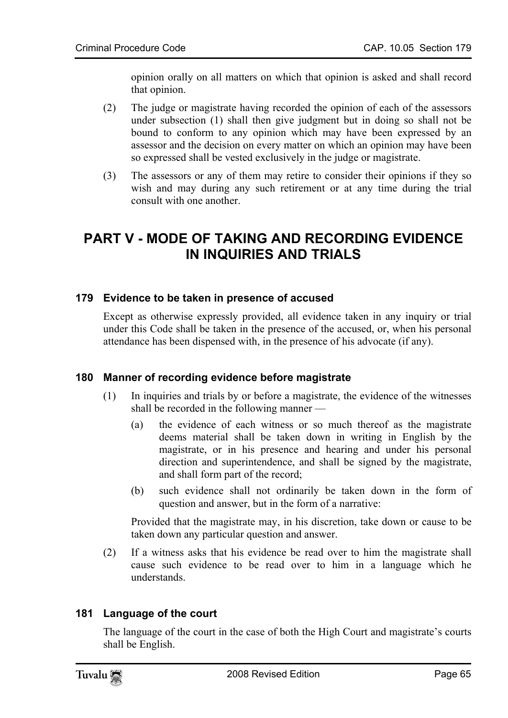opinion orally on all matters on which that opinion is asked and shall record that opinion.

- (2) The judge or magistrate having recorded the opinion of each of the assessors under subsection (1) shall then give judgment but in doing so shall not be bound to conform to any opinion which may have been expressed by an assessor and the decision on every matter on which an opinion may have been so expressed shall be vested exclusively in the judge or magistrate.
- (3) The assessors or any of them may retire to consider their opinions if they so wish and may during any such retirement or at any time during the trial consult with one another.

# **PART V - MODE OF TAKING AND RECORDING EVIDENCE IN INQUIRIES AND TRIALS**

## **179 Evidence to be taken in presence of accused**

Except as otherwise expressly provided, all evidence taken in any inquiry or trial under this Code shall be taken in the presence of the accused, or, when his personal attendance has been dispensed with, in the presence of his advocate (if any).

# **180 Manner of recording evidence before magistrate**

- (1) In inquiries and trials by or before a magistrate, the evidence of the witnesses shall be recorded in the following manner —
	- (a) the evidence of each witness or so much thereof as the magistrate deems material shall be taken down in writing in English by the magistrate, or in his presence and hearing and under his personal direction and superintendence, and shall be signed by the magistrate, and shall form part of the record;
	- (b) such evidence shall not ordinarily be taken down in the form of question and answer, but in the form of a narrative:

Provided that the magistrate may, in his discretion, take down or cause to be taken down any particular question and answer.

(2) If a witness asks that his evidence be read over to him the magistrate shall cause such evidence to be read over to him in a language which he understands.

## **181 Language of the court**

The language of the court in the case of both the High Court and magistrate's courts shall be English.

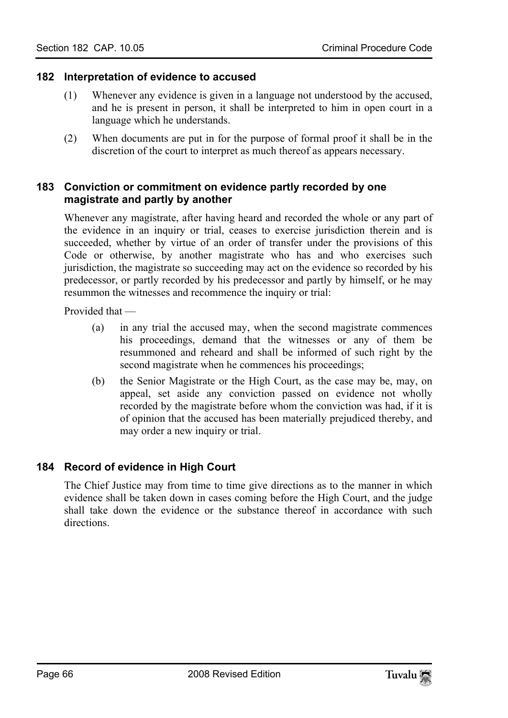#### **182 Interpretation of evidence to accused**

- (1) Whenever any evidence is given in a language not understood by the accused, and he is present in person, it shall be interpreted to him in open court in a language which he understands.
- (2) When documents are put in for the purpose of formal proof it shall be in the discretion of the court to interpret as much thereof as appears necessary.

## **183 Conviction or commitment on evidence partly recorded by one magistrate and partly by another**

Whenever any magistrate, after having heard and recorded the whole or any part of the evidence in an inquiry or trial, ceases to exercise jurisdiction therein and is succeeded, whether by virtue of an order of transfer under the provisions of this Code or otherwise, by another magistrate who has and who exercises such jurisdiction, the magistrate so succeeding may act on the evidence so recorded by his predecessor, or partly recorded by his predecessor and partly by himself, or he may resummon the witnesses and recommence the inquiry or trial:

Provided that —

- (a) in any trial the accused may, when the second magistrate commences his proceedings, demand that the witnesses or any of them be resummoned and reheard and shall be informed of such right by the second magistrate when he commences his proceedings;
- (b) the Senior Magistrate or the High Court, as the case may be, may, on appeal, set aside any conviction passed on evidence not wholly recorded by the magistrate before whom the conviction was had, if it is of opinion that the accused has been materially prejudiced thereby, and may order a new inquiry or trial.

## **184 Record of evidence in High Court**

The Chief Justice may from time to time give directions as to the manner in which evidence shall be taken down in cases coming before the High Court, and the judge shall take down the evidence or the substance thereof in accordance with such directions.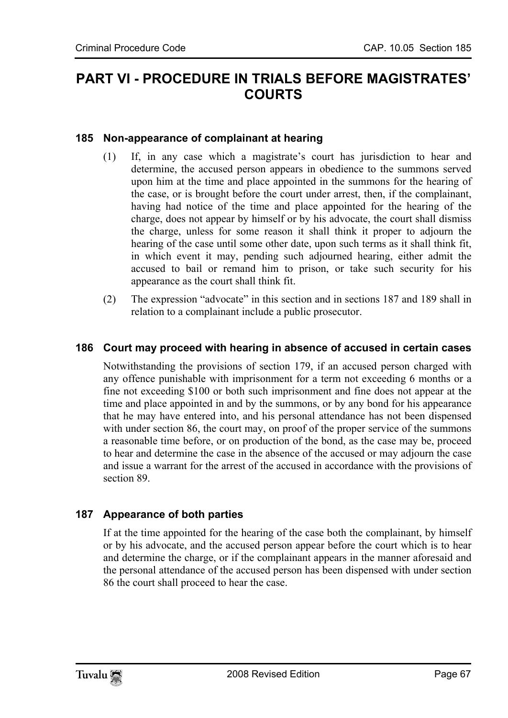# **PART VI - PROCEDURE IN TRIALS BEFORE MAGISTRATES' COURTS**

# **185 Non-appearance of complainant at hearing**

- (1) If, in any case which a magistrate's court has jurisdiction to hear and determine, the accused person appears in obedience to the summons served upon him at the time and place appointed in the summons for the hearing of the case, or is brought before the court under arrest, then, if the complainant, having had notice of the time and place appointed for the hearing of the charge, does not appear by himself or by his advocate, the court shall dismiss the charge, unless for some reason it shall think it proper to adjourn the hearing of the case until some other date, upon such terms as it shall think fit, in which event it may, pending such adjourned hearing, either admit the accused to bail or remand him to prison, or take such security for his appearance as the court shall think fit.
- (2) The expression "advocate" in this section and in sections 187 and 189 shall in relation to a complainant include a public prosecutor.

## **186 Court may proceed with hearing in absence of accused in certain cases**

Notwithstanding the provisions of section 179, if an accused person charged with any offence punishable with imprisonment for a term not exceeding 6 months or a fine not exceeding \$100 or both such imprisonment and fine does not appear at the time and place appointed in and by the summons, or by any bond for his appearance that he may have entered into, and his personal attendance has not been dispensed with under section 86, the court may, on proof of the proper service of the summons a reasonable time before, or on production of the bond, as the case may be, proceed to hear and determine the case in the absence of the accused or may adjourn the case and issue a warrant for the arrest of the accused in accordance with the provisions of section 89.

# **187 Appearance of both parties**

If at the time appointed for the hearing of the case both the complainant, by himself or by his advocate, and the accused person appear before the court which is to hear and determine the charge, or if the complainant appears in the manner aforesaid and the personal attendance of the accused person has been dispensed with under section 86 the court shall proceed to hear the case.

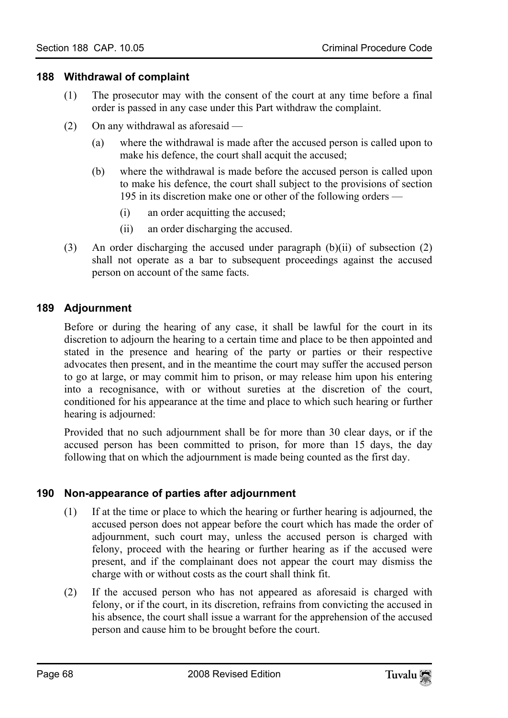#### **188 Withdrawal of complaint**

- (1) The prosecutor may with the consent of the court at any time before a final order is passed in any case under this Part withdraw the complaint.
- (2) On any withdrawal as aforesaid
	- (a) where the withdrawal is made after the accused person is called upon to make his defence, the court shall acquit the accused;
	- (b) where the withdrawal is made before the accused person is called upon to make his defence, the court shall subject to the provisions of section 195 in its discretion make one or other of the following orders —
		- (i) an order acquitting the accused;
		- (ii) an order discharging the accused.
- (3) An order discharging the accused under paragraph  $(b)(ii)$  of subsection  $(2)$ shall not operate as a bar to subsequent proceedings against the accused person on account of the same facts.

## **189 Adjournment**

Before or during the hearing of any case, it shall be lawful for the court in its discretion to adjourn the hearing to a certain time and place to be then appointed and stated in the presence and hearing of the party or parties or their respective advocates then present, and in the meantime the court may suffer the accused person to go at large, or may commit him to prison, or may release him upon his entering into a recognisance, with or without sureties at the discretion of the court, conditioned for his appearance at the time and place to which such hearing or further hearing is adjourned:

Provided that no such adjournment shall be for more than 30 clear days, or if the accused person has been committed to prison, for more than 15 days, the day following that on which the adjournment is made being counted as the first day.

## **190 Non-appearance of parties after adjournment**

- (1) If at the time or place to which the hearing or further hearing is adjourned, the accused person does not appear before the court which has made the order of adjournment, such court may, unless the accused person is charged with felony, proceed with the hearing or further hearing as if the accused were present, and if the complainant does not appear the court may dismiss the charge with or without costs as the court shall think fit.
- (2) If the accused person who has not appeared as aforesaid is charged with felony, or if the court, in its discretion, refrains from convicting the accused in his absence, the court shall issue a warrant for the apprehension of the accused person and cause him to be brought before the court.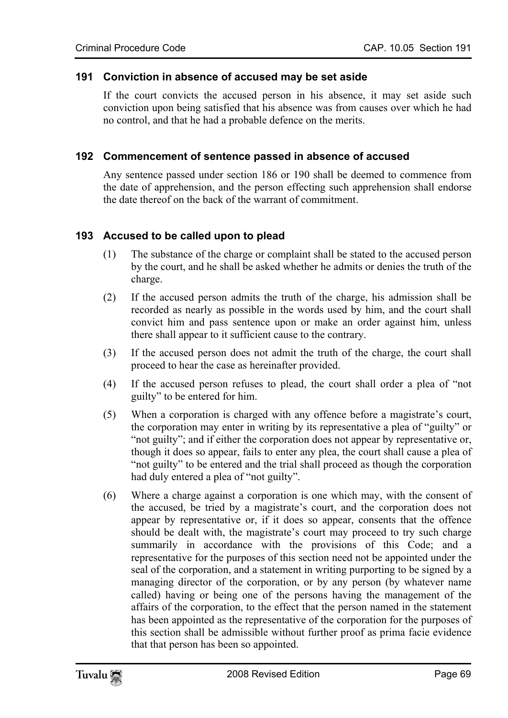#### **191 Conviction in absence of accused may be set aside**

If the court convicts the accused person in his absence, it may set aside such conviction upon being satisfied that his absence was from causes over which he had no control, and that he had a probable defence on the merits.

## **192 Commencement of sentence passed in absence of accused**

Any sentence passed under section 186 or 190 shall be deemed to commence from the date of apprehension, and the person effecting such apprehension shall endorse the date thereof on the back of the warrant of commitment.

## **193 Accused to be called upon to plead**

- (1) The substance of the charge or complaint shall be stated to the accused person by the court, and he shall be asked whether he admits or denies the truth of the charge.
- (2) If the accused person admits the truth of the charge, his admission shall be recorded as nearly as possible in the words used by him, and the court shall convict him and pass sentence upon or make an order against him, unless there shall appear to it sufficient cause to the contrary.
- (3) If the accused person does not admit the truth of the charge, the court shall proceed to hear the case as hereinafter provided.
- (4) If the accused person refuses to plead, the court shall order a plea of "not guilty" to be entered for him.
- (5) When a corporation is charged with any offence before a magistrate's court, the corporation may enter in writing by its representative a plea of "guilty" or "not guilty"; and if either the corporation does not appear by representative or, though it does so appear, fails to enter any plea, the court shall cause a plea of "not guilty" to be entered and the trial shall proceed as though the corporation had duly entered a plea of "not guilty".
- (6) Where a charge against a corporation is one which may, with the consent of the accused, be tried by a magistrate's court, and the corporation does not appear by representative or, if it does so appear, consents that the offence should be dealt with, the magistrate's court may proceed to try such charge summarily in accordance with the provisions of this Code; and a representative for the purposes of this section need not be appointed under the seal of the corporation, and a statement in writing purporting to be signed by a managing director of the corporation, or by any person (by whatever name called) having or being one of the persons having the management of the affairs of the corporation, to the effect that the person named in the statement has been appointed as the representative of the corporation for the purposes of this section shall be admissible without further proof as prima facie evidence that that person has been so appointed.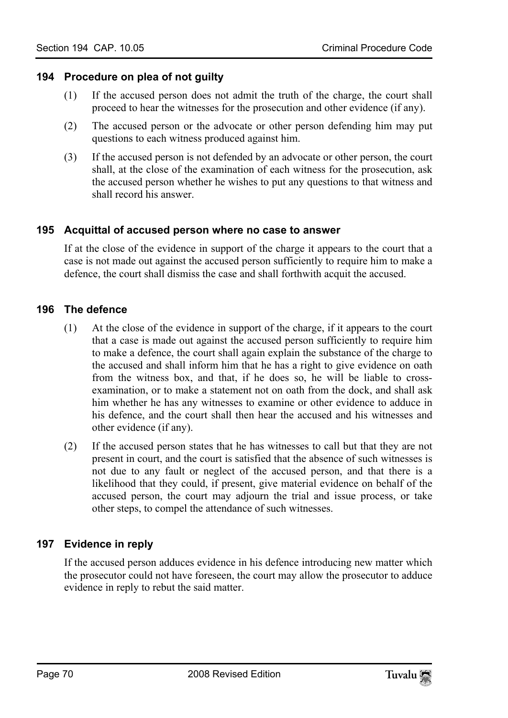#### **194 Procedure on plea of not guilty**

- (1) If the accused person does not admit the truth of the charge, the court shall proceed to hear the witnesses for the prosecution and other evidence (if any).
- (2) The accused person or the advocate or other person defending him may put questions to each witness produced against him.
- (3) If the accused person is not defended by an advocate or other person, the court shall, at the close of the examination of each witness for the prosecution, ask the accused person whether he wishes to put any questions to that witness and shall record his answer.

#### **195 Acquittal of accused person where no case to answer**

If at the close of the evidence in support of the charge it appears to the court that a case is not made out against the accused person sufficiently to require him to make a defence, the court shall dismiss the case and shall forthwith acquit the accused.

#### **196 The defence**

- (1) At the close of the evidence in support of the charge, if it appears to the court that a case is made out against the accused person sufficiently to require him to make a defence, the court shall again explain the substance of the charge to the accused and shall inform him that he has a right to give evidence on oath from the witness box, and that, if he does so, he will be liable to crossexamination, or to make a statement not on oath from the dock, and shall ask him whether he has any witnesses to examine or other evidence to adduce in his defence, and the court shall then hear the accused and his witnesses and other evidence (if any).
- (2) If the accused person states that he has witnesses to call but that they are not present in court, and the court is satisfied that the absence of such witnesses is not due to any fault or neglect of the accused person, and that there is a likelihood that they could, if present, give material evidence on behalf of the accused person, the court may adjourn the trial and issue process, or take other steps, to compel the attendance of such witnesses.

## **197 Evidence in reply**

If the accused person adduces evidence in his defence introducing new matter which the prosecutor could not have foreseen, the court may allow the prosecutor to adduce evidence in reply to rebut the said matter.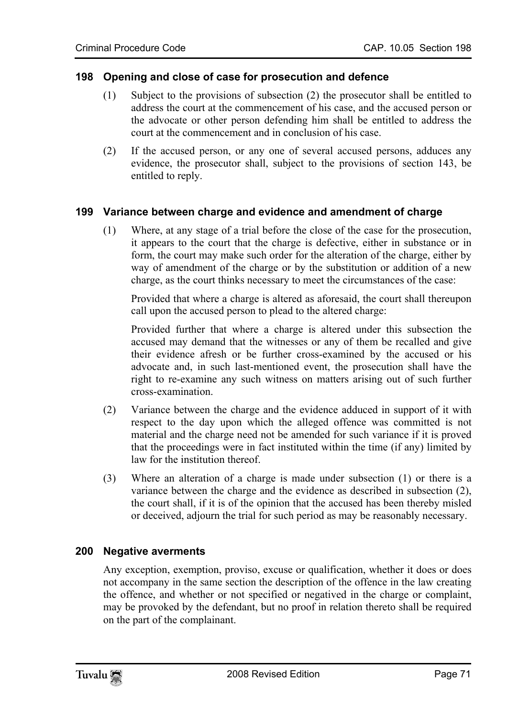#### **198 Opening and close of case for prosecution and defence**

- (1) Subject to the provisions of subsection (2) the prosecutor shall be entitled to address the court at the commencement of his case, and the accused person or the advocate or other person defending him shall be entitled to address the court at the commencement and in conclusion of his case.
- (2) If the accused person, or any one of several accused persons, adduces any evidence, the prosecutor shall, subject to the provisions of section 143, be entitled to reply.

#### **199 Variance between charge and evidence and amendment of charge**

(1) Where, at any stage of a trial before the close of the case for the prosecution, it appears to the court that the charge is defective, either in substance or in form, the court may make such order for the alteration of the charge, either by way of amendment of the charge or by the substitution or addition of a new charge, as the court thinks necessary to meet the circumstances of the case:

Provided that where a charge is altered as aforesaid, the court shall thereupon call upon the accused person to plead to the altered charge:

Provided further that where a charge is altered under this subsection the accused may demand that the witnesses or any of them be recalled and give their evidence afresh or be further cross-examined by the accused or his advocate and, in such last-mentioned event, the prosecution shall have the right to re-examine any such witness on matters arising out of such further cross-examination.

- (2) Variance between the charge and the evidence adduced in support of it with respect to the day upon which the alleged offence was committed is not material and the charge need not be amended for such variance if it is proved that the proceedings were in fact instituted within the time (if any) limited by law for the institution thereof.
- (3) Where an alteration of a charge is made under subsection (1) or there is a variance between the charge and the evidence as described in subsection (2), the court shall, if it is of the opinion that the accused has been thereby misled or deceived, adjourn the trial for such period as may be reasonably necessary.

## **200 Negative averments**

Any exception, exemption, proviso, excuse or qualification, whether it does or does not accompany in the same section the description of the offence in the law creating the offence, and whether or not specified or negatived in the charge or complaint, may be provoked by the defendant, but no proof in relation thereto shall be required on the part of the complainant.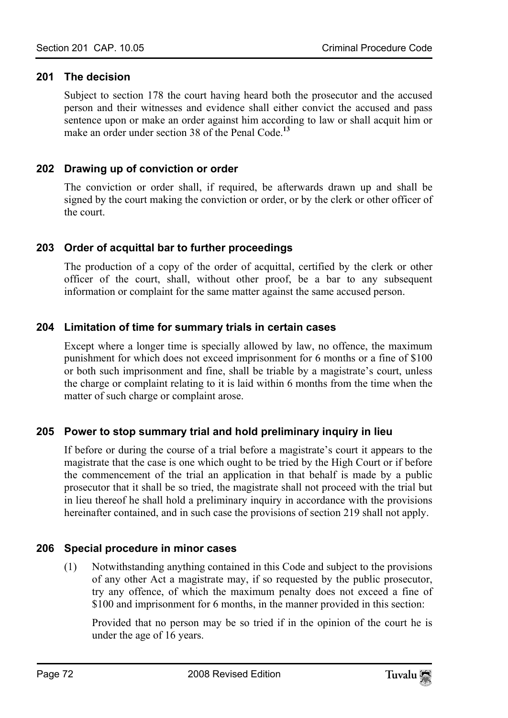## **201 The decision**

Subject to section 178 the court having heard both the prosecutor and the accused person and their witnesses and evidence shall either convict the accused and pass sentence upon or make an order against him according to law or shall acquit him or make an order under section 38 of the Penal Code<sup>13</sup>

## **202 Drawing up of conviction or order**

The conviction or order shall, if required, be afterwards drawn up and shall be signed by the court making the conviction or order, or by the clerk or other officer of the court.

## **203 Order of acquittal bar to further proceedings**

The production of a copy of the order of acquittal, certified by the clerk or other officer of the court, shall, without other proof, be a bar to any subsequent information or complaint for the same matter against the same accused person.

## **204 Limitation of time for summary trials in certain cases**

Except where a longer time is specially allowed by law, no offence, the maximum punishment for which does not exceed imprisonment for 6 months or a fine of \$100 or both such imprisonment and fine, shall be triable by a magistrate's court, unless the charge or complaint relating to it is laid within 6 months from the time when the matter of such charge or complaint arose.

## **205 Power to stop summary trial and hold preliminary inquiry in lieu**

If before or during the course of a trial before a magistrate's court it appears to the magistrate that the case is one which ought to be tried by the High Court or if before the commencement of the trial an application in that behalf is made by a public prosecutor that it shall be so tried, the magistrate shall not proceed with the trial but in lieu thereof he shall hold a preliminary inquiry in accordance with the provisions hereinafter contained, and in such case the provisions of section 219 shall not apply.

## **206 Special procedure in minor cases**

(1) Notwithstanding anything contained in this Code and subject to the provisions of any other Act a magistrate may, if so requested by the public prosecutor, try any offence, of which the maximum penalty does not exceed a fine of \$100 and imprisonment for 6 months, in the manner provided in this section:

Provided that no person may be so tried if in the opinion of the court he is under the age of 16 years.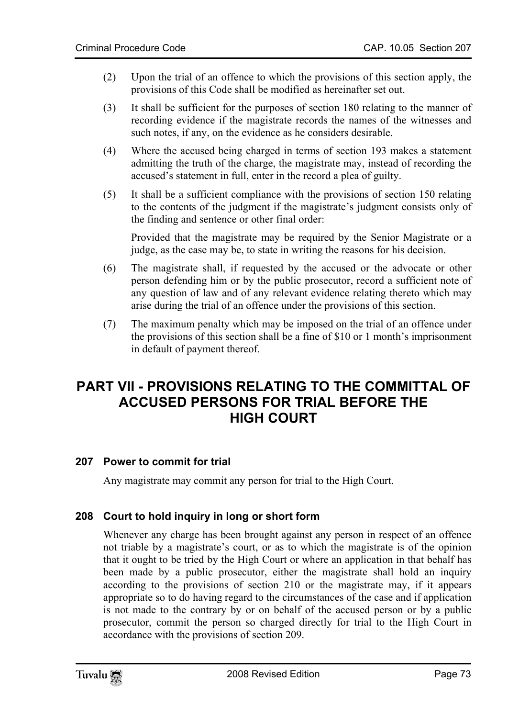- (2) Upon the trial of an offence to which the provisions of this section apply, the provisions of this Code shall be modified as hereinafter set out.
- (3) It shall be sufficient for the purposes of section 180 relating to the manner of recording evidence if the magistrate records the names of the witnesses and such notes, if any, on the evidence as he considers desirable.
- (4) Where the accused being charged in terms of section 193 makes a statement admitting the truth of the charge, the magistrate may, instead of recording the accused's statement in full, enter in the record a plea of guilty.
- (5) It shall be a sufficient compliance with the provisions of section 150 relating to the contents of the judgment if the magistrate's judgment consists only of the finding and sentence or other final order:

Provided that the magistrate may be required by the Senior Magistrate or a judge, as the case may be, to state in writing the reasons for his decision.

- (6) The magistrate shall, if requested by the accused or the advocate or other person defending him or by the public prosecutor, record a sufficient note of any question of law and of any relevant evidence relating thereto which may arise during the trial of an offence under the provisions of this section.
- (7) The maximum penalty which may be imposed on the trial of an offence under the provisions of this section shall be a fine of \$10 or 1 month's imprisonment in default of payment thereof.

# **PART VII - PROVISIONS RELATING TO THE COMMITTAL OF ACCUSED PERSONS FOR TRIAL BEFORE THE HIGH COURT**

# **207 Power to commit for trial**

Any magistrate may commit any person for trial to the High Court.

# **208 Court to hold inquiry in long or short form**

Whenever any charge has been brought against any person in respect of an offence not triable by a magistrate's court, or as to which the magistrate is of the opinion that it ought to be tried by the High Court or where an application in that behalf has been made by a public prosecutor, either the magistrate shall hold an inquiry according to the provisions of section 210 or the magistrate may, if it appears appropriate so to do having regard to the circumstances of the case and if application is not made to the contrary by or on behalf of the accused person or by a public prosecutor, commit the person so charged directly for trial to the High Court in accordance with the provisions of section 209.

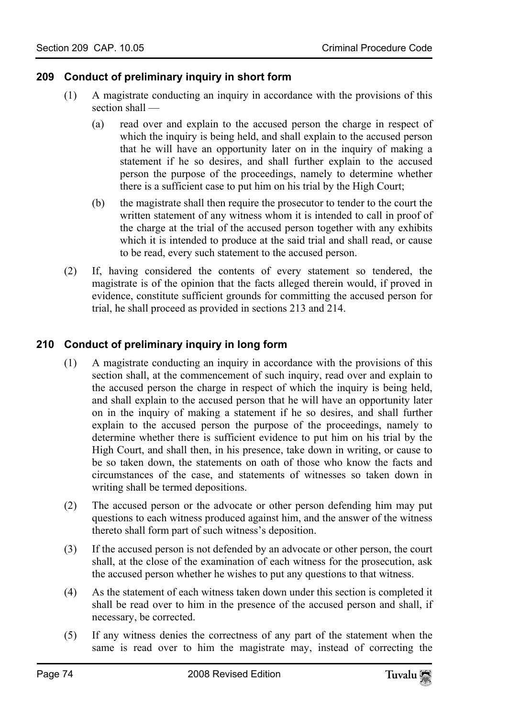# **209 Conduct of preliminary inquiry in short form**

- (1) A magistrate conducting an inquiry in accordance with the provisions of this section shall —
	- (a) read over and explain to the accused person the charge in respect of which the inquiry is being held, and shall explain to the accused person that he will have an opportunity later on in the inquiry of making a statement if he so desires, and shall further explain to the accused person the purpose of the proceedings, namely to determine whether there is a sufficient case to put him on his trial by the High Court;
	- (b) the magistrate shall then require the prosecutor to tender to the court the written statement of any witness whom it is intended to call in proof of the charge at the trial of the accused person together with any exhibits which it is intended to produce at the said trial and shall read, or cause to be read, every such statement to the accused person.
- (2) If, having considered the contents of every statement so tendered, the magistrate is of the opinion that the facts alleged therein would, if proved in evidence, constitute sufficient grounds for committing the accused person for trial, he shall proceed as provided in sections 213 and 214.

# **210 Conduct of preliminary inquiry in long form**

- (1) A magistrate conducting an inquiry in accordance with the provisions of this section shall, at the commencement of such inquiry, read over and explain to the accused person the charge in respect of which the inquiry is being held, and shall explain to the accused person that he will have an opportunity later on in the inquiry of making a statement if he so desires, and shall further explain to the accused person the purpose of the proceedings, namely to determine whether there is sufficient evidence to put him on his trial by the High Court, and shall then, in his presence, take down in writing, or cause to be so taken down, the statements on oath of those who know the facts and circumstances of the case, and statements of witnesses so taken down in writing shall be termed depositions.
- (2) The accused person or the advocate or other person defending him may put questions to each witness produced against him, and the answer of the witness thereto shall form part of such witness's deposition.
- (3) If the accused person is not defended by an advocate or other person, the court shall, at the close of the examination of each witness for the prosecution, ask the accused person whether he wishes to put any questions to that witness.
- (4) As the statement of each witness taken down under this section is completed it shall be read over to him in the presence of the accused person and shall, if necessary, be corrected.
- (5) If any witness denies the correctness of any part of the statement when the same is read over to him the magistrate may, instead of correcting the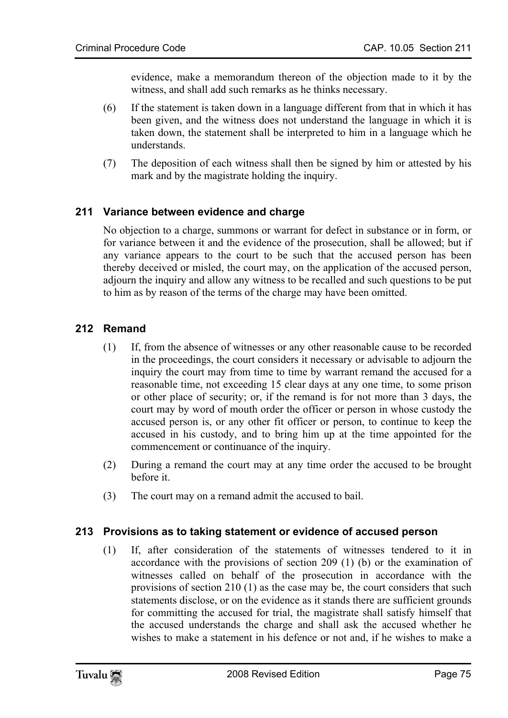evidence, make a memorandum thereon of the objection made to it by the witness, and shall add such remarks as he thinks necessary.

- (6) If the statement is taken down in a language different from that in which it has been given, and the witness does not understand the language in which it is taken down, the statement shall be interpreted to him in a language which he understands.
- (7) The deposition of each witness shall then be signed by him or attested by his mark and by the magistrate holding the inquiry.

# **211 Variance between evidence and charge**

No objection to a charge, summons or warrant for defect in substance or in form, or for variance between it and the evidence of the prosecution, shall be allowed; but if any variance appears to the court to be such that the accused person has been thereby deceived or misled, the court may, on the application of the accused person, adjourn the inquiry and allow any witness to be recalled and such questions to be put to him as by reason of the terms of the charge may have been omitted.

# **212 Remand**

- (1) If, from the absence of witnesses or any other reasonable cause to be recorded in the proceedings, the court considers it necessary or advisable to adjourn the inquiry the court may from time to time by warrant remand the accused for a reasonable time, not exceeding 15 clear days at any one time, to some prison or other place of security; or, if the remand is for not more than 3 days, the court may by word of mouth order the officer or person in whose custody the accused person is, or any other fit officer or person, to continue to keep the accused in his custody, and to bring him up at the time appointed for the commencement or continuance of the inquiry.
- (2) During a remand the court may at any time order the accused to be brought before it.
- (3) The court may on a remand admit the accused to bail.

#### **213 Provisions as to taking statement or evidence of accused person**

(1) If, after consideration of the statements of witnesses tendered to it in accordance with the provisions of section 209 (1) (b) or the examination of witnesses called on behalf of the prosecution in accordance with the provisions of section 210 (1) as the case may be, the court considers that such statements disclose, or on the evidence as it stands there are sufficient grounds for committing the accused for trial, the magistrate shall satisfy himself that the accused understands the charge and shall ask the accused whether he wishes to make a statement in his defence or not and, if he wishes to make a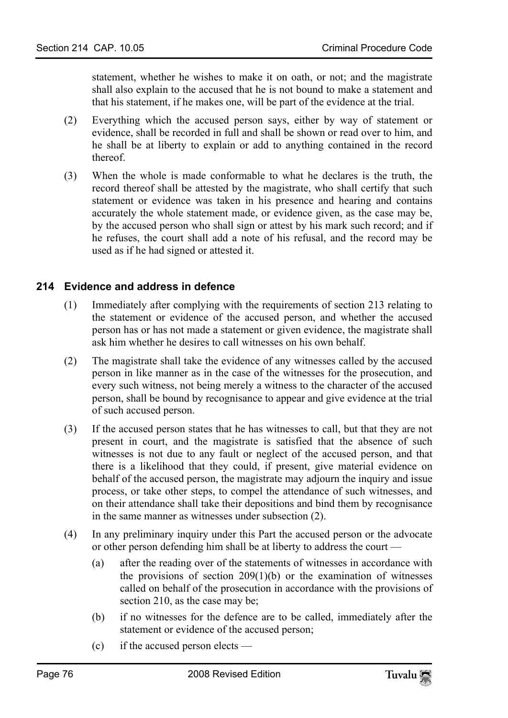statement, whether he wishes to make it on oath, or not; and the magistrate shall also explain to the accused that he is not bound to make a statement and that his statement, if he makes one, will be part of the evidence at the trial.

- (2) Everything which the accused person says, either by way of statement or evidence, shall be recorded in full and shall be shown or read over to him, and he shall be at liberty to explain or add to anything contained in the record thereof.
- (3) When the whole is made conformable to what he declares is the truth, the record thereof shall be attested by the magistrate, who shall certify that such statement or evidence was taken in his presence and hearing and contains accurately the whole statement made, or evidence given, as the case may be, by the accused person who shall sign or attest by his mark such record; and if he refuses, the court shall add a note of his refusal, and the record may be used as if he had signed or attested it.

# **214 Evidence and address in defence**

- (1) Immediately after complying with the requirements of section 213 relating to the statement or evidence of the accused person, and whether the accused person has or has not made a statement or given evidence, the magistrate shall ask him whether he desires to call witnesses on his own behalf.
- (2) The magistrate shall take the evidence of any witnesses called by the accused person in like manner as in the case of the witnesses for the prosecution, and every such witness, not being merely a witness to the character of the accused person, shall be bound by recognisance to appear and give evidence at the trial of such accused person.
- (3) If the accused person states that he has witnesses to call, but that they are not present in court, and the magistrate is satisfied that the absence of such witnesses is not due to any fault or neglect of the accused person, and that there is a likelihood that they could, if present, give material evidence on behalf of the accused person, the magistrate may adjourn the inquiry and issue process, or take other steps, to compel the attendance of such witnesses, and on their attendance shall take their depositions and bind them by recognisance in the same manner as witnesses under subsection (2).
- (4) In any preliminary inquiry under this Part the accused person or the advocate or other person defending him shall be at liberty to address the court —
	- (a) after the reading over of the statements of witnesses in accordance with the provisions of section  $209(1)(b)$  or the examination of witnesses called on behalf of the prosecution in accordance with the provisions of section 210, as the case may be;
	- (b) if no witnesses for the defence are to be called, immediately after the statement or evidence of the accused person;
	- (c) if the accused person elects —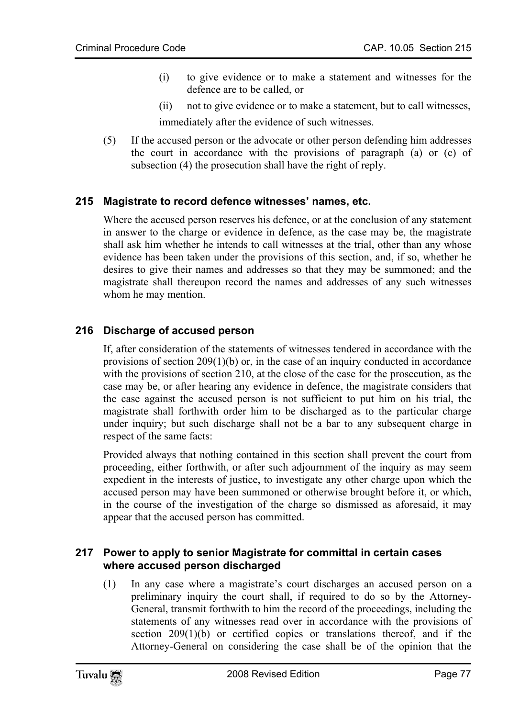- (i) to give evidence or to make a statement and witnesses for the defence are to be called, or
- (ii) not to give evidence or to make a statement, but to call witnesses,

immediately after the evidence of such witnesses.

(5) If the accused person or the advocate or other person defending him addresses the court in accordance with the provisions of paragraph (a) or (c) of subsection (4) the prosecution shall have the right of reply.

# **215 Magistrate to record defence witnesses' names, etc.**

Where the accused person reserves his defence, or at the conclusion of any statement in answer to the charge or evidence in defence, as the case may be, the magistrate shall ask him whether he intends to call witnesses at the trial, other than any whose evidence has been taken under the provisions of this section, and, if so, whether he desires to give their names and addresses so that they may be summoned; and the magistrate shall thereupon record the names and addresses of any such witnesses whom he may mention.

# **216 Discharge of accused person**

If, after consideration of the statements of witnesses tendered in accordance with the provisions of section  $209(1)(b)$  or, in the case of an inquiry conducted in accordance with the provisions of section 210, at the close of the case for the prosecution, as the case may be, or after hearing any evidence in defence, the magistrate considers that the case against the accused person is not sufficient to put him on his trial, the magistrate shall forthwith order him to be discharged as to the particular charge under inquiry; but such discharge shall not be a bar to any subsequent charge in respect of the same facts:

Provided always that nothing contained in this section shall prevent the court from proceeding, either forthwith, or after such adjournment of the inquiry as may seem expedient in the interests of justice, to investigate any other charge upon which the accused person may have been summoned or otherwise brought before it, or which, in the course of the investigation of the charge so dismissed as aforesaid, it may appear that the accused person has committed.

#### **217 Power to apply to senior Magistrate for committal in certain cases where accused person discharged**

(1) In any case where a magistrate's court discharges an accused person on a preliminary inquiry the court shall, if required to do so by the Attorney-General, transmit forthwith to him the record of the proceedings, including the statements of any witnesses read over in accordance with the provisions of section  $209(1)(b)$  or certified copies or translations thereof, and if the Attorney-General on considering the case shall be of the opinion that the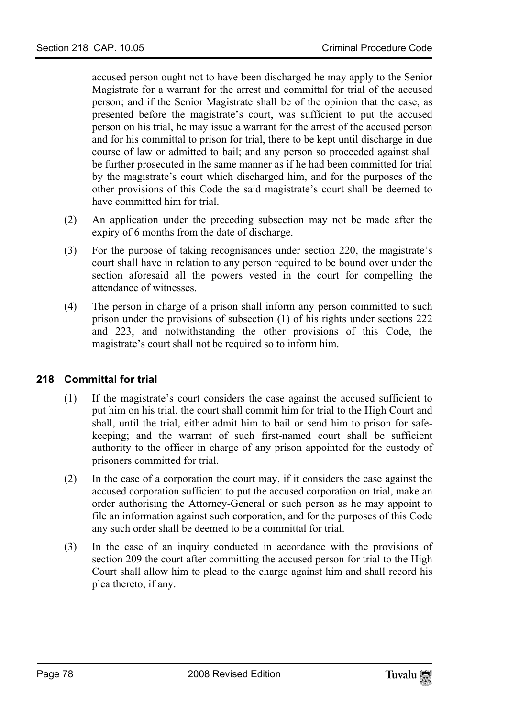accused person ought not to have been discharged he may apply to the Senior Magistrate for a warrant for the arrest and committal for trial of the accused person; and if the Senior Magistrate shall be of the opinion that the case, as presented before the magistrate's court, was sufficient to put the accused person on his trial, he may issue a warrant for the arrest of the accused person and for his committal to prison for trial, there to be kept until discharge in due course of law or admitted to bail; and any person so proceeded against shall be further prosecuted in the same manner as if he had been committed for trial by the magistrate's court which discharged him, and for the purposes of the other provisions of this Code the said magistrate's court shall be deemed to have committed him for trial.

- (2) An application under the preceding subsection may not be made after the expiry of 6 months from the date of discharge.
- (3) For the purpose of taking recognisances under section 220, the magistrate's court shall have in relation to any person required to be bound over under the section aforesaid all the powers vested in the court for compelling the attendance of witnesses.
- (4) The person in charge of a prison shall inform any person committed to such prison under the provisions of subsection (1) of his rights under sections 222 and 223, and notwithstanding the other provisions of this Code, the magistrate's court shall not be required so to inform him.

#### **218 Committal for trial**

- (1) If the magistrate's court considers the case against the accused sufficient to put him on his trial, the court shall commit him for trial to the High Court and shall, until the trial, either admit him to bail or send him to prison for safekeeping; and the warrant of such first-named court shall be sufficient authority to the officer in charge of any prison appointed for the custody of prisoners committed for trial.
- (2) In the case of a corporation the court may, if it considers the case against the accused corporation sufficient to put the accused corporation on trial, make an order authorising the Attorney-General or such person as he may appoint to file an information against such corporation, and for the purposes of this Code any such order shall be deemed to be a committal for trial.
- (3) In the case of an inquiry conducted in accordance with the provisions of section 209 the court after committing the accused person for trial to the High Court shall allow him to plead to the charge against him and shall record his plea thereto, if any.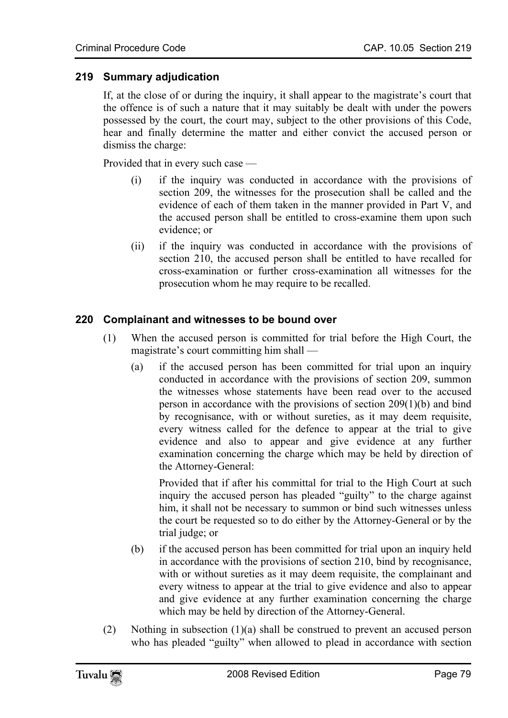# **219 Summary adjudication**

If, at the close of or during the inquiry, it shall appear to the magistrate's court that the offence is of such a nature that it may suitably be dealt with under the powers possessed by the court, the court may, subject to the other provisions of this Code, hear and finally determine the matter and either convict the accused person or dismiss the charge:

Provided that in every such case —

- (i) if the inquiry was conducted in accordance with the provisions of section 209, the witnesses for the prosecution shall be called and the evidence of each of them taken in the manner provided in Part V, and the accused person shall be entitled to cross-examine them upon such evidence; or
- (ii) if the inquiry was conducted in accordance with the provisions of section 210, the accused person shall be entitled to have recalled for cross-examination or further cross-examination all witnesses for the prosecution whom he may require to be recalled.

#### **220 Complainant and witnesses to be bound over**

- (1) When the accused person is committed for trial before the High Court, the magistrate's court committing him shall —
	- (a) if the accused person has been committed for trial upon an inquiry conducted in accordance with the provisions of section 209, summon the witnesses whose statements have been read over to the accused person in accordance with the provisions of section 209(1)(b) and bind by recognisance, with or without sureties, as it may deem requisite, every witness called for the defence to appear at the trial to give evidence and also to appear and give evidence at any further examination concerning the charge which may be held by direction of the Attorney-General:

Provided that if after his committal for trial to the High Court at such inquiry the accused person has pleaded "guilty" to the charge against him, it shall not be necessary to summon or bind such witnesses unless the court be requested so to do either by the Attorney-General or by the trial judge; or

- (b) if the accused person has been committed for trial upon an inquiry held in accordance with the provisions of section 210, bind by recognisance, with or without sureties as it may deem requisite, the complainant and every witness to appear at the trial to give evidence and also to appear and give evidence at any further examination concerning the charge which may be held by direction of the Attorney-General.
- (2) Nothing in subsection  $(1)(a)$  shall be construed to prevent an accused person who has pleaded "guilty" when allowed to plead in accordance with section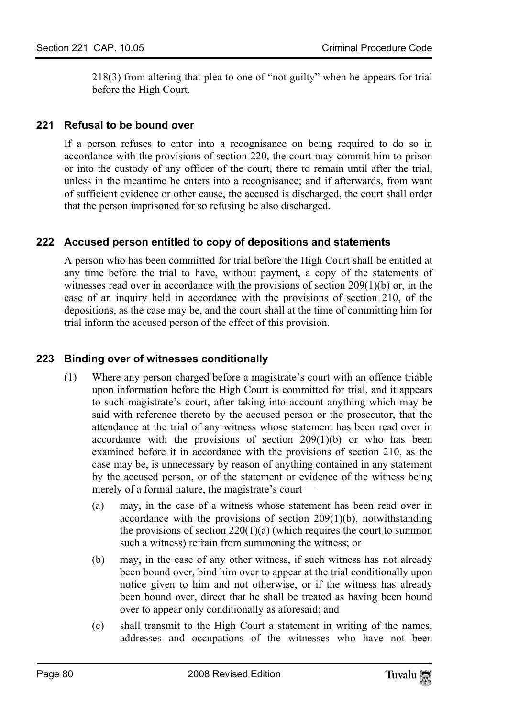218(3) from altering that plea to one of "not guilty" when he appears for trial before the High Court.

# **221 Refusal to be bound over**

If a person refuses to enter into a recognisance on being required to do so in accordance with the provisions of section 220, the court may commit him to prison or into the custody of any officer of the court, there to remain until after the trial, unless in the meantime he enters into a recognisance; and if afterwards, from want of sufficient evidence or other cause, the accused is discharged, the court shall order that the person imprisoned for so refusing be also discharged.

# **222 Accused person entitled to copy of depositions and statements**

A person who has been committed for trial before the High Court shall be entitled at any time before the trial to have, without payment, a copy of the statements of witnesses read over in accordance with the provisions of section 209(1)(b) or, in the case of an inquiry held in accordance with the provisions of section 210, of the depositions, as the case may be, and the court shall at the time of committing him for trial inform the accused person of the effect of this provision.

# **223 Binding over of witnesses conditionally**

- (1) Where any person charged before a magistrate's court with an offence triable upon information before the High Court is committed for trial, and it appears to such magistrate's court, after taking into account anything which may be said with reference thereto by the accused person or the prosecutor, that the attendance at the trial of any witness whose statement has been read over in accordance with the provisions of section 209(1)(b) or who has been examined before it in accordance with the provisions of section 210, as the case may be, is unnecessary by reason of anything contained in any statement by the accused person, or of the statement or evidence of the witness being merely of a formal nature, the magistrate's court —
	- (a) may, in the case of a witness whose statement has been read over in accordance with the provisions of section 209(1)(b), notwithstanding the provisions of section  $220(1)(a)$  (which requires the court to summon such a witness) refrain from summoning the witness; or
	- (b) may, in the case of any other witness, if such witness has not already been bound over, bind him over to appear at the trial conditionally upon notice given to him and not otherwise, or if the witness has already been bound over, direct that he shall be treated as having been bound over to appear only conditionally as aforesaid; and
	- (c) shall transmit to the High Court a statement in writing of the names, addresses and occupations of the witnesses who have not been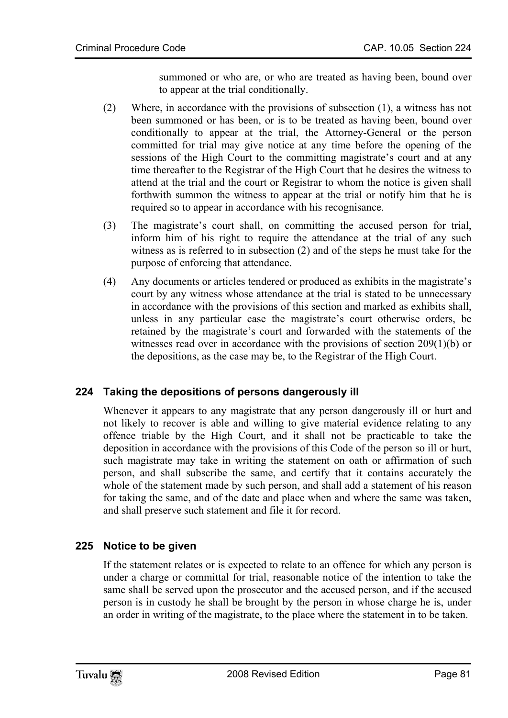summoned or who are, or who are treated as having been, bound over to appear at the trial conditionally.

- (2) Where, in accordance with the provisions of subsection (1), a witness has not been summoned or has been, or is to be treated as having been, bound over conditionally to appear at the trial, the Attorney-General or the person committed for trial may give notice at any time before the opening of the sessions of the High Court to the committing magistrate's court and at any time thereafter to the Registrar of the High Court that he desires the witness to attend at the trial and the court or Registrar to whom the notice is given shall forthwith summon the witness to appear at the trial or notify him that he is required so to appear in accordance with his recognisance.
- (3) The magistrate's court shall, on committing the accused person for trial, inform him of his right to require the attendance at the trial of any such witness as is referred to in subsection (2) and of the steps he must take for the purpose of enforcing that attendance.
- (4) Any documents or articles tendered or produced as exhibits in the magistrate's court by any witness whose attendance at the trial is stated to be unnecessary in accordance with the provisions of this section and marked as exhibits shall, unless in any particular case the magistrate's court otherwise orders, be retained by the magistrate's court and forwarded with the statements of the witnesses read over in accordance with the provisions of section 209(1)(b) or the depositions, as the case may be, to the Registrar of the High Court.

# **224 Taking the depositions of persons dangerously ill**

Whenever it appears to any magistrate that any person dangerously ill or hurt and not likely to recover is able and willing to give material evidence relating to any offence triable by the High Court, and it shall not be practicable to take the deposition in accordance with the provisions of this Code of the person so ill or hurt, such magistrate may take in writing the statement on oath or affirmation of such person, and shall subscribe the same, and certify that it contains accurately the whole of the statement made by such person, and shall add a statement of his reason for taking the same, and of the date and place when and where the same was taken, and shall preserve such statement and file it for record.

# **225 Notice to be given**

If the statement relates or is expected to relate to an offence for which any person is under a charge or committal for trial, reasonable notice of the intention to take the same shall be served upon the prosecutor and the accused person, and if the accused person is in custody he shall be brought by the person in whose charge he is, under an order in writing of the magistrate, to the place where the statement in to be taken.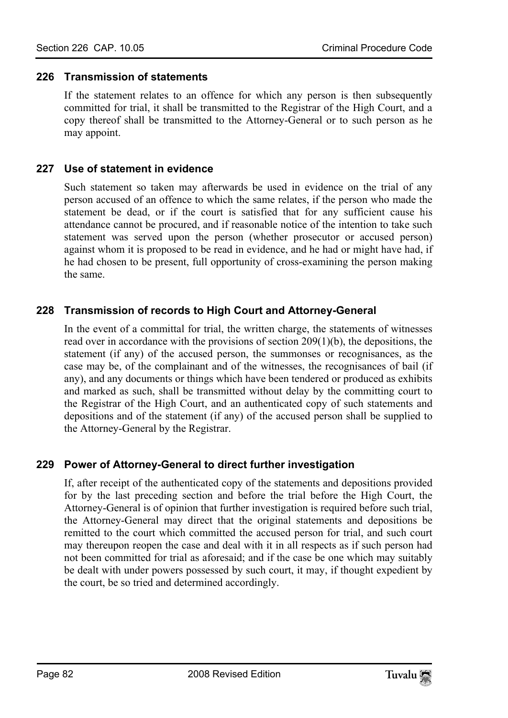### **226 Transmission of statements**

If the statement relates to an offence for which any person is then subsequently committed for trial, it shall be transmitted to the Registrar of the High Court, and a copy thereof shall be transmitted to the Attorney-General or to such person as he may appoint.

# **227 Use of statement in evidence**

Such statement so taken may afterwards be used in evidence on the trial of any person accused of an offence to which the same relates, if the person who made the statement be dead, or if the court is satisfied that for any sufficient cause his attendance cannot be procured, and if reasonable notice of the intention to take such statement was served upon the person (whether prosecutor or accused person) against whom it is proposed to be read in evidence, and he had or might have had, if he had chosen to be present, full opportunity of cross-examining the person making the same.

# **228 Transmission of records to High Court and Attorney-General**

In the event of a committal for trial, the written charge, the statements of witnesses read over in accordance with the provisions of section 209(1)(b), the depositions, the statement (if any) of the accused person, the summonses or recognisances, as the case may be, of the complainant and of the witnesses, the recognisances of bail (if any), and any documents or things which have been tendered or produced as exhibits and marked as such, shall be transmitted without delay by the committing court to the Registrar of the High Court, and an authenticated copy of such statements and depositions and of the statement (if any) of the accused person shall be supplied to the Attorney-General by the Registrar.

# **229 Power of Attorney-General to direct further investigation**

If, after receipt of the authenticated copy of the statements and depositions provided for by the last preceding section and before the trial before the High Court, the Attorney-General is of opinion that further investigation is required before such trial, the Attorney-General may direct that the original statements and depositions be remitted to the court which committed the accused person for trial, and such court may thereupon reopen the case and deal with it in all respects as if such person had not been committed for trial as aforesaid; and if the case be one which may suitably be dealt with under powers possessed by such court, it may, if thought expedient by the court, be so tried and determined accordingly.

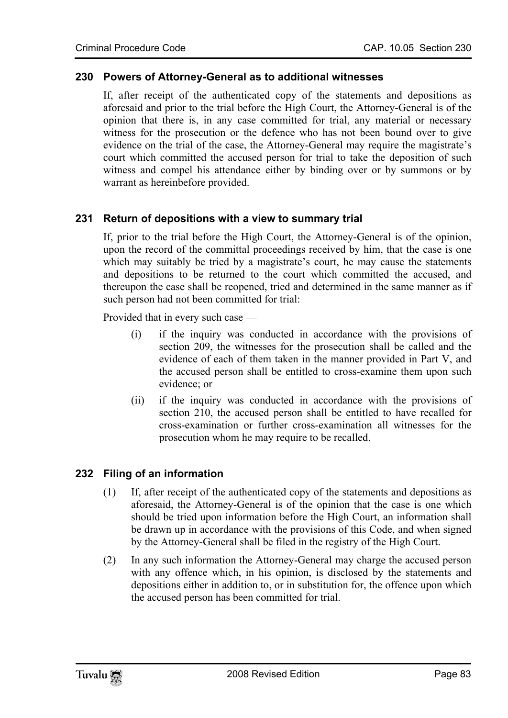#### **230 Powers of Attorney-General as to additional witnesses**

If, after receipt of the authenticated copy of the statements and depositions as aforesaid and prior to the trial before the High Court, the Attorney-General is of the opinion that there is, in any case committed for trial, any material or necessary witness for the prosecution or the defence who has not been bound over to give evidence on the trial of the case, the Attorney-General may require the magistrate's court which committed the accused person for trial to take the deposition of such witness and compel his attendance either by binding over or by summons or by warrant as hereinbefore provided.

#### **231 Return of depositions with a view to summary trial**

If, prior to the trial before the High Court, the Attorney-General is of the opinion, upon the record of the committal proceedings received by him, that the case is one which may suitably be tried by a magistrate's court, he may cause the statements and depositions to be returned to the court which committed the accused, and thereupon the case shall be reopened, tried and determined in the same manner as if such person had not been committed for trial:

Provided that in every such case —

- (i) if the inquiry was conducted in accordance with the provisions of section 209, the witnesses for the prosecution shall be called and the evidence of each of them taken in the manner provided in Part V, and the accused person shall be entitled to cross-examine them upon such evidence; or
- (ii) if the inquiry was conducted in accordance with the provisions of section 210, the accused person shall be entitled to have recalled for cross-examination or further cross-examination all witnesses for the prosecution whom he may require to be recalled.

#### **232 Filing of an information**

- (1) If, after receipt of the authenticated copy of the statements and depositions as aforesaid, the Attorney-General is of the opinion that the case is one which should be tried upon information before the High Court, an information shall be drawn up in accordance with the provisions of this Code, and when signed by the Attorney-General shall be filed in the registry of the High Court.
- (2) In any such information the Attorney-General may charge the accused person with any offence which, in his opinion, is disclosed by the statements and depositions either in addition to, or in substitution for, the offence upon which the accused person has been committed for trial.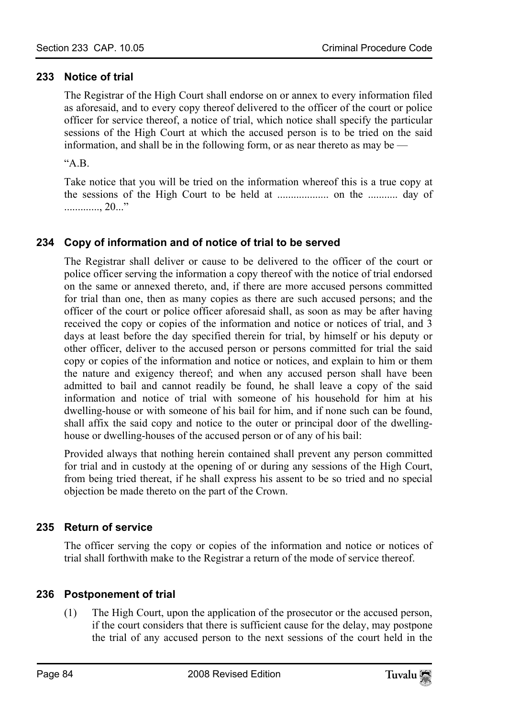# **233 Notice of trial**

The Registrar of the High Court shall endorse on or annex to every information filed as aforesaid, and to every copy thereof delivered to the officer of the court or police officer for service thereof, a notice of trial, which notice shall specify the particular sessions of the High Court at which the accused person is to be tried on the said information, and shall be in the following form, or as near thereto as may be —

 $A^{\prime\prime}$ 

Take notice that you will be tried on the information whereof this is a true copy at the sessions of the High Court to be held at ................... on the ........... day of ............., 20..."

# **234 Copy of information and of notice of trial to be served**

The Registrar shall deliver or cause to be delivered to the officer of the court or police officer serving the information a copy thereof with the notice of trial endorsed on the same or annexed thereto, and, if there are more accused persons committed for trial than one, then as many copies as there are such accused persons; and the officer of the court or police officer aforesaid shall, as soon as may be after having received the copy or copies of the information and notice or notices of trial, and 3 days at least before the day specified therein for trial, by himself or his deputy or other officer, deliver to the accused person or persons committed for trial the said copy or copies of the information and notice or notices, and explain to him or them the nature and exigency thereof; and when any accused person shall have been admitted to bail and cannot readily be found, he shall leave a copy of the said information and notice of trial with someone of his household for him at his dwelling-house or with someone of his bail for him, and if none such can be found, shall affix the said copy and notice to the outer or principal door of the dwellinghouse or dwelling-houses of the accused person or of any of his bail:

Provided always that nothing herein contained shall prevent any person committed for trial and in custody at the opening of or during any sessions of the High Court, from being tried thereat, if he shall express his assent to be so tried and no special objection be made thereto on the part of the Crown.

#### **235 Return of service**

The officer serving the copy or copies of the information and notice or notices of trial shall forthwith make to the Registrar a return of the mode of service thereof.

# **236 Postponement of trial**

(1) The High Court, upon the application of the prosecutor or the accused person, if the court considers that there is sufficient cause for the delay, may postpone the trial of any accused person to the next sessions of the court held in the

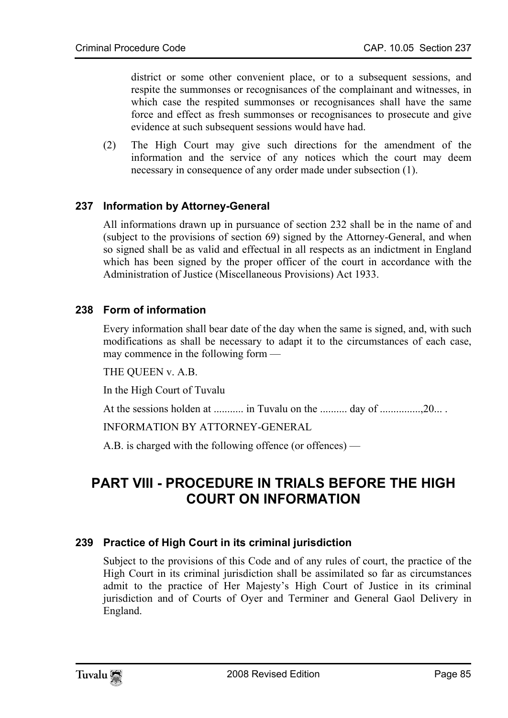district or some other convenient place, or to a subsequent sessions, and respite the summonses or recognisances of the complainant and witnesses, in which case the respited summonses or recognisances shall have the same force and effect as fresh summonses or recognisances to prosecute and give evidence at such subsequent sessions would have had.

(2) The High Court may give such directions for the amendment of the information and the service of any notices which the court may deem necessary in consequence of any order made under subsection (1).

# **237 Information by Attorney-General**

All informations drawn up in pursuance of section 232 shall be in the name of and (subject to the provisions of section 69) signed by the Attorney-General, and when so signed shall be as valid and effectual in all respects as an indictment in England which has been signed by the proper officer of the court in accordance with the Administration of Justice (Miscellaneous Provisions) Act 1933.

# **238 Form of information**

Every information shall bear date of the day when the same is signed, and, with such modifications as shall be necessary to adapt it to the circumstances of each case, may commence in the following form —

THE QUEEN v. A.B.

In the High Court of Tuvalu

At the sessions holden at ........... in Tuvalu on the .......... day of ...............,20... .

INFORMATION BY ATTORNEY-GENERAL

A.B. is charged with the following offence (or offences) —

# **PART VIII - PROCEDURE IN TRIALS BEFORE THE HIGH COURT ON INFORMATION**

#### **239 Practice of High Court in its criminal jurisdiction**

Subject to the provisions of this Code and of any rules of court, the practice of the High Court in its criminal jurisdiction shall be assimilated so far as circumstances admit to the practice of Her Majesty's High Court of Justice in its criminal jurisdiction and of Courts of Oyer and Terminer and General Gaol Delivery in England.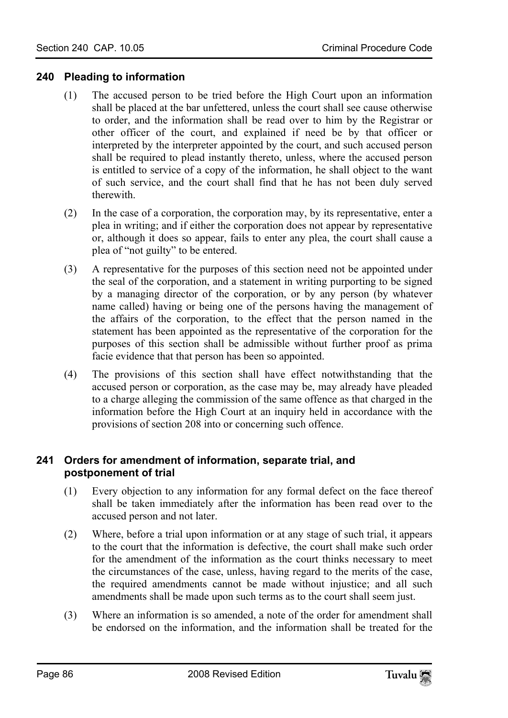# **240 Pleading to information**

- (1) The accused person to be tried before the High Court upon an information shall be placed at the bar unfettered, unless the court shall see cause otherwise to order, and the information shall be read over to him by the Registrar or other officer of the court, and explained if need be by that officer or interpreted by the interpreter appointed by the court, and such accused person shall be required to plead instantly thereto, unless, where the accused person is entitled to service of a copy of the information, he shall object to the want of such service, and the court shall find that he has not been duly served therewith.
- (2) In the case of a corporation, the corporation may, by its representative, enter a plea in writing; and if either the corporation does not appear by representative or, although it does so appear, fails to enter any plea, the court shall cause a plea of "not guilty" to be entered.
- (3) A representative for the purposes of this section need not be appointed under the seal of the corporation, and a statement in writing purporting to be signed by a managing director of the corporation, or by any person (by whatever name called) having or being one of the persons having the management of the affairs of the corporation, to the effect that the person named in the statement has been appointed as the representative of the corporation for the purposes of this section shall be admissible without further proof as prima facie evidence that that person has been so appointed.
- (4) The provisions of this section shall have effect notwithstanding that the accused person or corporation, as the case may be, may already have pleaded to a charge alleging the commission of the same offence as that charged in the information before the High Court at an inquiry held in accordance with the provisions of section 208 into or concerning such offence.

#### **241 Orders for amendment of information, separate trial, and postponement of trial**

- (1) Every objection to any information for any formal defect on the face thereof shall be taken immediately after the information has been read over to the accused person and not later.
- (2) Where, before a trial upon information or at any stage of such trial, it appears to the court that the information is defective, the court shall make such order for the amendment of the information as the court thinks necessary to meet the circumstances of the case, unless, having regard to the merits of the case, the required amendments cannot be made without injustice; and all such amendments shall be made upon such terms as to the court shall seem just.
- (3) Where an information is so amended, a note of the order for amendment shall be endorsed on the information, and the information shall be treated for the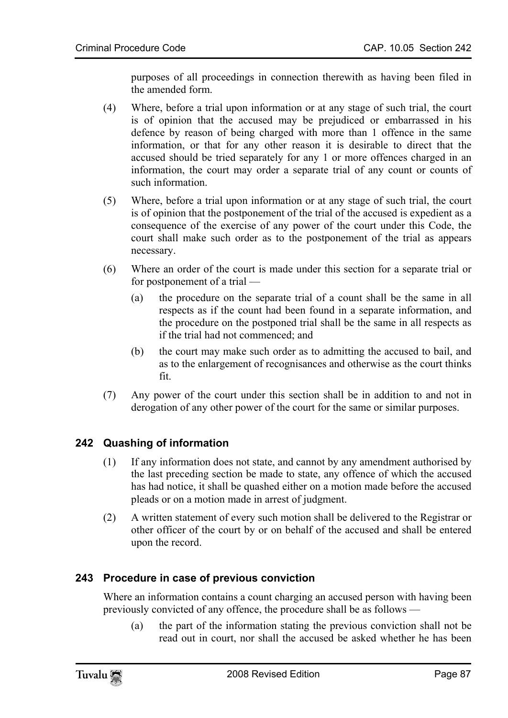purposes of all proceedings in connection therewith as having been filed in the amended form.

- (4) Where, before a trial upon information or at any stage of such trial, the court is of opinion that the accused may be prejudiced or embarrassed in his defence by reason of being charged with more than 1 offence in the same information, or that for any other reason it is desirable to direct that the accused should be tried separately for any 1 or more offences charged in an information, the court may order a separate trial of any count or counts of such information.
- (5) Where, before a trial upon information or at any stage of such trial, the court is of opinion that the postponement of the trial of the accused is expedient as a consequence of the exercise of any power of the court under this Code, the court shall make such order as to the postponement of the trial as appears necessary.
- (6) Where an order of the court is made under this section for a separate trial or for postponement of a trial —
	- (a) the procedure on the separate trial of a count shall be the same in all respects as if the count had been found in a separate information, and the procedure on the postponed trial shall be the same in all respects as if the trial had not commenced; and
	- (b) the court may make such order as to admitting the accused to bail, and as to the enlargement of recognisances and otherwise as the court thinks fit.
- (7) Any power of the court under this section shall be in addition to and not in derogation of any other power of the court for the same or similar purposes.

# **242 Quashing of information**

- (1) If any information does not state, and cannot by any amendment authorised by the last preceding section be made to state, any offence of which the accused has had notice, it shall be quashed either on a motion made before the accused pleads or on a motion made in arrest of judgment.
- (2) A written statement of every such motion shall be delivered to the Registrar or other officer of the court by or on behalf of the accused and shall be entered upon the record.

# **243 Procedure in case of previous conviction**

Where an information contains a count charging an accused person with having been previously convicted of any offence, the procedure shall be as follows —

(a) the part of the information stating the previous conviction shall not be read out in court, nor shall the accused be asked whether he has been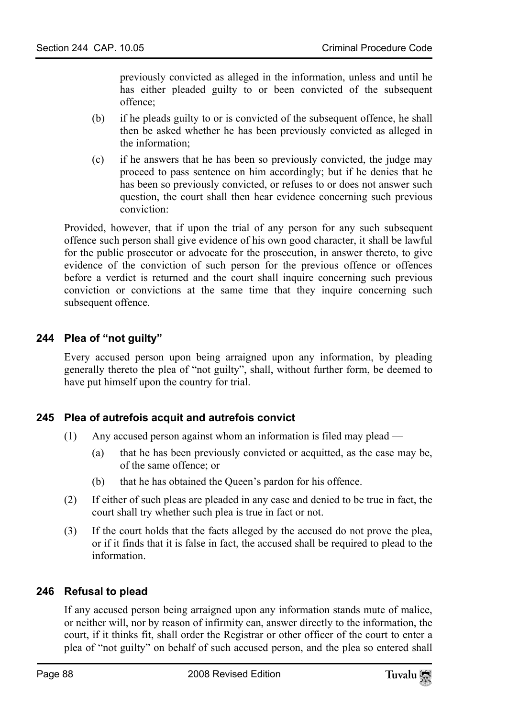previously convicted as alleged in the information, unless and until he has either pleaded guilty to or been convicted of the subsequent offence;

- (b) if he pleads guilty to or is convicted of the subsequent offence, he shall then be asked whether he has been previously convicted as alleged in the information;
- (c) if he answers that he has been so previously convicted, the judge may proceed to pass sentence on him accordingly; but if he denies that he has been so previously convicted, or refuses to or does not answer such question, the court shall then hear evidence concerning such previous conviction:

Provided, however, that if upon the trial of any person for any such subsequent offence such person shall give evidence of his own good character, it shall be lawful for the public prosecutor or advocate for the prosecution, in answer thereto, to give evidence of the conviction of such person for the previous offence or offences before a verdict is returned and the court shall inquire concerning such previous conviction or convictions at the same time that they inquire concerning such subsequent offence.

# **244 Plea of "not guilty"**

Every accused person upon being arraigned upon any information, by pleading generally thereto the plea of "not guilty", shall, without further form, be deemed to have put himself upon the country for trial.

#### **245 Plea of autrefois acquit and autrefois convict**

- (1) Any accused person against whom an information is filed may plead
	- (a) that he has been previously convicted or acquitted, as the case may be, of the same offence; or
	- (b) that he has obtained the Queen's pardon for his offence.
- (2) If either of such pleas are pleaded in any case and denied to be true in fact, the court shall try whether such plea is true in fact or not.
- (3) If the court holds that the facts alleged by the accused do not prove the plea, or if it finds that it is false in fact, the accused shall be required to plead to the information.

# **246 Refusal to plead**

If any accused person being arraigned upon any information stands mute of malice, or neither will, nor by reason of infirmity can, answer directly to the information, the court, if it thinks fit, shall order the Registrar or other officer of the court to enter a plea of "not guilty" on behalf of such accused person, and the plea so entered shall

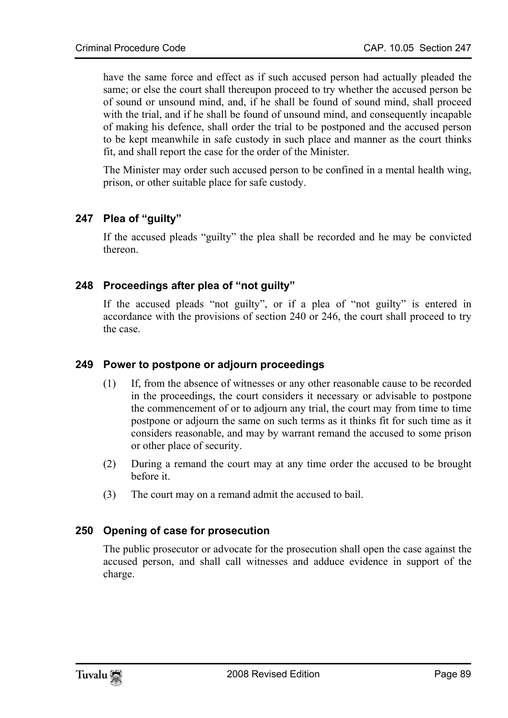have the same force and effect as if such accused person had actually pleaded the same; or else the court shall thereupon proceed to try whether the accused person be of sound or unsound mind, and, if he shall be found of sound mind, shall proceed with the trial, and if he shall be found of unsound mind, and consequently incapable of making his defence, shall order the trial to be postponed and the accused person to be kept meanwhile in safe custody in such place and manner as the court thinks fit, and shall report the case for the order of the Minister.

The Minister may order such accused person to be confined in a mental health wing, prison, or other suitable place for safe custody.

# **247 Plea of "guilty"**

If the accused pleads "guilty" the plea shall be recorded and he may be convicted thereon.

# **248 Proceedings after plea of "not guilty"**

If the accused pleads "not guilty", or if a plea of "not guilty" is entered in accordance with the provisions of section 240 or 246, the court shall proceed to try the case.

#### **249 Power to postpone or adjourn proceedings**

- (1) If, from the absence of witnesses or any other reasonable cause to be recorded in the proceedings, the court considers it necessary or advisable to postpone the commencement of or to adjourn any trial, the court may from time to time postpone or adjourn the same on such terms as it thinks fit for such time as it considers reasonable, and may by warrant remand the accused to some prison or other place of security.
- (2) During a remand the court may at any time order the accused to be brought before it.
- (3) The court may on a remand admit the accused to bail.

#### **250 Opening of case for prosecution**

The public prosecutor or advocate for the prosecution shall open the case against the accused person, and shall call witnesses and adduce evidence in support of the charge.

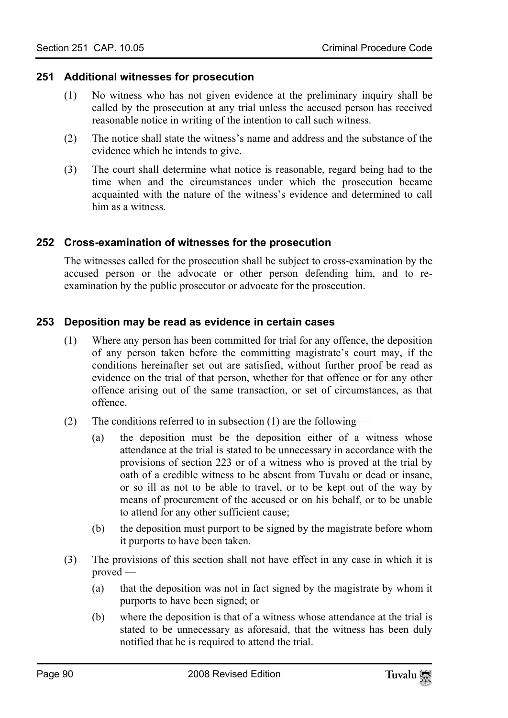#### **251 Additional witnesses for prosecution**

- (1) No witness who has not given evidence at the preliminary inquiry shall be called by the prosecution at any trial unless the accused person has received reasonable notice in writing of the intention to call such witness.
- (2) The notice shall state the witness's name and address and the substance of the evidence which he intends to give.
- (3) The court shall determine what notice is reasonable, regard being had to the time when and the circumstances under which the prosecution became acquainted with the nature of the witness's evidence and determined to call him as a witness.

#### **252 Cross-examination of witnesses for the prosecution**

The witnesses called for the prosecution shall be subject to cross-examination by the accused person or the advocate or other person defending him, and to reexamination by the public prosecutor or advocate for the prosecution.

#### **253 Deposition may be read as evidence in certain cases**

- (1) Where any person has been committed for trial for any offence, the deposition of any person taken before the committing magistrate's court may, if the conditions hereinafter set out are satisfied, without further proof be read as evidence on the trial of that person, whether for that offence or for any other offence arising out of the same transaction, or set of circumstances, as that offence.
- (2) The conditions referred to in subsection (1) are the following
	- (a) the deposition must be the deposition either of a witness whose attendance at the trial is stated to be unnecessary in accordance with the provisions of section 223 or of a witness who is proved at the trial by oath of a credible witness to be absent from Tuvalu or dead or insane, or so ill as not to be able to travel, or to be kept out of the way by means of procurement of the accused or on his behalf, or to be unable to attend for any other sufficient cause;
	- (b) the deposition must purport to be signed by the magistrate before whom it purports to have been taken.
- (3) The provisions of this section shall not have effect in any case in which it is proved —
	- (a) that the deposition was not in fact signed by the magistrate by whom it purports to have been signed; or
	- (b) where the deposition is that of a witness whose attendance at the trial is stated to be unnecessary as aforesaid, that the witness has been duly notified that he is required to attend the trial.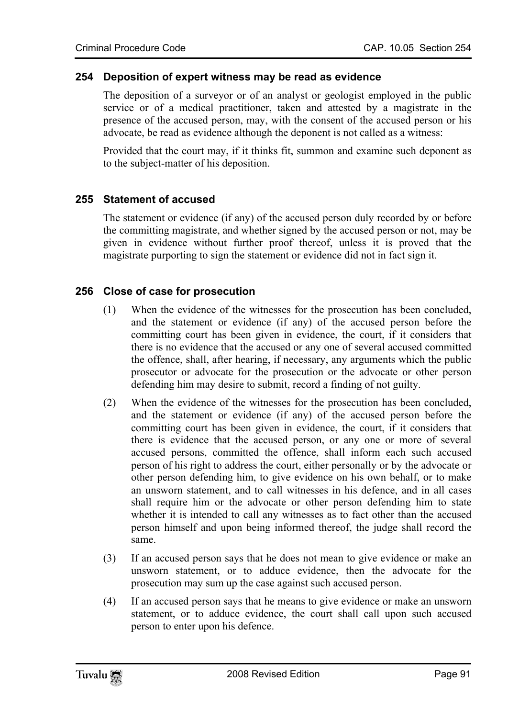#### **254 Deposition of expert witness may be read as evidence**

The deposition of a surveyor or of an analyst or geologist employed in the public service or of a medical practitioner, taken and attested by a magistrate in the presence of the accused person, may, with the consent of the accused person or his advocate, be read as evidence although the deponent is not called as a witness:

Provided that the court may, if it thinks fit, summon and examine such deponent as to the subject-matter of his deposition.

#### **255 Statement of accused**

The statement or evidence (if any) of the accused person duly recorded by or before the committing magistrate, and whether signed by the accused person or not, may be given in evidence without further proof thereof, unless it is proved that the magistrate purporting to sign the statement or evidence did not in fact sign it.

#### **256 Close of case for prosecution**

- (1) When the evidence of the witnesses for the prosecution has been concluded, and the statement or evidence (if any) of the accused person before the committing court has been given in evidence, the court, if it considers that there is no evidence that the accused or any one of several accused committed the offence, shall, after hearing, if necessary, any arguments which the public prosecutor or advocate for the prosecution or the advocate or other person defending him may desire to submit, record a finding of not guilty.
- (2) When the evidence of the witnesses for the prosecution has been concluded, and the statement or evidence (if any) of the accused person before the committing court has been given in evidence, the court, if it considers that there is evidence that the accused person, or any one or more of several accused persons, committed the offence, shall inform each such accused person of his right to address the court, either personally or by the advocate or other person defending him, to give evidence on his own behalf, or to make an unsworn statement, and to call witnesses in his defence, and in all cases shall require him or the advocate or other person defending him to state whether it is intended to call any witnesses as to fact other than the accused person himself and upon being informed thereof, the judge shall record the same.
- (3) If an accused person says that he does not mean to give evidence or make an unsworn statement, or to adduce evidence, then the advocate for the prosecution may sum up the case against such accused person.
- (4) If an accused person says that he means to give evidence or make an unsworn statement, or to adduce evidence, the court shall call upon such accused person to enter upon his defence.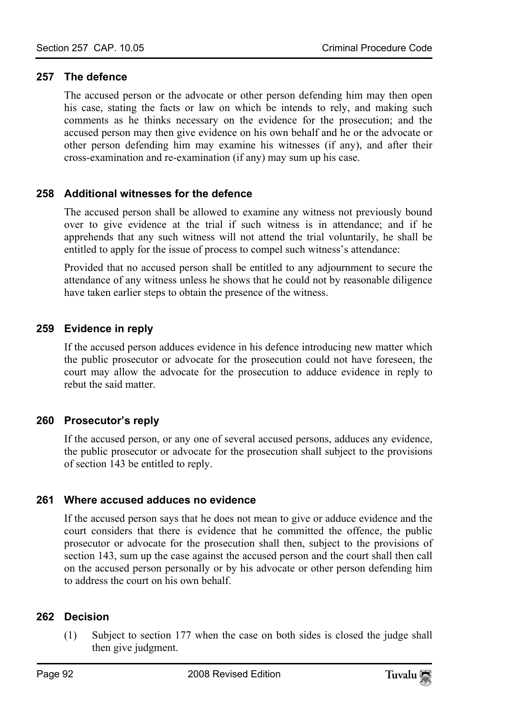#### **257 The defence**

The accused person or the advocate or other person defending him may then open his case, stating the facts or law on which be intends to rely, and making such comments as he thinks necessary on the evidence for the prosecution; and the accused person may then give evidence on his own behalf and he or the advocate or other person defending him may examine his witnesses (if any), and after their cross-examination and re-examination (if any) may sum up his case.

#### **258 Additional witnesses for the defence**

The accused person shall be allowed to examine any witness not previously bound over to give evidence at the trial if such witness is in attendance; and if he apprehends that any such witness will not attend the trial voluntarily, he shall be entitled to apply for the issue of process to compel such witness's attendance:

Provided that no accused person shall be entitled to any adjournment to secure the attendance of any witness unless he shows that he could not by reasonable diligence have taken earlier steps to obtain the presence of the witness.

# **259 Evidence in reply**

If the accused person adduces evidence in his defence introducing new matter which the public prosecutor or advocate for the prosecution could not have foreseen, the court may allow the advocate for the prosecution to adduce evidence in reply to rebut the said matter.

#### **260 Prosecutor's reply**

If the accused person, or any one of several accused persons, adduces any evidence, the public prosecutor or advocate for the prosecution shall subject to the provisions of section 143 be entitled to reply.

#### **261 Where accused adduces no evidence**

If the accused person says that he does not mean to give or adduce evidence and the court considers that there is evidence that he committed the offence, the public prosecutor or advocate for the prosecution shall then, subject to the provisions of section 143, sum up the case against the accused person and the court shall then call on the accused person personally or by his advocate or other person defending him to address the court on his own behalf.

#### **262 Decision**

(1) Subject to section 177 when the case on both sides is closed the judge shall then give judgment.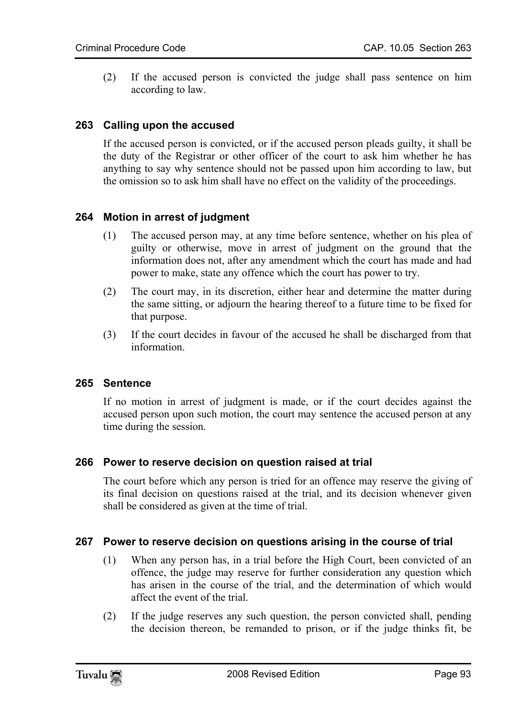(2) If the accused person is convicted the judge shall pass sentence on him according to law.

# **263 Calling upon the accused**

If the accused person is convicted, or if the accused person pleads guilty, it shall be the duty of the Registrar or other officer of the court to ask him whether he has anything to say why sentence should not be passed upon him according to law, but the omission so to ask him shall have no effect on the validity of the proceedings.

#### **264 Motion in arrest of judgment**

- (1) The accused person may, at any time before sentence, whether on his plea of guilty or otherwise, move in arrest of judgment on the ground that the information does not, after any amendment which the court has made and had power to make, state any offence which the court has power to try.
- (2) The court may, in its discretion, either hear and determine the matter during the same sitting, or adjourn the hearing thereof to a future time to be fixed for that purpose.
- (3) If the court decides in favour of the accused he shall be discharged from that information.

#### **265 Sentence**

If no motion in arrest of judgment is made, or if the court decides against the accused person upon such motion, the court may sentence the accused person at any time during the session.

#### **266 Power to reserve decision on question raised at trial**

The court before which any person is tried for an offence may reserve the giving of its final decision on questions raised at the trial, and its decision whenever given shall be considered as given at the time of trial.

#### **267 Power to reserve decision on questions arising in the course of trial**

- (1) When any person has, in a trial before the High Court, been convicted of an offence, the judge may reserve for further consideration any question which has arisen in the course of the trial, and the determination of which would affect the event of the trial.
- (2) If the judge reserves any such question, the person convicted shall, pending the decision thereon, be remanded to prison, or if the judge thinks fit, be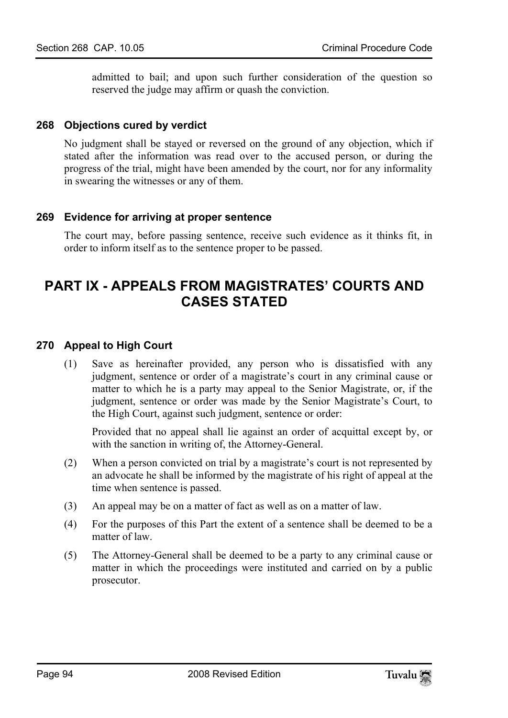admitted to bail; and upon such further consideration of the question so reserved the judge may affirm or quash the conviction.

### **268 Objections cured by verdict**

No judgment shall be stayed or reversed on the ground of any objection, which if stated after the information was read over to the accused person, or during the progress of the trial, might have been amended by the court, nor for any informality in swearing the witnesses or any of them.

# **269 Evidence for arriving at proper sentence**

The court may, before passing sentence, receive such evidence as it thinks fit, in order to inform itself as to the sentence proper to be passed.

# **PART IX - APPEALS FROM MAGISTRATES' COURTS AND CASES STATED**

# **270 Appeal to High Court**

(1) Save as hereinafter provided, any person who is dissatisfied with any judgment, sentence or order of a magistrate's court in any criminal cause or matter to which he is a party may appeal to the Senior Magistrate, or, if the judgment, sentence or order was made by the Senior Magistrate's Court, to the High Court, against such judgment, sentence or order:

Provided that no appeal shall lie against an order of acquittal except by, or with the sanction in writing of, the Attorney-General.

- (2) When a person convicted on trial by a magistrate's court is not represented by an advocate he shall be informed by the magistrate of his right of appeal at the time when sentence is passed.
- (3) An appeal may be on a matter of fact as well as on a matter of law.
- (4) For the purposes of this Part the extent of a sentence shall be deemed to be a matter of law.
- (5) The Attorney-General shall be deemed to be a party to any criminal cause or matter in which the proceedings were instituted and carried on by a public prosecutor.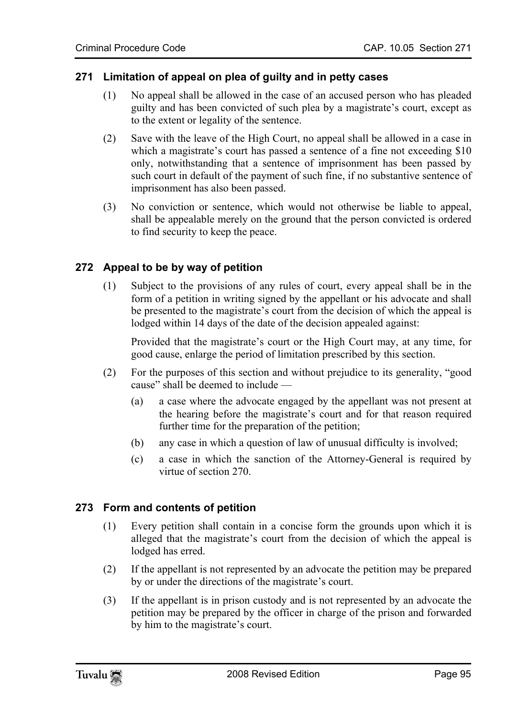# **271 Limitation of appeal on plea of guilty and in petty cases**

- (1) No appeal shall be allowed in the case of an accused person who has pleaded guilty and has been convicted of such plea by a magistrate's court, except as to the extent or legality of the sentence.
- (2) Save with the leave of the High Court, no appeal shall be allowed in a case in which a magistrate's court has passed a sentence of a fine not exceeding \$10 only, notwithstanding that a sentence of imprisonment has been passed by such court in default of the payment of such fine, if no substantive sentence of imprisonment has also been passed.
- (3) No conviction or sentence, which would not otherwise be liable to appeal, shall be appealable merely on the ground that the person convicted is ordered to find security to keep the peace.

# **272 Appeal to be by way of petition**

(1) Subject to the provisions of any rules of court, every appeal shall be in the form of a petition in writing signed by the appellant or his advocate and shall be presented to the magistrate's court from the decision of which the appeal is lodged within 14 days of the date of the decision appealed against:

Provided that the magistrate's court or the High Court may, at any time, for good cause, enlarge the period of limitation prescribed by this section.

- (2) For the purposes of this section and without prejudice to its generality, "good cause" shall be deemed to include —
	- (a) a case where the advocate engaged by the appellant was not present at the hearing before the magistrate's court and for that reason required further time for the preparation of the petition;
	- (b) any case in which a question of law of unusual difficulty is involved;
	- (c) a case in which the sanction of the Attorney-General is required by virtue of section 270.

# **273 Form and contents of petition**

- (1) Every petition shall contain in a concise form the grounds upon which it is alleged that the magistrate's court from the decision of which the appeal is lodged has erred.
- (2) If the appellant is not represented by an advocate the petition may be prepared by or under the directions of the magistrate's court.
- (3) If the appellant is in prison custody and is not represented by an advocate the petition may be prepared by the officer in charge of the prison and forwarded by him to the magistrate's court.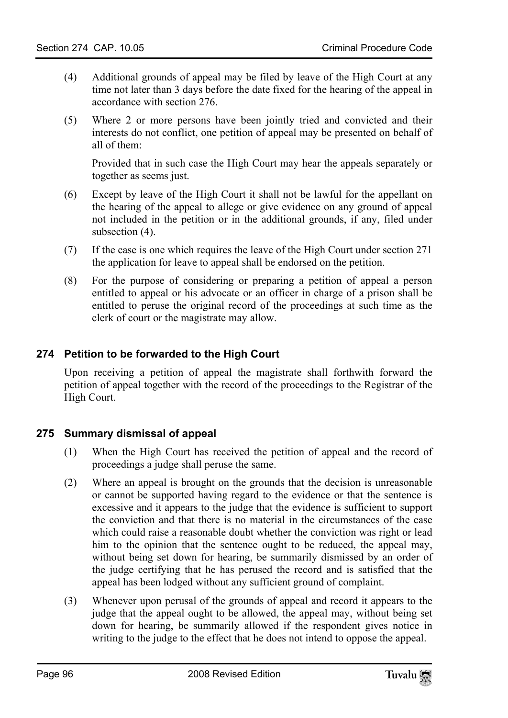- (4) Additional grounds of appeal may be filed by leave of the High Court at any time not later than 3 days before the date fixed for the hearing of the appeal in accordance with section 276.
- (5) Where 2 or more persons have been jointly tried and convicted and their interests do not conflict, one petition of appeal may be presented on behalf of all of them:

Provided that in such case the High Court may hear the appeals separately or together as seems just.

- (6) Except by leave of the High Court it shall not be lawful for the appellant on the hearing of the appeal to allege or give evidence on any ground of appeal not included in the petition or in the additional grounds, if any, filed under subsection  $(4)$ .
- (7) If the case is one which requires the leave of the High Court under section 271 the application for leave to appeal shall be endorsed on the petition.
- (8) For the purpose of considering or preparing a petition of appeal a person entitled to appeal or his advocate or an officer in charge of a prison shall be entitled to peruse the original record of the proceedings at such time as the clerk of court or the magistrate may allow.

# **274 Petition to be forwarded to the High Court**

Upon receiving a petition of appeal the magistrate shall forthwith forward the petition of appeal together with the record of the proceedings to the Registrar of the High Court.

# **275 Summary dismissal of appeal**

- (1) When the High Court has received the petition of appeal and the record of proceedings a judge shall peruse the same.
- (2) Where an appeal is brought on the grounds that the decision is unreasonable or cannot be supported having regard to the evidence or that the sentence is excessive and it appears to the judge that the evidence is sufficient to support the conviction and that there is no material in the circumstances of the case which could raise a reasonable doubt whether the conviction was right or lead him to the opinion that the sentence ought to be reduced, the appeal may, without being set down for hearing, be summarily dismissed by an order of the judge certifying that he has perused the record and is satisfied that the appeal has been lodged without any sufficient ground of complaint.
- (3) Whenever upon perusal of the grounds of appeal and record it appears to the judge that the appeal ought to be allowed, the appeal may, without being set down for hearing, be summarily allowed if the respondent gives notice in writing to the judge to the effect that he does not intend to oppose the appeal.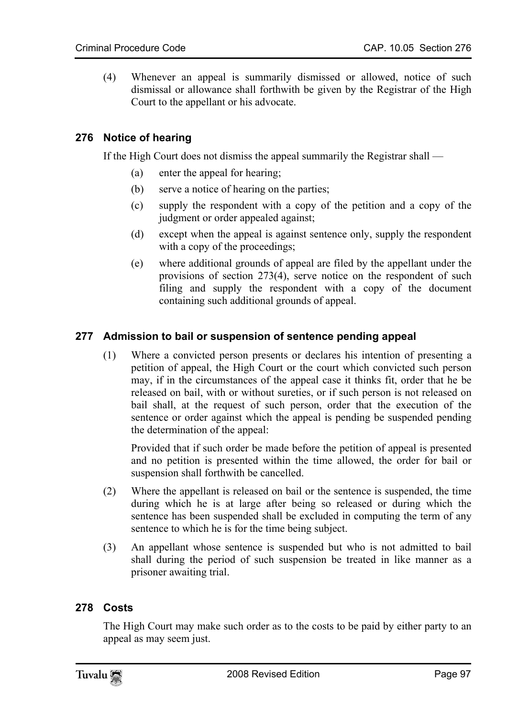(4) Whenever an appeal is summarily dismissed or allowed, notice of such dismissal or allowance shall forthwith be given by the Registrar of the High Court to the appellant or his advocate.

# **276 Notice of hearing**

If the High Court does not dismiss the appeal summarily the Registrar shall —

- (a) enter the appeal for hearing;
- (b) serve a notice of hearing on the parties;
- (c) supply the respondent with a copy of the petition and a copy of the judgment or order appealed against;
- (d) except when the appeal is against sentence only, supply the respondent with a copy of the proceedings;
- (e) where additional grounds of appeal are filed by the appellant under the provisions of section 273(4), serve notice on the respondent of such filing and supply the respondent with a copy of the document containing such additional grounds of appeal.

# **277 Admission to bail or suspension of sentence pending appeal**

(1) Where a convicted person presents or declares his intention of presenting a petition of appeal, the High Court or the court which convicted such person may, if in the circumstances of the appeal case it thinks fit, order that he be released on bail, with or without sureties, or if such person is not released on bail shall, at the request of such person, order that the execution of the sentence or order against which the appeal is pending be suspended pending the determination of the appeal:

Provided that if such order be made before the petition of appeal is presented and no petition is presented within the time allowed, the order for bail or suspension shall forthwith be cancelled.

- (2) Where the appellant is released on bail or the sentence is suspended, the time during which he is at large after being so released or during which the sentence has been suspended shall be excluded in computing the term of any sentence to which he is for the time being subject.
- (3) An appellant whose sentence is suspended but who is not admitted to bail shall during the period of such suspension be treated in like manner as a prisoner awaiting trial.

# **278 Costs**

The High Court may make such order as to the costs to be paid by either party to an appeal as may seem just.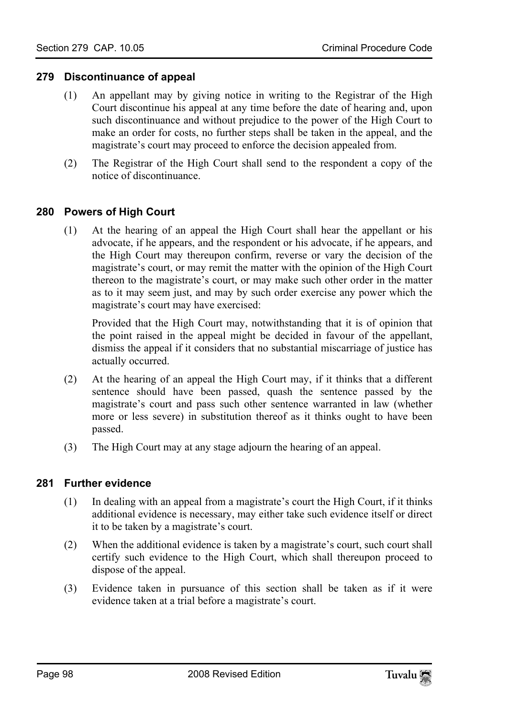#### **279 Discontinuance of appeal**

- (1) An appellant may by giving notice in writing to the Registrar of the High Court discontinue his appeal at any time before the date of hearing and, upon such discontinuance and without prejudice to the power of the High Court to make an order for costs, no further steps shall be taken in the appeal, and the magistrate's court may proceed to enforce the decision appealed from.
- (2) The Registrar of the High Court shall send to the respondent a copy of the notice of discontinuance.

# **280 Powers of High Court**

(1) At the hearing of an appeal the High Court shall hear the appellant or his advocate, if he appears, and the respondent or his advocate, if he appears, and the High Court may thereupon confirm, reverse or vary the decision of the magistrate's court, or may remit the matter with the opinion of the High Court thereon to the magistrate's court, or may make such other order in the matter as to it may seem just, and may by such order exercise any power which the magistrate's court may have exercised:

Provided that the High Court may, notwithstanding that it is of opinion that the point raised in the appeal might be decided in favour of the appellant, dismiss the appeal if it considers that no substantial miscarriage of justice has actually occurred.

- (2) At the hearing of an appeal the High Court may, if it thinks that a different sentence should have been passed, quash the sentence passed by the magistrate's court and pass such other sentence warranted in law (whether more or less severe) in substitution thereof as it thinks ought to have been passed.
- (3) The High Court may at any stage adjourn the hearing of an appeal.

#### **281 Further evidence**

- (1) In dealing with an appeal from a magistrate's court the High Court, if it thinks additional evidence is necessary, may either take such evidence itself or direct it to be taken by a magistrate's court.
- (2) When the additional evidence is taken by a magistrate's court, such court shall certify such evidence to the High Court, which shall thereupon proceed to dispose of the appeal.
- (3) Evidence taken in pursuance of this section shall be taken as if it were evidence taken at a trial before a magistrate's court.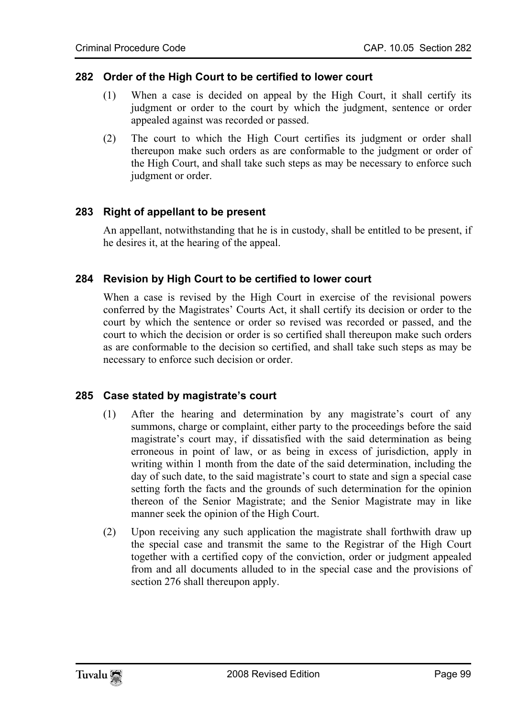#### **282 Order of the High Court to be certified to lower court**

- (1) When a case is decided on appeal by the High Court, it shall certify its judgment or order to the court by which the judgment, sentence or order appealed against was recorded or passed.
- (2) The court to which the High Court certifies its judgment or order shall thereupon make such orders as are conformable to the judgment or order of the High Court, and shall take such steps as may be necessary to enforce such judgment or order.

# **283 Right of appellant to be present**

An appellant, notwithstanding that he is in custody, shall be entitled to be present, if he desires it, at the hearing of the appeal.

#### **284 Revision by High Court to be certified to lower court**

When a case is revised by the High Court in exercise of the revisional powers conferred by the Magistrates' Courts Act, it shall certify its decision or order to the court by which the sentence or order so revised was recorded or passed, and the court to which the decision or order is so certified shall thereupon make such orders as are conformable to the decision so certified, and shall take such steps as may be necessary to enforce such decision or order.

#### **285 Case stated by magistrate's court**

- (1) After the hearing and determination by any magistrate's court of any summons, charge or complaint, either party to the proceedings before the said magistrate's court may, if dissatisfied with the said determination as being erroneous in point of law, or as being in excess of jurisdiction, apply in writing within 1 month from the date of the said determination, including the day of such date, to the said magistrate's court to state and sign a special case setting forth the facts and the grounds of such determination for the opinion thereon of the Senior Magistrate; and the Senior Magistrate may in like manner seek the opinion of the High Court.
- (2) Upon receiving any such application the magistrate shall forthwith draw up the special case and transmit the same to the Registrar of the High Court together with a certified copy of the conviction, order or judgment appealed from and all documents alluded to in the special case and the provisions of section 276 shall thereupon apply.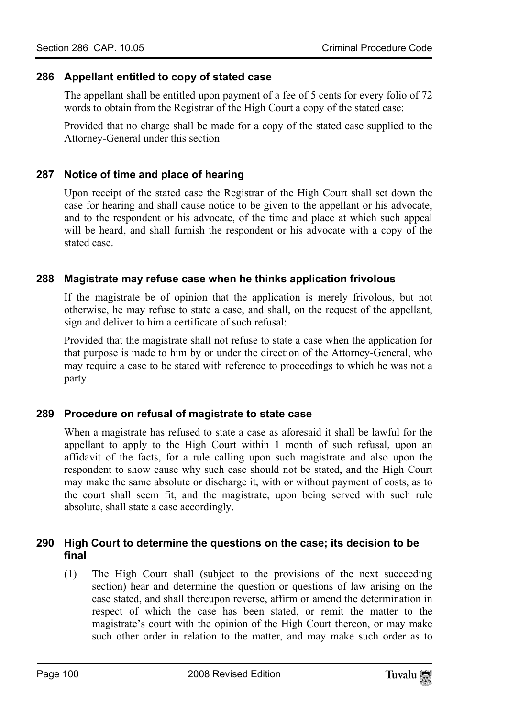#### **286 Appellant entitled to copy of stated case**

The appellant shall be entitled upon payment of a fee of 5 cents for every folio of 72 words to obtain from the Registrar of the High Court a copy of the stated case:

Provided that no charge shall be made for a copy of the stated case supplied to the Attorney-General under this section

# **287 Notice of time and place of hearing**

Upon receipt of the stated case the Registrar of the High Court shall set down the case for hearing and shall cause notice to be given to the appellant or his advocate, and to the respondent or his advocate, of the time and place at which such appeal will be heard, and shall furnish the respondent or his advocate with a copy of the stated case.

# **288 Magistrate may refuse case when he thinks application frivolous**

If the magistrate be of opinion that the application is merely frivolous, but not otherwise, he may refuse to state a case, and shall, on the request of the appellant, sign and deliver to him a certificate of such refusal:

Provided that the magistrate shall not refuse to state a case when the application for that purpose is made to him by or under the direction of the Attorney-General, who may require a case to be stated with reference to proceedings to which he was not a party.

#### **289 Procedure on refusal of magistrate to state case**

When a magistrate has refused to state a case as aforesaid it shall be lawful for the appellant to apply to the High Court within 1 month of such refusal, upon an affidavit of the facts, for a rule calling upon such magistrate and also upon the respondent to show cause why such case should not be stated, and the High Court may make the same absolute or discharge it, with or without payment of costs, as to the court shall seem fit, and the magistrate, upon being served with such rule absolute, shall state a case accordingly.

#### **290 High Court to determine the questions on the case; its decision to be final**

(1) The High Court shall (subject to the provisions of the next succeeding section) hear and determine the question or questions of law arising on the case stated, and shall thereupon reverse, affirm or amend the determination in respect of which the case has been stated, or remit the matter to the magistrate's court with the opinion of the High Court thereon, or may make such other order in relation to the matter, and may make such order as to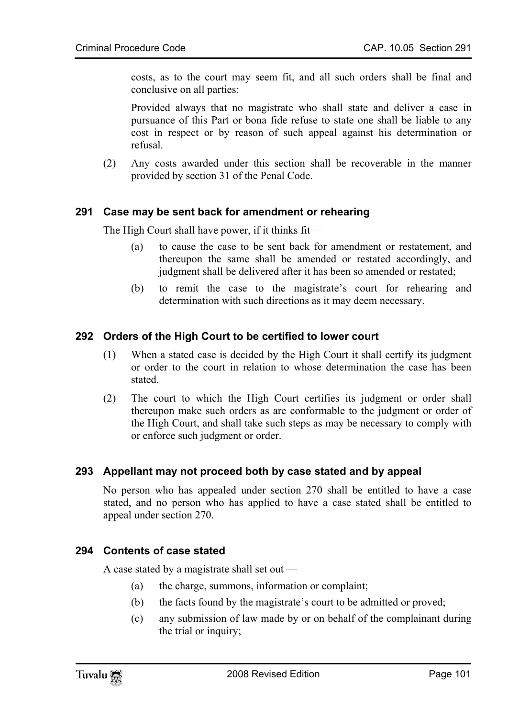costs, as to the court may seem fit, and all such orders shall be final and conclusive on all parties:

Provided always that no magistrate who shall state and deliver a case in pursuance of this Part or bona fide refuse to state one shall be liable to any cost in respect or by reason of such appeal against his determination or refusal.

(2) Any costs awarded under this section shall be recoverable in the manner provided by section 31 of the Penal Code.

#### **291 Case may be sent back for amendment or rehearing**

The High Court shall have power, if it thinks fit —

- (a) to cause the case to be sent back for amendment or restatement, and thereupon the same shall be amended or restated accordingly, and judgment shall be delivered after it has been so amended or restated;
- (b) to remit the case to the magistrate's court for rehearing and determination with such directions as it may deem necessary.

# **292 Orders of the High Court to be certified to lower court**

- (1) When a stated case is decided by the High Court it shall certify its judgment or order to the court in relation to whose determination the case has been stated.
- (2) The court to which the High Court certifies its judgment or order shall thereupon make such orders as are conformable to the judgment or order of the High Court, and shall take such steps as may be necessary to comply with or enforce such judgment or order.

#### **293 Appellant may not proceed both by case stated and by appeal**

No person who has appealed under section 270 shall be entitled to have a case stated, and no person who has applied to have a case stated shall be entitled to appeal under section 270.

#### **294 Contents of case stated**

A case stated by a magistrate shall set out —

- (a) the charge, summons, information or complaint;
- (b) the facts found by the magistrate's court to be admitted or proved;
- (c) any submission of law made by or on behalf of the complainant during the trial or inquiry;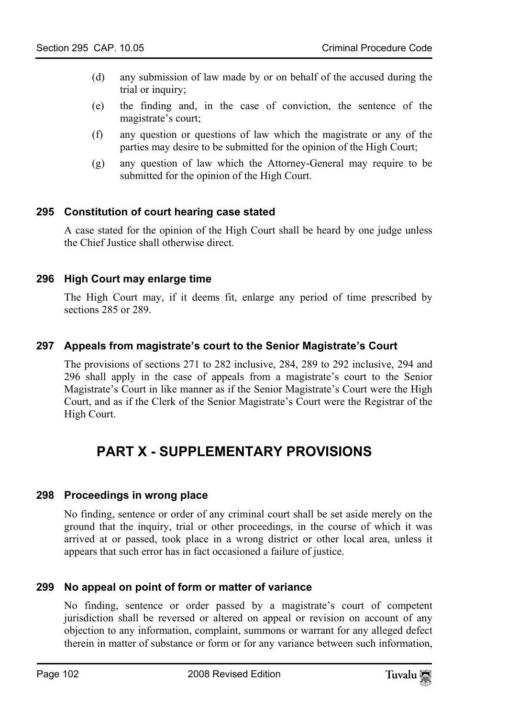- (d) any submission of law made by or on behalf of the accused during the trial or inquiry;
- (e) the finding and, in the case of conviction, the sentence of the magistrate's court;
- (f) any question or questions of law which the magistrate or any of the parties may desire to be submitted for the opinion of the High Court;
- (g) any question of law which the Attorney-General may require to be submitted for the opinion of the High Court.

#### **295 Constitution of court hearing case stated**

A case stated for the opinion of the High Court shall be heard by one judge unless the Chief Justice shall otherwise direct.

# **296 High Court may enlarge time**

The High Court may, if it deems fit, enlarge any period of time prescribed by sections 285 or 289.

#### **297 Appeals from magistrate's court to the Senior Magistrate's Court**

The provisions of sections 271 to 282 inclusive, 284, 289 to 292 inclusive, 294 and 296 shall apply in the case of appeals from a magistrate's court to the Senior Magistrate's Court in like manner as if the Senior Magistrate's Court were the High Court, and as if the Clerk of the Senior Magistrate's Court were the Registrar of the High Court.

# **PART X - SUPPLEMENTARY PROVISIONS**

#### **298 Proceedings in wrong place**

No finding, sentence or order of any criminal court shall be set aside merely on the ground that the inquiry, trial or other proceedings, in the course of which it was arrived at or passed, took place in a wrong district or other local area, unless it appears that such error has in fact occasioned a failure of justice.

#### **299 No appeal on point of form or matter of variance**

No finding, sentence or order passed by a magistrate's court of competent jurisdiction shall be reversed or altered on appeal or revision on account of any objection to any information, complaint, summons or warrant for any alleged defect therein in matter of substance or form or for any variance between such information,

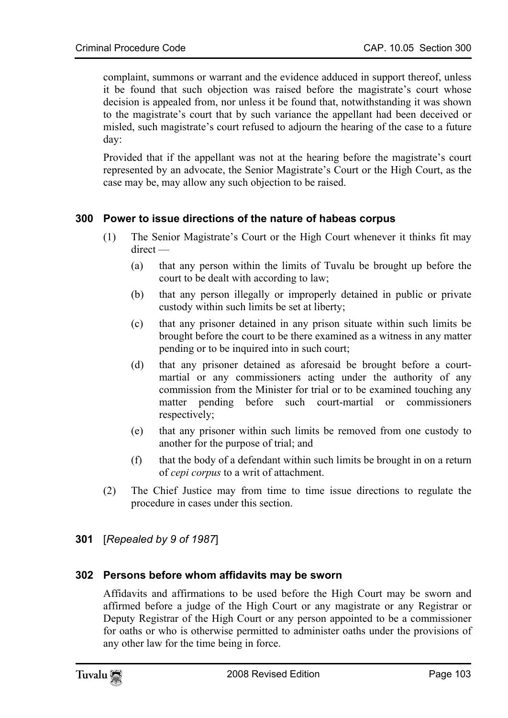complaint, summons or warrant and the evidence adduced in support thereof, unless it be found that such objection was raised before the magistrate's court whose decision is appealed from, nor unless it be found that, notwithstanding it was shown to the magistrate's court that by such variance the appellant had been deceived or misled, such magistrate's court refused to adjourn the hearing of the case to a future day:

Provided that if the appellant was not at the hearing before the magistrate's court represented by an advocate, the Senior Magistrate's Court or the High Court, as the case may be, may allow any such objection to be raised.

# **300 Power to issue directions of the nature of habeas corpus**

- (1) The Senior Magistrate's Court or the High Court whenever it thinks fit may direct —
	- (a) that any person within the limits of Tuvalu be brought up before the court to be dealt with according to law;
	- (b) that any person illegally or improperly detained in public or private custody within such limits be set at liberty;
	- (c) that any prisoner detained in any prison situate within such limits be brought before the court to be there examined as a witness in any matter pending or to be inquired into in such court;
	- (d) that any prisoner detained as aforesaid be brought before a courtmartial or any commissioners acting under the authority of any commission from the Minister for trial or to be examined touching any matter pending before such court-martial or commissioners respectively;
	- (e) that any prisoner within such limits be removed from one custody to another for the purpose of trial; and
	- (f) that the body of a defendant within such limits be brought in on a return of *cepi corpus* to a writ of attachment.
- (2) The Chief Justice may from time to time issue directions to regulate the procedure in cases under this section.

#### **301** [*Repealed by 9 of 1987*]

#### **302 Persons before whom affidavits may be sworn**

Affidavits and affirmations to be used before the High Court may be sworn and affirmed before a judge of the High Court or any magistrate or any Registrar or Deputy Registrar of the High Court or any person appointed to be a commissioner for oaths or who is otherwise permitted to administer oaths under the provisions of any other law for the time being in force.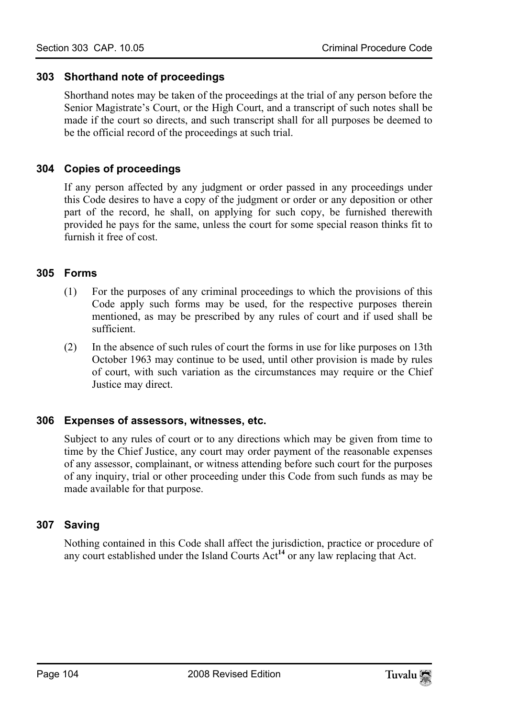### **303 Shorthand note of proceedings**

Shorthand notes may be taken of the proceedings at the trial of any person before the Senior Magistrate's Court, or the High Court, and a transcript of such notes shall be made if the court so directs, and such transcript shall for all purposes be deemed to be the official record of the proceedings at such trial.

### **304 Copies of proceedings**

If any person affected by any judgment or order passed in any proceedings under this Code desires to have a copy of the judgment or order or any deposition or other part of the record, he shall, on applying for such copy, be furnished therewith provided he pays for the same, unless the court for some special reason thinks fit to furnish it free of cost.

#### **305 Forms**

- (1) For the purposes of any criminal proceedings to which the provisions of this Code apply such forms may be used, for the respective purposes therein mentioned, as may be prescribed by any rules of court and if used shall be sufficient.
- (2) In the absence of such rules of court the forms in use for like purposes on 13th October 1963 may continue to be used, until other provision is made by rules of court, with such variation as the circumstances may require or the Chief Justice may direct.

#### **306 Expenses of assessors, witnesses, etc.**

Subject to any rules of court or to any directions which may be given from time to time by the Chief Justice, any court may order payment of the reasonable expenses of any assessor, complainant, or witness attending before such court for the purposes of any inquiry, trial or other proceeding under this Code from such funds as may be made available for that purpose.

# **307 Saving**

Nothing contained in this Code shall affect the jurisdiction, practice or procedure of any court established under the Island Courts Act**<sup>14</sup>** or any law replacing that Act.